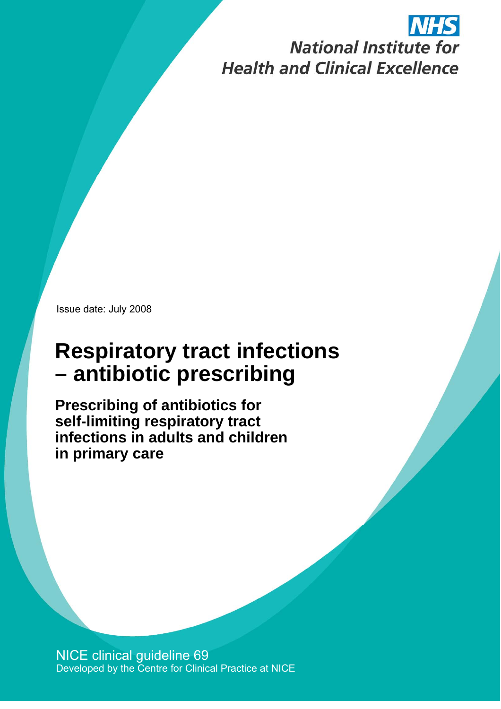# **National Institute for Health and Clinical Excellence**

Issue date: July 2008

## **Respiratory tract infections – antibiotic prescribing**

**Prescribing of antibiotics for self-limiting respiratory tract infections in adults and children in primary care** 

 Developed by the Centre for Clinical Practice at NICE NICE clinical guideline 69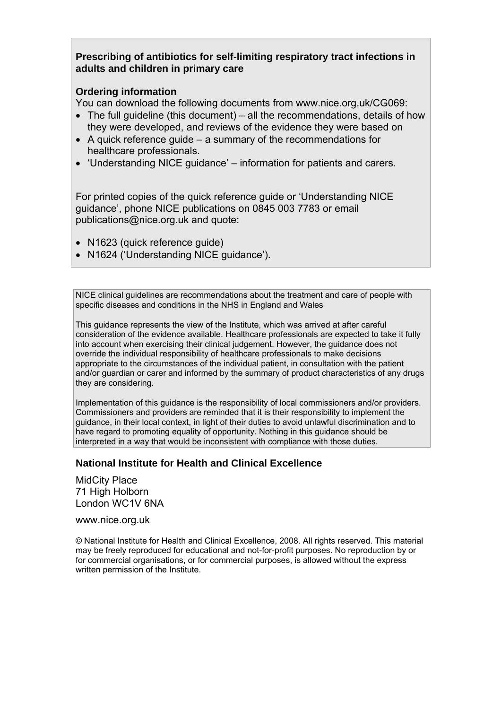**Prescribing of antibiotics for self-limiting respiratory tract infections in adults and children in primary care** 

#### **Ordering information**

You can download the following documents from www.nice.org.uk/CG069:

- The full guideline (this document) all the recommendations, details of how they were developed, and reviews of the evidence they were based on
- A quick reference guide a summary of the recommendations for healthcare professionals.
- 'Understanding NICE guidance' information for patients and carers.

For printed copies of the quick reference guide or 'Understanding NICE guidance', phone NICE publications on 0845 003 7783 or email publications@nice.org.uk and quote:

- N1623 (quick reference quide)
- N1624 ('Understanding NICE guidance').

NICE clinical guidelines are recommendations about the treatment and care of people with specific diseases and conditions in the NHS in England and Wales

This guidance represents the view of the Institute, which was arrived at after careful consideration of the evidence available. Healthcare professionals are expected to take it fully into account when exercising their clinical judgement. However, the guidance does not override the individual responsibility of healthcare professionals to make decisions appropriate to the circumstances of the individual patient, in consultation with the patient and/or guardian or carer and informed by the summary of product characteristics of any drugs they are considering.

Implementation of this guidance is the responsibility of local commissioners and/or providers. Commissioners and providers are reminded that it is their responsibility to implement the guidance, in their local context, in light of their duties to avoid unlawful discrimination and to have regard to promoting equality of opportunity. Nothing in this guidance should be interpreted in a way that would be inconsistent with compliance with those duties.

#### **National Institute for Health and Clinical Excellence**

MidCity Place 71 High Holborn London WC1V 6NA

www.nice.org.uk

© National Institute for Health and Clinical Excellence, 2008. All rights reserved. This material may be freely reproduced for educational and not-for-profit purposes. No reproduction by or for commercial organisations, or for commercial purposes, is allowed without the express written permission of the Institute.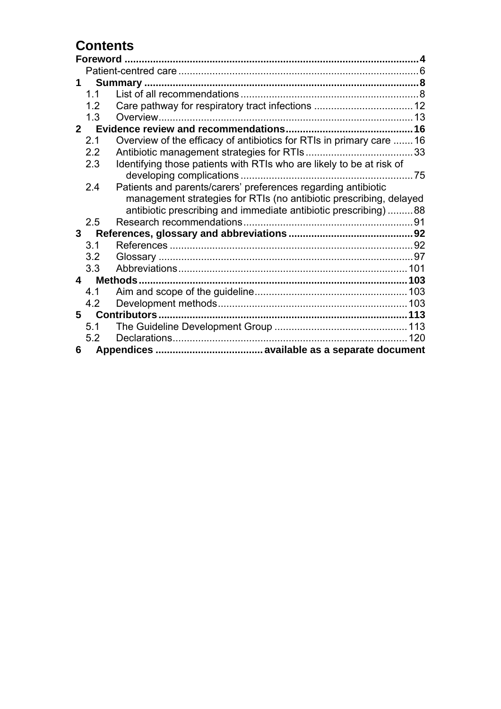## **Contents**

| 1  |                |                                                                      |  |
|----|----------------|----------------------------------------------------------------------|--|
|    | 1.1            |                                                                      |  |
|    | 1.2            |                                                                      |  |
|    | 1.3            |                                                                      |  |
|    | 2 <sup>7</sup> |                                                                      |  |
|    | 2.1            | Overview of the efficacy of antibiotics for RTIs in primary care  16 |  |
|    | 2.2            |                                                                      |  |
|    | 2.3            | Identifying those patients with RTIs who are likely to be at risk of |  |
|    |                |                                                                      |  |
|    | 2.4            | Patients and parents/carers' preferences regarding antibiotic        |  |
|    |                | management strategies for RTIs (no antibiotic prescribing, delayed   |  |
|    |                | antibiotic prescribing and immediate antibiotic prescribing) 88      |  |
|    | 2.5            |                                                                      |  |
| 3  |                |                                                                      |  |
|    | 3.1            |                                                                      |  |
|    | 3.2            |                                                                      |  |
|    | 3.3            |                                                                      |  |
|    | 4              |                                                                      |  |
|    | 4.1            |                                                                      |  |
|    | 4.2            |                                                                      |  |
| 5. |                |                                                                      |  |
|    | 5.1            |                                                                      |  |
|    | 5.2            |                                                                      |  |
| 6  |                |                                                                      |  |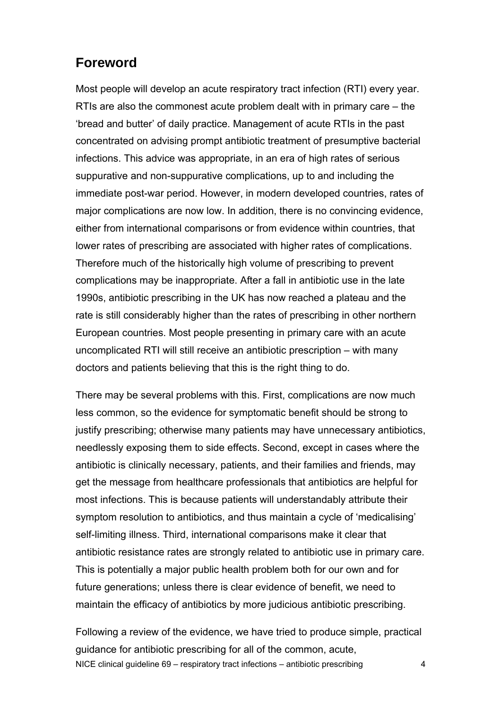## **Foreword**

Most people will develop an acute respiratory tract infection (RTI) every year. RTIs are also the commonest acute problem dealt with in primary care – the 'bread and butter' of daily practice. Management of acute RTIs in the past concentrated on advising prompt antibiotic treatment of presumptive bacterial infections. This advice was appropriate, in an era of high rates of serious suppurative and non-suppurative complications, up to and including the immediate post-war period. However, in modern developed countries, rates of major complications are now low. In addition, there is no convincing evidence, either from international comparisons or from evidence within countries, that lower rates of prescribing are associated with higher rates of complications. Therefore much of the historically high volume of prescribing to prevent complications may be inappropriate. After a fall in antibiotic use in the late 1990s, antibiotic prescribing in the UK has now reached a plateau and the rate is still considerably higher than the rates of prescribing in other northern European countries. Most people presenting in primary care with an acute uncomplicated RTI will still receive an antibiotic prescription – with many doctors and patients believing that this is the right thing to do.

There may be several problems with this. First, complications are now much less common, so the evidence for symptomatic benefit should be strong to justify prescribing; otherwise many patients may have unnecessary antibiotics, needlessly exposing them to side effects. Second, except in cases where the antibiotic is clinically necessary, patients, and their families and friends, may get the message from healthcare professionals that antibiotics are helpful for most infections. This is because patients will understandably attribute their symptom resolution to antibiotics, and thus maintain a cycle of 'medicalising' self-limiting illness. Third, international comparisons make it clear that antibiotic resistance rates are strongly related to antibiotic use in primary care. This is potentially a major public health problem both for our own and for future generations; unless there is clear evidence of benefit, we need to maintain the efficacy of antibiotics by more judicious antibiotic prescribing.

NICE clinical guideline 69 – respiratory tract infections – antibiotic prescribing 4 Following a review of the evidence, we have tried to produce simple, practical guidance for antibiotic prescribing for all of the common, acute,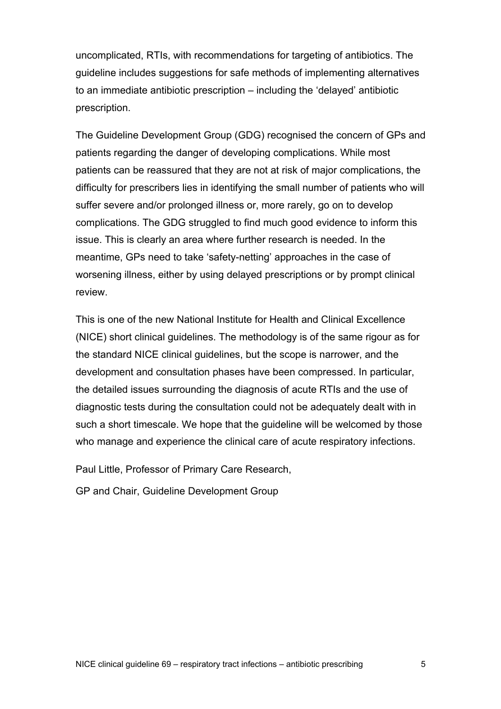uncomplicated, RTIs, with recommendations for targeting of antibiotics. The guideline includes suggestions for safe methods of implementing alternatives to an immediate antibiotic prescription – including the 'delayed' antibiotic prescription.

The Guideline Development Group (GDG) recognised the concern of GPs and patients regarding the danger of developing complications. While most patients can be reassured that they are not at risk of major complications, the difficulty for prescribers lies in identifying the small number of patients who will suffer severe and/or prolonged illness or, more rarely, go on to develop complications. The GDG struggled to find much good evidence to inform this issue. This is clearly an area where further research is needed. In the meantime, GPs need to take 'safety-netting' approaches in the case of worsening illness, either by using delayed prescriptions or by prompt clinical review.

This is one of the new National Institute for Health and Clinical Excellence (NICE) short clinical guidelines. The methodology is of the same rigour as for the standard NICE clinical guidelines, but the scope is narrower, and the development and consultation phases have been compressed. In particular, the detailed issues surrounding the diagnosis of acute RTIs and the use of diagnostic tests during the consultation could not be adequately dealt with in such a short timescale. We hope that the guideline will be welcomed by those who manage and experience the clinical care of acute respiratory infections.

Paul Little, Professor of Primary Care Research,

GP and Chair, Guideline Development Group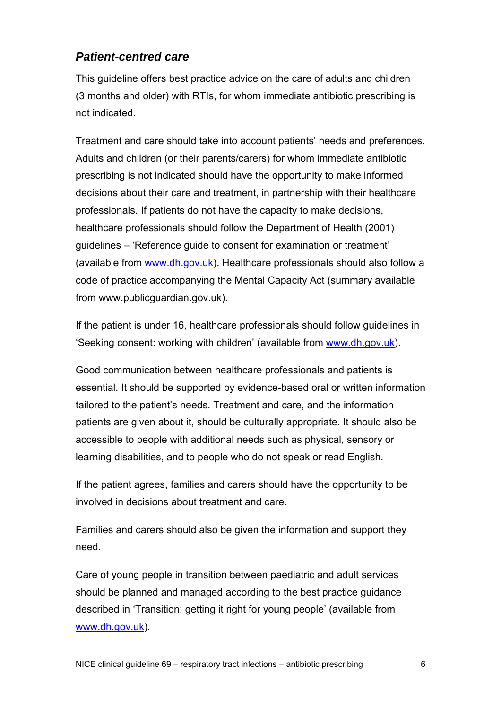## *Patient-centred care*

This guideline offers best practice advice on the care of adults and children (3 months and older) with RTIs, for whom immediate antibiotic prescribing is not indicated.

Treatment and care should take into account patients' needs and preferences. Adults and children (or their parents/carers) for whom immediate antibiotic prescribing is not indicated should have the opportunity to make informed decisions about their care and treatment, in partnership with their healthcare professionals. If patients do not have the capacity to make decisions, healthcare professionals should follow the Department of Health (2001) guidelines – 'Reference guide to consent for examination or treatment' (available from [www.dh.gov.uk](http://www.dh.gov.uk/)). Healthcare professionals should also follow a code of practice accompanying the Mental Capacity Act (summary available from [www.publicguardian.gov.uk](http://www.publicguardian.gov.uk/)).

If the patient is under 16, healthcare professionals should follow guidelines in 'Seeking consent: working with children' (available from [www.dh.gov.uk\)](http://www.dh.gov.uk/).

Good communication between healthcare professionals and patients is essential. It should be supported by evidence-based oral or written information tailored to the patient's needs. Treatment and care, and the information patients are given about it, should be culturally appropriate. It should also be accessible to people with additional needs such as physical, sensory or learning disabilities, and to people who do not speak or read English.

If the patient agrees, families and carers should have the opportunity to be involved in decisions about treatment and care.

Families and carers should also be given the information and support they need.

Care of young people in transition between paediatric and adult services should be planned and managed according to the best practice guidance described in 'Transition: getting it right for young people' (available from [www.dh.gov.uk](http://www.dh.gov.uk/)).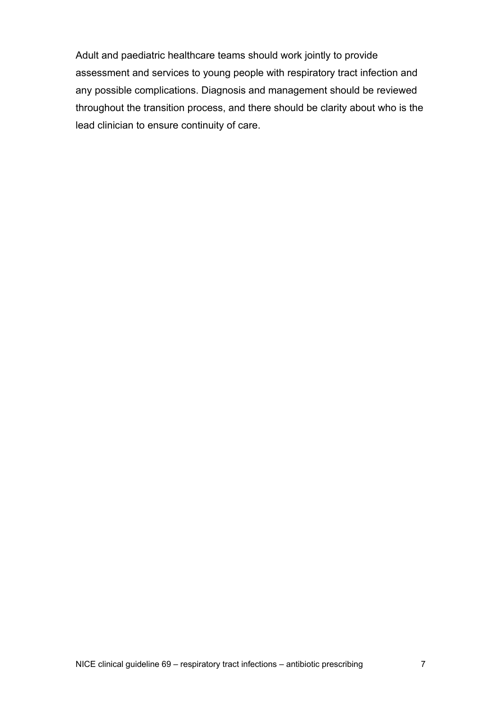Adult and paediatric healthcare teams should work jointly to provide assessment and services to young people with respiratory tract infection and any possible complications. Diagnosis and management should be reviewed throughout the transition process, and there should be clarity about who is the lead clinician to ensure continuity of care.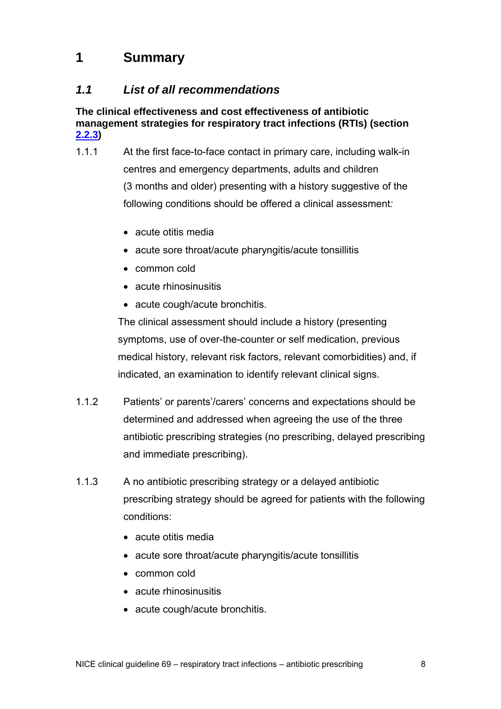## **1 Summary**

## *1.1 List of all recommendations*

**The clinical effectiveness and cost effectiveness of antibiotic management strategies for respiratory tract infections (RTIs) (section [2.2.3\)](#page-36-0)** 

- 1.1.1 At the first face-to-face contact in primary care, including walk-in centres and emergency departments, adults and children (3 months and older) presenting with a history suggestive of the following conditions should be offered a clinical assessment*:*
	- acute otitis media
	- acute sore throat/acute pharyngitis/acute tonsillitis
	- common cold
	- acute rhinosinusitis
	- acute cough/acute bronchitis.

The clinical assessment should include a history (presenting symptoms, use of over-the-counter or self medication, previous medical history, relevant risk factors, relevant comorbidities) and, if indicated, an examination to identify relevant clinical signs.

- 1.1.2 Patients' or parents'/carers' concerns and expectations should be determined and addressed when agreeing the use of the three antibiotic prescribing strategies (no prescribing, delayed prescribing and immediate prescribing).
- 1.1.3 A no antibiotic prescribing strategy or a delayed antibiotic prescribing strategy should be agreed for patients with the following conditions:
	- acute otitis media
	- acute sore throat/acute pharyngitis/acute tonsillitis
	- common cold
	- acute rhinosinusitis
	- acute cough/acute bronchitis.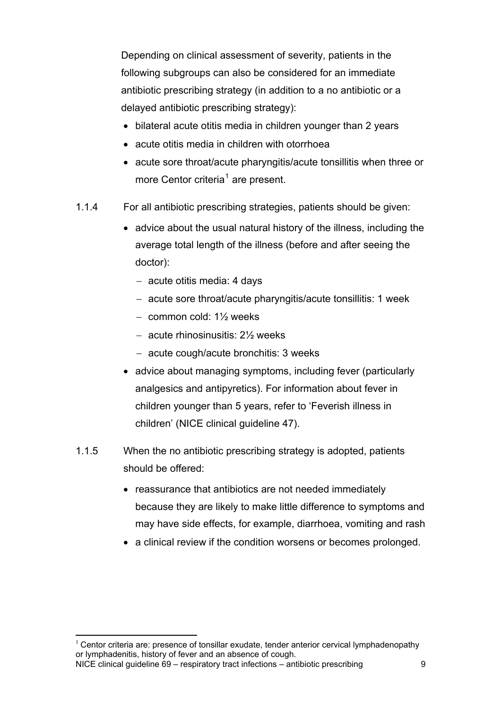<span id="page-8-0"></span>Depending on clinical assessment of severity, patients in the following subgroups can also be considered for an immediate antibiotic prescribing strategy (in addition to a no antibiotic or a delayed antibiotic prescribing strategy):

- bilateral acute otitis media in children younger than 2 years
- acute otitis media in children with otorrhoea
- acute sore throat/acute pharyngitis/acute tonsillitis when three or more Centor criteria<sup>[1](#page-8-0)</sup> are present.
- 1.1.4 For all antibiotic prescribing strategies, patients should be given:
	- advice about the usual natural history of the illness, including the average total length of the illness (before and after seeing the doctor):
		- − acute otitis media: 4 days
		- − acute sore throat/acute pharyngitis/acute tonsillitis: 1 week
		- − common cold: 1½ weeks
		- − acute rhinosinusitis: 2½ weeks
		- − acute cough/acute bronchitis: 3 weeks
	- advice about managing symptoms, including fever (particularly analgesics and antipyretics). For information about fever in children younger than 5 years, refer to 'Feverish illness in children' (NICE clinical guideline 47).
- 1.1.5 When the no antibiotic prescribing strategy is adopted, patients should be offered:
	- reassurance that antibiotics are not needed immediately because they are likely to make little difference to symptoms and may have side effects, for example, diarrhoea, vomiting and rash
	- a clinical review if the condition worsens or becomes prolonged.

NICE clinical guideline 69 – respiratory tract infections – antibiotic prescribing 9  $\overline{a}$  $1$  Centor criteria are: presence of tonsillar exudate, tender anterior cervical lymphadenopathy or lymphadenitis, history of fever and an absence of cough.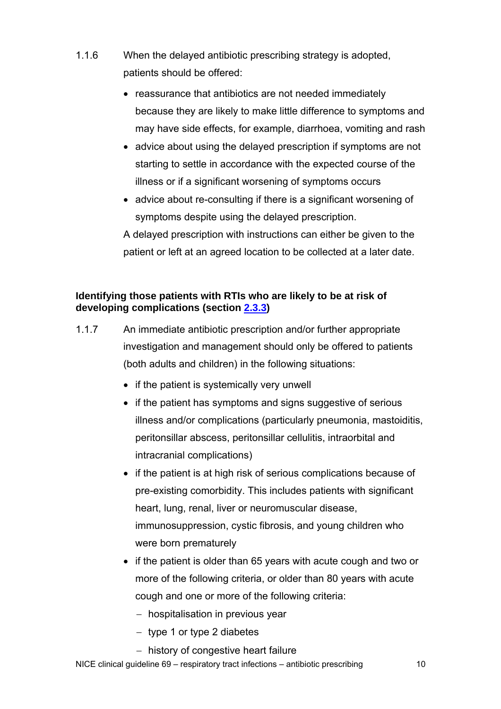- 1.1.6 When the delayed antibiotic prescribing strategy is adopted, patients should be offered:
	- reassurance that antibiotics are not needed immediately because they are likely to make little difference to symptoms and may have side effects, for example, diarrhoea, vomiting and rash
	- advice about using the delayed prescription if symptoms are not starting to settle in accordance with the expected course of the illness or if a significant worsening of symptoms occurs
	- advice about re-consulting if there is a significant worsening of symptoms despite using the delayed prescription.

A delayed prescription with instructions can either be given to the patient or left at an agreed location to be collected at a later date.

#### **Identifying those patients with RTIs who are likely to be at risk of developing complications (section [2.3.3\)](#page-76-0)**

- 1.1.7 An immediate antibiotic prescription and/or further appropriate investigation and management should only be offered to patients (both adults and children) in the following situations:
	- if the patient is systemically very unwell
	- if the patient has symptoms and signs suggestive of serious illness and/or complications (particularly pneumonia, mastoiditis, peritonsillar abscess, peritonsillar cellulitis, intraorbital and intracranial complications)
	- if the patient is at high risk of serious complications because of pre-existing comorbidity. This includes patients with significant heart, lung, renal, liver or neuromuscular disease, immunosuppression, cystic fibrosis, and young children who were born prematurely
	- if the patient is older than 65 years with acute cough and two or more of the following criteria, or older than 80 years with acute cough and one or more of the following criteria:
		- − hospitalisation in previous year
		- − type 1 or type 2 diabetes
		- − history of congestive heart failure

NICE clinical guideline 69 – respiratory tract infections – antibiotic prescribing 10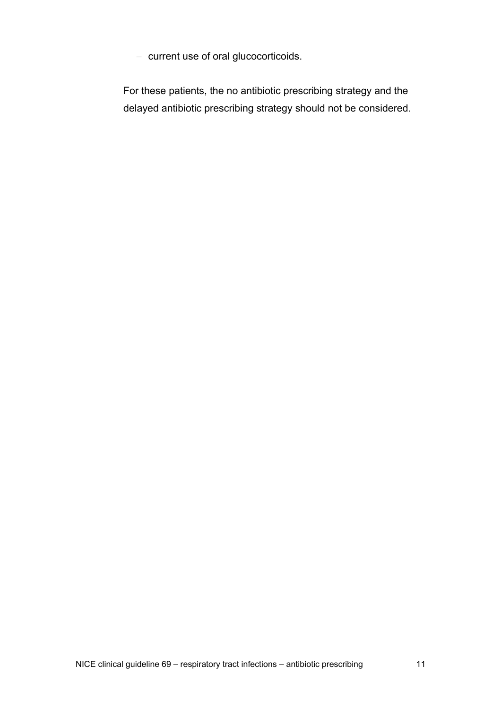− current use of oral glucocorticoids.

For these patients, the no antibiotic prescribing strategy and the delayed antibiotic prescribing strategy should not be considered.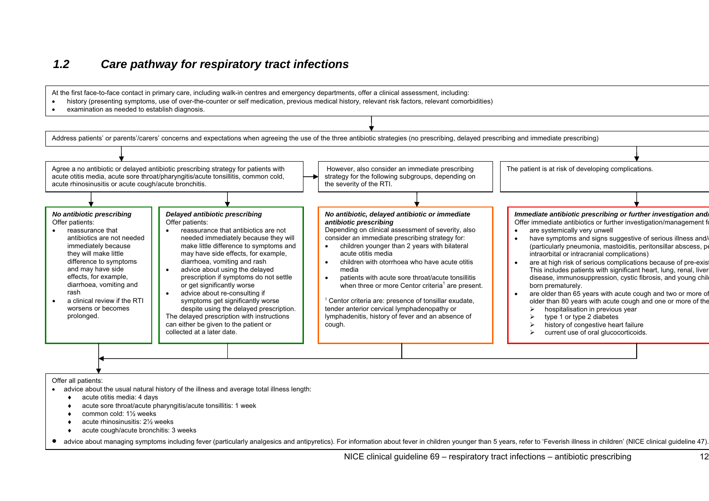## *1.2 Care pathway for respiratory tract infections*

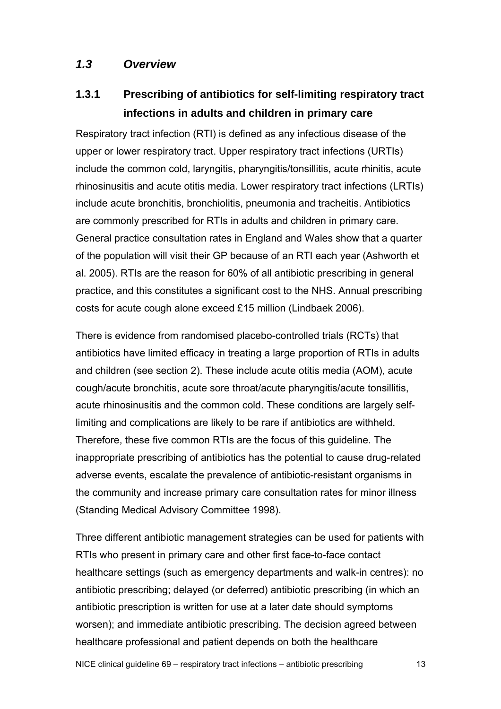## *1.3 Overview*

## **1.3.1 Prescribing of antibiotics for self-limiting respiratory tract infections in adults and children in primary care**

Respiratory tract infection (RTI) is defined as any infectious disease of the upper or lower respiratory tract. Upper respiratory tract infections (URTIs) include the common cold, laryngitis, pharyngitis/tonsillitis, acute rhinitis, acute rhinosinusitis and acute otitis media. Lower respiratory tract infections (LRTIs) include acute bronchitis, bronchiolitis, pneumonia and tracheitis. Antibiotics are commonly prescribed for RTIs in adults and children in primary care. General practice consultation rates in England and Wales show that a quarter of the population will visit their GP because of an RTI each year (Ashworth et al. 2005). RTIs are the reason for 60% of all antibiotic prescribing in general practice, and this constitutes a significant cost to the NHS. Annual prescribing costs for acute cough alone exceed £15 million (Lindbaek 2006).

There is evidence from randomised placebo-controlled trials (RCTs) that antibiotics have limited efficacy in treating a large proportion of RTIs in adults and children (see section 2). These include acute otitis media (AOM), acute cough/acute bronchitis, acute sore throat/acute pharyngitis/acute tonsillitis, acute rhinosinusitis and the common cold. These conditions are largely selflimiting and complications are likely to be rare if antibiotics are withheld. Therefore, these five common RTIs are the focus of this guideline. The inappropriate prescribing of antibiotics has the potential to cause drug-related adverse events, escalate the prevalence of antibiotic-resistant organisms in the community and increase primary care consultation rates for minor illness (Standing Medical Advisory Committee 1998).

Three different antibiotic management strategies can be used for patients with RTIs who present in primary care and other first face-to-face contact healthcare settings (such as emergency departments and walk-in centres): no antibiotic prescribing; delayed (or deferred) antibiotic prescribing (in which an antibiotic prescription is written for use at a later date should symptoms worsen); and immediate antibiotic prescribing. The decision agreed between healthcare professional and patient depends on both the healthcare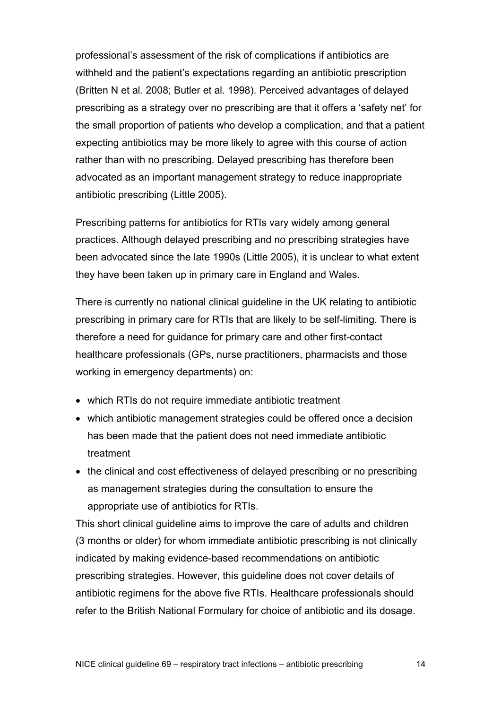professional's assessment of the risk of complications if antibiotics are withheld and the patient's expectations regarding an antibiotic prescription (Britten N et al. 2008; Butler et al. 1998). Perceived advantages of delayed prescribing as a strategy over no prescribing are that it offers a 'safety net' for the small proportion of patients who develop a complication, and that a patient expecting antibiotics may be more likely to agree with this course of action rather than with no prescribing. Delayed prescribing has therefore been advocated as an important management strategy to reduce inappropriate antibiotic prescribing (Little 2005).

Prescribing patterns for antibiotics for RTIs vary widely among general practices. Although delayed prescribing and no prescribing strategies have been advocated since the late 1990s (Little 2005), it is unclear to what extent they have been taken up in primary care in England and Wales.

There is currently no national clinical guideline in the UK relating to antibiotic prescribing in primary care for RTIs that are likely to be self-limiting. There is therefore a need for guidance for primary care and other first-contact healthcare professionals (GPs, nurse practitioners, pharmacists and those working in emergency departments) on:

- which RTIs do not require immediate antibiotic treatment
- which antibiotic management strategies could be offered once a decision has been made that the patient does not need immediate antibiotic treatment
- the clinical and cost effectiveness of delayed prescribing or no prescribing as management strategies during the consultation to ensure the appropriate use of antibiotics for RTIs.

This short clinical guideline aims to improve the care of adults and children (3 months or older) for whom immediate antibiotic prescribing is not clinically indicated by making evidence-based recommendations on antibiotic prescribing strategies. However, this guideline does not cover details of antibiotic regimens for the above five RTIs. Healthcare professionals should refer to the British National Formulary for choice of antibiotic and its dosage.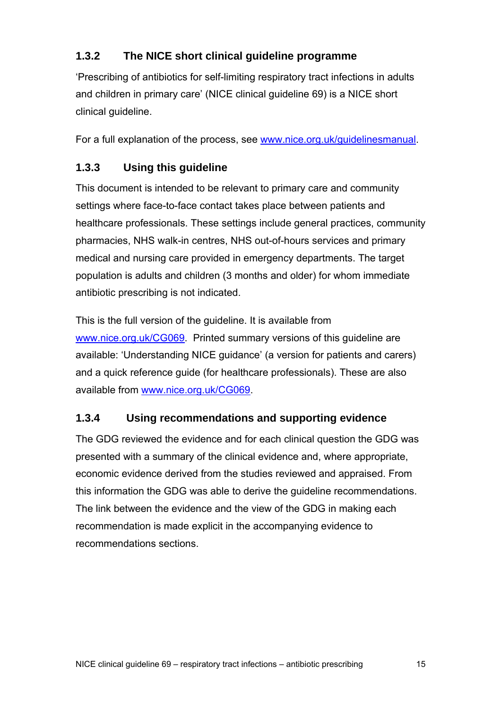## **1.3.2 The NICE short clinical guideline programme**

'Prescribing of antibiotics for self-limiting respiratory tract infections in adults and children in primary care' (NICE clinical guideline 69) is a NICE short clinical guideline.

For a full explanation of the process, see [www.nice.org.uk/guidelinesmanual](http://www.nice.org.uk/guidelinesmanual).

## **1.3.3 Using this guideline**

This document is intended to be relevant to primary care and community settings where face-to-face contact takes place between patients and healthcare professionals. These settings include general practices, community pharmacies, NHS walk-in centres, NHS out-of-hours services and primary medical and nursing care provided in emergency departments. The target population is adults and children (3 months and older) for whom immediate antibiotic prescribing is not indicated.

This is the full version of the guideline. It is available from [www.nice.org.uk/CG069](http://www.nice.org.uk/CG069). Printed summary versions of this quideline are available: 'Understanding NICE guidance' (a version for patients and carers) and a quick reference guide (for healthcare professionals). These are also available from [www.nice.org.uk/CG069](http://www.nice.org.uk/CG069).

## **1.3.4 Using recommendations and supporting evidence**

The GDG reviewed the evidence and for each clinical question the GDG was presented with a summary of the clinical evidence and, where appropriate, economic evidence derived from the studies reviewed and appraised. From this information the GDG was able to derive the guideline recommendations. The link between the evidence and the view of the GDG in making each recommendation is made explicit in the accompanying evidence to recommendations sections.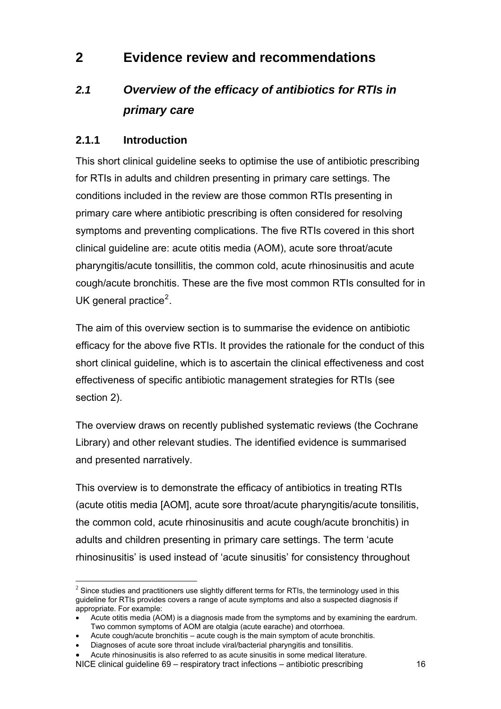## <span id="page-15-0"></span>**2 Evidence review and recommendations**

## *2.1 Overview of the efficacy of antibiotics for RTIs in primary care*

## **2.1.1 Introduction**

 $\overline{a}$ 

This short clinical guideline seeks to optimise the use of antibiotic prescribing for RTIs in adults and children presenting in primary care settings. The conditions included in the review are those common RTIs presenting in primary care where antibiotic prescribing is often considered for resolving symptoms and preventing complications. The five RTIs covered in this short clinical guideline are: acute otitis media (AOM), acute sore throat/acute pharyngitis/acute tonsillitis, the common cold, acute rhinosinusitis and acute cough/acute bronchitis. These are the five most common RTIs consulted for in UK general practice $2$ .

The aim of this overview section is to summarise the evidence on antibiotic efficacy for the above five RTIs. It provides the rationale for the conduct of this short clinical guideline, which is to ascertain the clinical effectiveness and cost effectiveness of specific antibiotic management strategies for RTIs (see section 2).

The overview draws on recently published systematic reviews (the Cochrane Library) and other relevant studies. The identified evidence is summarised and presented narratively.

This overview is to demonstrate the efficacy of antibiotics in treating RTIs (acute otitis media [AOM], acute sore throat/acute pharyngitis/acute tonsilitis, the common cold, acute rhinosinusitis and acute cough/acute bronchitis) in adults and children presenting in primary care settings. The term 'acute rhinosinusitis' is used instead of 'acute sinusitis' for consistency throughout

 $2$  Since studies and practitioners use slightly different terms for RTIs, the terminology used in this guideline for RTIs provides covers a range of acute symptoms and also a suspected diagnosis if appropriate. For example:

<sup>•</sup> Acute otitis media (AOM) is a diagnosis made from the symptoms and by examining the eardrum. Two common symptoms of AOM are otalgia (acute earache) and otorrhoea.

<sup>•</sup> Acute cough/acute bronchitis – acute cough is the main symptom of acute bronchitis.

<sup>•</sup> Diagnoses of acute sore throat include viral/bacterial pharyngitis and tonsillitis.

NICE clinical guideline 69 – respiratory tract infections – antibiotic prescribing 16 • Acute rhinosinusitis is also referred to as acute sinusitis in some medical literature.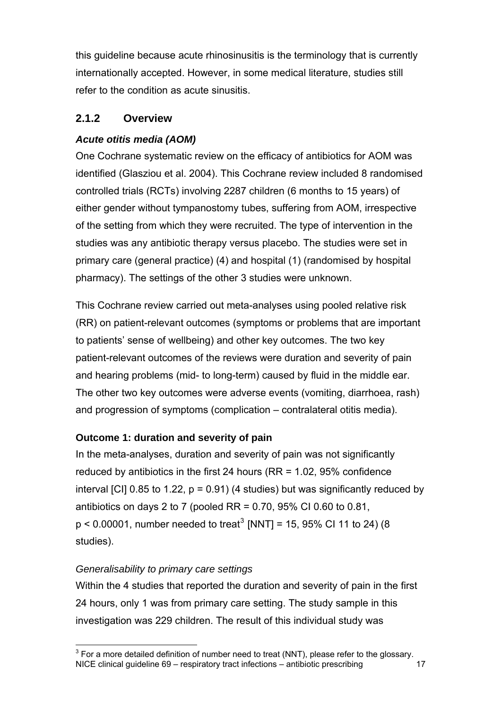<span id="page-16-0"></span>this guideline because acute rhinosinusitis is the terminology that is currently internationally accepted. However, in some medical literature, studies still refer to the condition as acute sinusitis.

## **2.1.2 Overview**

#### *Acute otitis media (AOM)*

One Cochrane systematic review on the efficacy of antibiotics for AOM was identified (Glasziou et al. 2004). This Cochrane review included 8 randomised controlled trials (RCTs) involving 2287 children (6 months to 15 years) of either gender without tympanostomy tubes, suffering from AOM, irrespective of the setting from which they were recruited. The type of intervention in the studies was any antibiotic therapy versus placebo. The studies were set in primary care (general practice) (4) and hospital (1) (randomised by hospital pharmacy). The settings of the other 3 studies were unknown.

This Cochrane review carried out meta-analyses using pooled relative risk (RR) on patient-relevant outcomes (symptoms or problems that are important to patients' sense of wellbeing) and other key outcomes. The two key patient-relevant outcomes of the reviews were duration and severity of pain and hearing problems (mid- to long-term) caused by fluid in the middle ear. The other two key outcomes were adverse events (vomiting, diarrhoea, rash) and progression of symptoms (complication – contralateral otitis media).

#### **Outcome 1: duration and severity of pain**

In the meta-analyses, duration and severity of pain was not significantly reduced by antibiotics in the first 24 hours (RR = 1.02, 95% confidence interval [CI] 0.85 to 1.22,  $p = 0.91$  (4 studies) but was significantly reduced by antibiotics on days 2 to 7 (pooled RR =  $0.70$ , 95% CI 0.60 to 0.81,  $p < 0.00001$ , number needed to treat<sup>[3](#page-16-0)</sup> [NNT] = 15, 95% CI 11 to 24) (8 studies).

#### *Generalisability to primary care settings*

 $\overline{a}$ 

Within the 4 studies that reported the duration and severity of pain in the first 24 hours, only 1 was from primary care setting. The study sample in this investigation was 229 children. The result of this individual study was

NICE clinical guideline 69 – respiratory tract infections – antibiotic prescribing 17  $3$  For a more detailed definition of number need to treat (NNT), please refer to the glossary.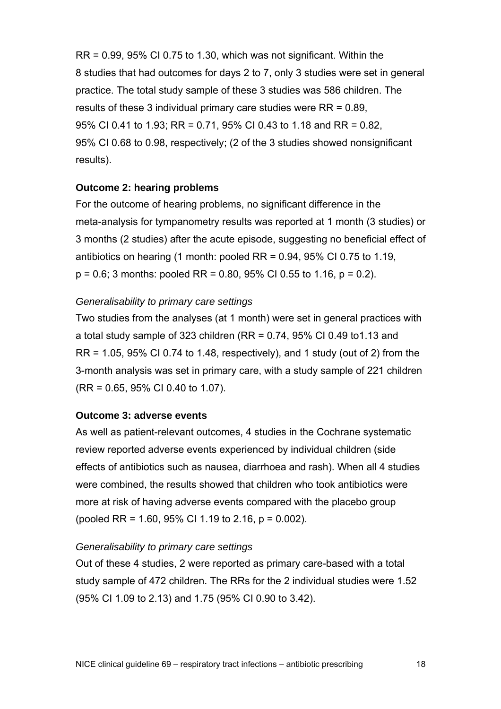$RR = 0.99$ , 95% CI 0.75 to 1.30, which was not significant. Within the 8 studies that had outcomes for days 2 to 7, only 3 studies were set in general practice. The total study sample of these 3 studies was 586 children. The results of these 3 individual primary care studies were RR = 0.89, 95% CI 0.41 to 1.93; RR = 0.71, 95% CI 0.43 to 1.18 and RR = 0.82, 95% CI 0.68 to 0.98, respectively; (2 of the 3 studies showed nonsignificant results).

#### **Outcome 2: hearing problems**

For the outcome of hearing problems, no significant difference in the meta-analysis for tympanometry results was reported at 1 month (3 studies) or 3 months (2 studies) after the acute episode, suggesting no beneficial effect of antibiotics on hearing (1 month: pooled  $RR = 0.94$ , 95% CI 0.75 to 1.19,  $p = 0.6$ ; 3 months: pooled RR = 0.80, 95% CI 0.55 to 1.16,  $p = 0.2$ ).

#### *Generalisability to primary care settings*

Two studies from the analyses (at 1 month) were set in general practices with a total study sample of 323 children (RR =  $0.74$ , 95% CI 0.49 to 1.13 and  $RR = 1.05$ , 95% CI 0.74 to 1.48, respectively), and 1 study (out of 2) from the 3-month analysis was set in primary care, with a study sample of 221 children (RR = 0.65, 95% CI 0.40 to 1.07).

#### **Outcome 3: adverse events**

As well as patient-relevant outcomes, 4 studies in the Cochrane systematic review reported adverse events experienced by individual children (side effects of antibiotics such as nausea, diarrhoea and rash). When all 4 studies were combined, the results showed that children who took antibiotics were more at risk of having adverse events compared with the placebo group (pooled RR = 1.60, 95% CI 1.19 to 2.16, p = 0.002).

#### *Generalisability to primary care settings*

Out of these 4 studies, 2 were reported as primary care-based with a total study sample of 472 children. The RRs for the 2 individual studies were 1.52 (95% CI 1.09 to 2.13) and 1.75 (95% CI 0.90 to 3.42).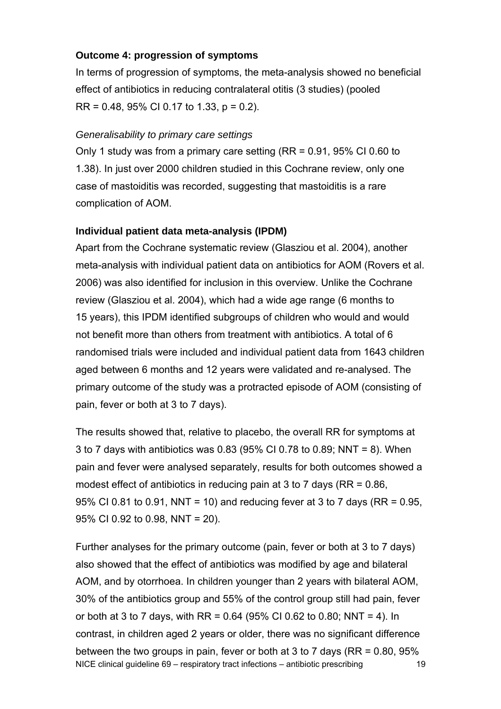#### **Outcome 4: progression of symptoms**

In terms of progression of symptoms, the meta-analysis showed no beneficial effect of antibiotics in reducing contralateral otitis (3 studies) (pooled RR = 0.48, 95% CI 0.17 to 1.33, p = 0.2).

#### *Generalisability to primary care settings*

Only 1 study was from a primary care setting (RR = 0.91, 95% CI 0.60 to 1.38). In just over 2000 children studied in this Cochrane review, only one case of mastoiditis was recorded, suggesting that mastoiditis is a rare complication of AOM.

#### **Individual patient data meta-analysis (IPDM)**

Apart from the Cochrane systematic review (Glasziou et al. 2004), another meta-analysis with individual patient data on antibiotics for AOM (Rovers et al. 2006) was also identified for inclusion in this overview. Unlike the Cochrane review (Glasziou et al. 2004), which had a wide age range (6 months to 15 years), this IPDM identified subgroups of children who would and would not benefit more than others from treatment with antibiotics. A total of 6 randomised trials were included and individual patient data from 1643 children aged between 6 months and 12 years were validated and re-analysed. The primary outcome of the study was a protracted episode of AOM (consisting of pain, fever or both at 3 to 7 days).

The results showed that, relative to placebo, the overall RR for symptoms at 3 to 7 days with antibiotics was 0.83 (95% CI 0.78 to 0.89; NNT = 8). When pain and fever were analysed separately, results for both outcomes showed a modest effect of antibiotics in reducing pain at 3 to 7 days (RR = 0.86, 95% CI 0.81 to 0.91, NNT = 10) and reducing fever at 3 to 7 days (RR = 0.95, 95% CI 0.92 to 0.98, NNT = 20).

NICE clinical guideline 69 – respiratory tract infections – antibiotic prescribing 19 Further analyses for the primary outcome (pain, fever or both at 3 to 7 days) also showed that the effect of antibiotics was modified by age and bilateral AOM, and by otorrhoea. In children younger than 2 years with bilateral AOM, 30% of the antibiotics group and 55% of the control group still had pain, fever or both at 3 to 7 days, with RR = 0.64 (95% CI 0.62 to 0.80; NNT = 4). In contrast, in children aged 2 years or older, there was no significant difference between the two groups in pain, fever or both at 3 to 7 days (RR = 0.80, 95%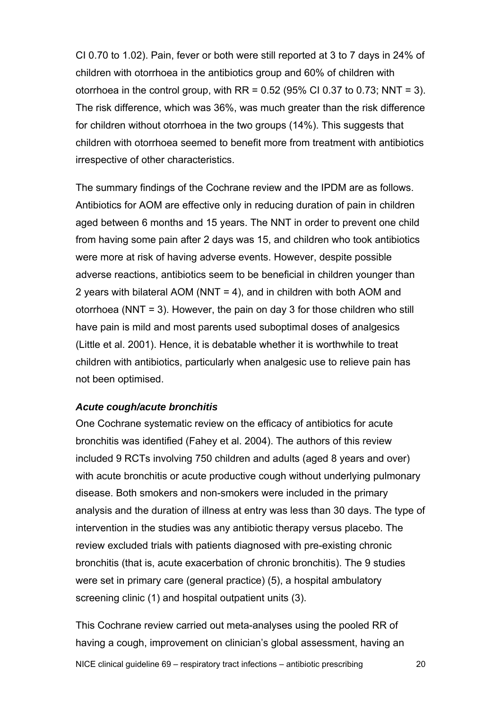CI 0.70 to 1.02). Pain, fever or both were still reported at 3 to 7 days in 24% of children with otorrhoea in the antibiotics group and 60% of children with otorrhoea in the control group, with  $RR = 0.52$  (95% CI 0.37 to 0.73; NNT = 3). The risk difference, which was 36%, was much greater than the risk difference for children without otorrhoea in the two groups (14%). This suggests that children with otorrhoea seemed to benefit more from treatment with antibiotics irrespective of other characteristics.

The summary findings of the Cochrane review and the IPDM are as follows. Antibiotics for AOM are effective only in reducing duration of pain in children aged between 6 months and 15 years. The NNT in order to prevent one child from having some pain after 2 days was 15, and children who took antibiotics were more at risk of having adverse events. However, despite possible adverse reactions, antibiotics seem to be beneficial in children younger than 2 years with bilateral AOM (NNT = 4), and in children with both AOM and otorrhoea (NNT = 3). However, the pain on day 3 for those children who still have pain is mild and most parents used suboptimal doses of analgesics (Little et al. 2001). Hence, it is debatable whether it is worthwhile to treat children with antibiotics, particularly when analgesic use to relieve pain has not been optimised.

#### *Acute cough/acute bronchitis*

One Cochrane systematic review on the efficacy of antibiotics for acute bronchitis was identified (Fahey et al. 2004). The authors of this review included 9 RCTs involving 750 children and adults (aged 8 years and over) with acute bronchitis or acute productive cough without underlying pulmonary disease. Both smokers and non-smokers were included in the primary analysis and the duration of illness at entry was less than 30 days. The type of intervention in the studies was any antibiotic therapy versus placebo. The review excluded trials with patients diagnosed with pre-existing chronic bronchitis (that is, acute exacerbation of chronic bronchitis). The 9 studies were set in primary care (general practice) (5), a hospital ambulatory screening clinic (1) and hospital outpatient units (3).

This Cochrane review carried out meta-analyses using the pooled RR of having a cough, improvement on clinician's global assessment, having an

NICE clinical guideline 69 – respiratory tract infections – antibiotic prescribing 20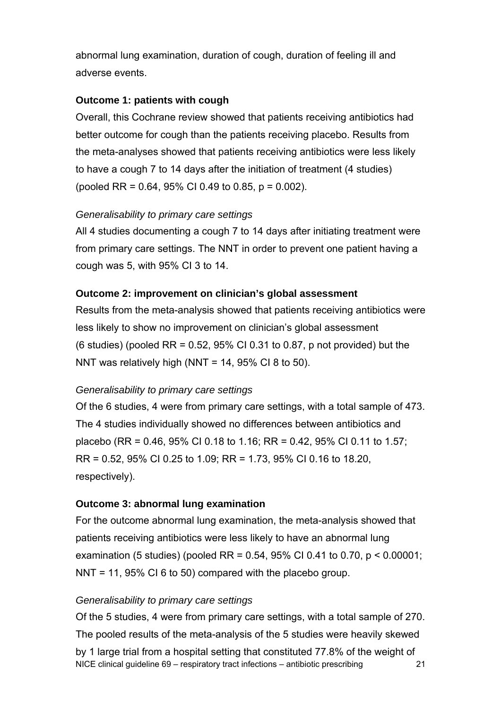abnormal lung examination, duration of cough, duration of feeling ill and adverse events.

#### **Outcome 1: patients with cough**

Overall, this Cochrane review showed that patients receiving antibiotics had better outcome for cough than the patients receiving placebo. Results from the meta-analyses showed that patients receiving antibiotics were less likely to have a cough 7 to 14 days after the initiation of treatment (4 studies) (pooled RR = 0.64, 95% CI 0.49 to 0.85, p = 0.002).

#### *Generalisability to primary care settings*

All 4 studies documenting a cough 7 to 14 days after initiating treatment were from primary care settings. The NNT in order to prevent one patient having a cough was 5, with 95% CI 3 to 14.

#### **Outcome 2: improvement on clinician's global assessment**

Results from the meta-analysis showed that patients receiving antibiotics were less likely to show no improvement on clinician's global assessment (6 studies) (pooled RR =  $0.52$ , 95% CI 0.31 to 0.87, p not provided) but the NNT was relatively high (NNT =  $14$ , 95% CI 8 to 50).

#### *Generalisability to primary care settings*

Of the 6 studies, 4 were from primary care settings, with a total sample of 473. The 4 studies individually showed no differences between antibiotics and placebo (RR = 0.46, 95% CI 0.18 to 1.16; RR = 0.42, 95% CI 0.11 to 1.57; RR = 0.52, 95% CI 0.25 to 1.09; RR = 1.73, 95% CI 0.16 to 18.20, respectively).

#### **Outcome 3: abnormal lung examination**

For the outcome abnormal lung examination, the meta-analysis showed that patients receiving antibiotics were less likely to have an abnormal lung examination (5 studies) (pooled RR = 0.54, 95% CI 0.41 to 0.70, p < 0.00001; NNT = 11, 95% CI 6 to 50) compared with the placebo group.

#### *Generalisability to primary care settings*

NICE clinical guideline 69 – respiratory tract infections – antibiotic prescribing 21 Of the 5 studies, 4 were from primary care settings, with a total sample of 270. The pooled results of the meta-analysis of the 5 studies were heavily skewed by 1 large trial from a hospital setting that constituted 77.8% of the weight of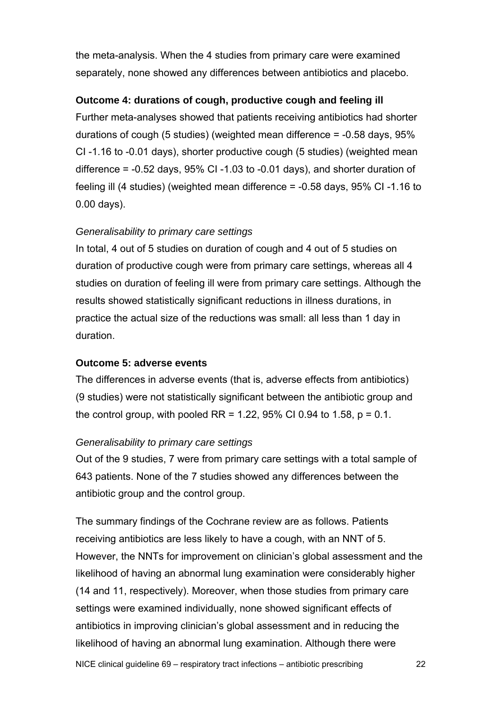the meta-analysis. When the 4 studies from primary care were examined separately, none showed any differences between antibiotics and placebo.

#### **Outcome 4: durations of cough, productive cough and feeling ill**

Further meta-analyses showed that patients receiving antibiotics had shorter durations of cough (5 studies) (weighted mean difference = -0.58 days, 95% CI -1.16 to -0.01 days), shorter productive cough (5 studies) (weighted mean difference = -0.52 days, 95% CI -1.03 to -0.01 days), and shorter duration of feeling ill (4 studies) (weighted mean difference = -0.58 days, 95% CI -1.16 to 0.00 days).

#### *Generalisability to primary care settings*

In total, 4 out of 5 studies on duration of cough and 4 out of 5 studies on duration of productive cough were from primary care settings, whereas all 4 studies on duration of feeling ill were from primary care settings. Although the results showed statistically significant reductions in illness durations, in practice the actual size of the reductions was small: all less than 1 day in duration.

#### **Outcome 5: adverse events**

The differences in adverse events (that is, adverse effects from antibiotics) (9 studies) were not statistically significant between the antibiotic group and the control group, with pooled RR = 1.22, 95% CI 0.94 to 1.58,  $p = 0.1$ .

#### *Generalisability to primary care settings*

Out of the 9 studies, 7 were from primary care settings with a total sample of 643 patients. None of the 7 studies showed any differences between the antibiotic group and the control group.

The summary findings of the Cochrane review are as follows. Patients receiving antibiotics are less likely to have a cough, with an NNT of 5. However, the NNTs for improvement on clinician's global assessment and the likelihood of having an abnormal lung examination were considerably higher (14 and 11, respectively). Moreover, when those studies from primary care settings were examined individually, none showed significant effects of antibiotics in improving clinician's global assessment and in reducing the likelihood of having an abnormal lung examination. Although there were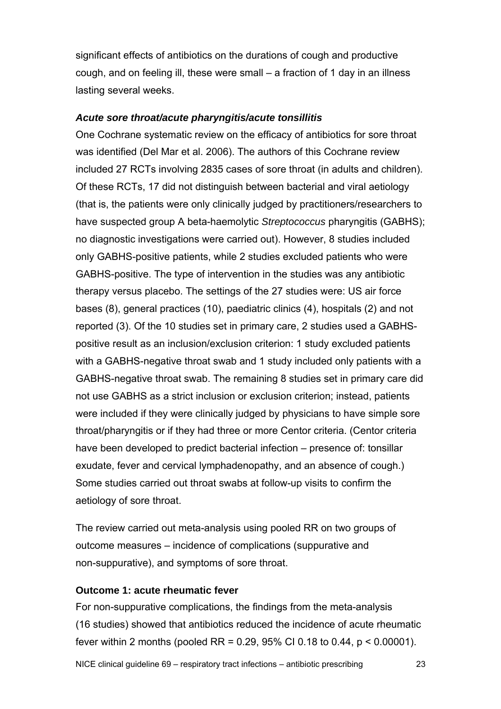significant effects of antibiotics on the durations of cough and productive cough, and on feeling ill, these were small – a fraction of 1 day in an illness lasting several weeks.

#### *Acute sore throat/acute pharyngitis/acute tonsillitis*

One Cochrane systematic review on the efficacy of antibiotics for sore throat was identified (Del Mar et al. 2006). The authors of this Cochrane review included 27 RCTs involving 2835 cases of sore throat (in adults and children). Of these RCTs, 17 did not distinguish between bacterial and viral aetiology (that is, the patients were only clinically judged by practitioners/researchers to have suspected group A beta-haemolytic *Streptococcus* pharyngitis (GABHS); no diagnostic investigations were carried out). However, 8 studies included only GABHS-positive patients, while 2 studies excluded patients who were GABHS-positive. The type of intervention in the studies was any antibiotic therapy versus placebo. The settings of the 27 studies were: US air force bases (8), general practices (10), paediatric clinics (4), hospitals (2) and not reported (3). Of the 10 studies set in primary care, 2 studies used a GABHSpositive result as an inclusion/exclusion criterion: 1 study excluded patients with a GABHS-negative throat swab and 1 study included only patients with a GABHS-negative throat swab. The remaining 8 studies set in primary care did not use GABHS as a strict inclusion or exclusion criterion; instead, patients were included if they were clinically judged by physicians to have simple sore throat/pharyngitis or if they had three or more Centor criteria. (Centor criteria have been developed to predict bacterial infection – presence of: tonsillar exudate, fever and cervical lymphadenopathy, and an absence of cough.) Some studies carried out throat swabs at follow-up visits to confirm the aetiology of sore throat.

The review carried out meta-analysis using pooled RR on two groups of outcome measures – incidence of complications (suppurative and non-suppurative), and symptoms of sore throat.

#### **Outcome 1: acute rheumatic fever**

For non-suppurative complications, the findings from the meta-analysis (16 studies) showed that antibiotics reduced the incidence of acute rheumatic fever within 2 months (pooled RR =  $0.29$ , 95% CI 0.18 to 0.44, p < 0.00001).

NICE clinical guideline 69 – respiratory tract infections – antibiotic prescribing 23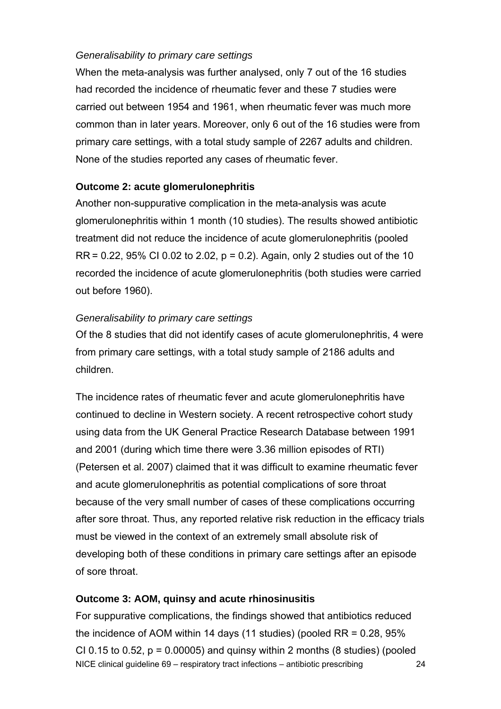#### *Generalisability to primary care settings*

When the meta-analysis was further analysed, only 7 out of the 16 studies had recorded the incidence of rheumatic fever and these 7 studies were carried out between 1954 and 1961, when rheumatic fever was much more common than in later years. Moreover, only 6 out of the 16 studies were from primary care settings, with a total study sample of 2267 adults and children. None of the studies reported any cases of rheumatic fever.

#### **Outcome 2: acute glomerulonephritis**

Another non-suppurative complication in the meta-analysis was acute glomerulonephritis within 1 month (10 studies). The results showed antibiotic treatment did not reduce the incidence of acute glomerulonephritis (pooled  $RR = 0.22$ , 95% CI 0.02 to 2.02,  $p = 0.2$ ). Again, only 2 studies out of the 10 recorded the incidence of acute glomerulonephritis (both studies were carried out before 1960).

#### *Generalisability to primary care settings*

Of the 8 studies that did not identify cases of acute glomerulonephritis, 4 were from primary care settings, with a total study sample of 2186 adults and children.

The incidence rates of rheumatic fever and acute glomerulonephritis have continued to decline in Western society. A recent retrospective cohort study using data from the UK General Practice Research Database between 1991 and 2001 (during which time there were 3.36 million episodes of RTI) (Petersen et al. 2007) claimed that it was difficult to examine rheumatic fever and acute glomerulonephritis as potential complications of sore throat because of the very small number of cases of these complications occurring after sore throat. Thus, any reported relative risk reduction in the efficacy trials must be viewed in the context of an extremely small absolute risk of developing both of these conditions in primary care settings after an episode of sore throat.

#### **Outcome 3: AOM, quinsy and acute rhinosinusitis**

NICE clinical guideline 69 – respiratory tract infections – antibiotic prescribing 24 For suppurative complications, the findings showed that antibiotics reduced the incidence of AOM within 14 days (11 studies) (pooled  $RR = 0.28, 95\%$ CI 0.15 to 0.52,  $p = 0.00005$ ) and quinsy within 2 months (8 studies) (pooled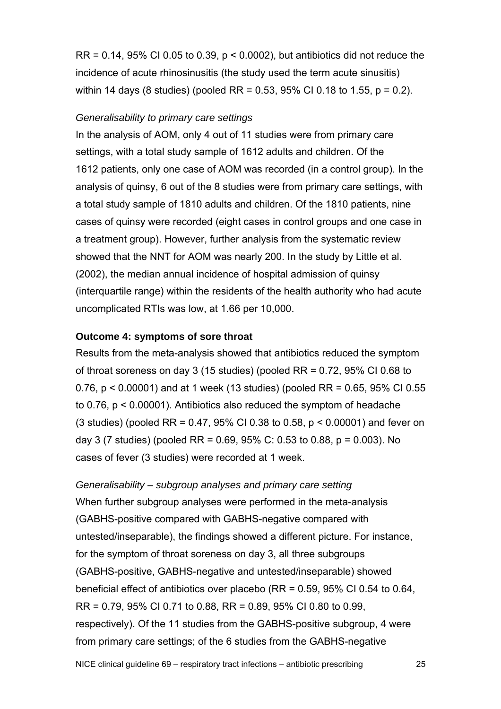$RR = 0.14$ , 95% CI 0.05 to 0.39,  $p < 0.0002$ ), but antibiotics did not reduce the incidence of acute rhinosinusitis (the study used the term acute sinusitis) within 14 days (8 studies) (pooled RR = 0.53, 95% CI 0.18 to 1.55, p = 0.2).

#### *Generalisability to primary care settings*

In the analysis of AOM, only 4 out of 11 studies were from primary care settings, with a total study sample of 1612 adults and children. Of the 1612 patients, only one case of AOM was recorded (in a control group). In the analysis of quinsy, 6 out of the 8 studies were from primary care settings, with a total study sample of 1810 adults and children. Of the 1810 patients, nine cases of quinsy were recorded (eight cases in control groups and one case in a treatment group). However, further analysis from the systematic review showed that the NNT for AOM was nearly 200. In the study by Little et al. (2002), the median annual incidence of hospital admission of quinsy (interquartile range) within the residents of the health authority who had acute uncomplicated RTIs was low, at 1.66 per 10,000.

#### **Outcome 4: symptoms of sore throat**

Results from the meta-analysis showed that antibiotics reduced the symptom of throat soreness on day 3 (15 studies) (pooled RR = 0.72, 95% CI 0.68 to 0.76, p < 0.00001) and at 1 week (13 studies) (pooled RR = 0.65, 95% CI 0.55 to 0.76, p < 0.00001). Antibiotics also reduced the symptom of headache (3 studies) (pooled RR = 0.47, 95% CI 0.38 to 0.58, p < 0.00001) and fever on day 3 (7 studies) (pooled RR =  $0.69, 95\%$  C: 0.53 to 0.88, p = 0.003). No cases of fever (3 studies) were recorded at 1 week.

*Generalisability – subgroup analyses and primary care setting*  When further subgroup analyses were performed in the meta-analysis (GABHS-positive compared with GABHS-negative compared with untested/inseparable), the findings showed a different picture. For instance, for the symptom of throat soreness on day 3, all three subgroups (GABHS-positive, GABHS-negative and untested/inseparable) showed beneficial effect of antibiotics over placebo (RR = 0.59, 95% CI 0.54 to 0.64, RR = 0.79, 95% CI 0.71 to 0.88, RR = 0.89, 95% CI 0.80 to 0.99, respectively). Of the 11 studies from the GABHS-positive subgroup, 4 were from primary care settings; of the 6 studies from the GABHS-negative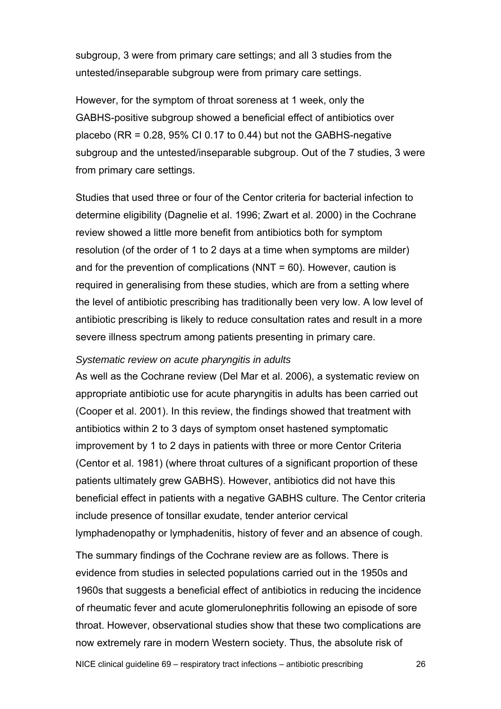subgroup, 3 were from primary care settings; and all 3 studies from the untested/inseparable subgroup were from primary care settings.

However, for the symptom of throat soreness at 1 week, only the GABHS-positive subgroup showed a beneficial effect of antibiotics over placebo ( $RR = 0.28$ ,  $95\%$  CI 0.17 to 0.44) but not the GABHS-negative subgroup and the untested/inseparable subgroup. Out of the 7 studies, 3 were from primary care settings.

Studies that used three or four of the Centor criteria for bacterial infection to determine eligibility (Dagnelie et al. 1996; Zwart et al. 2000) in the Cochrane review showed a little more benefit from antibiotics both for symptom resolution (of the order of 1 to 2 days at a time when symptoms are milder) and for the prevention of complications ( $NNT = 60$ ). However, caution is required in generalising from these studies, which are from a setting where the level of antibiotic prescribing has traditionally been very low. A low level of antibiotic prescribing is likely to reduce consultation rates and result in a more severe illness spectrum among patients presenting in primary care.

#### *Systematic review on acute pharyngitis in adults*

As well as the Cochrane review (Del Mar et al. 2006), a systematic review on appropriate antibiotic use for acute pharyngitis in adults has been carried out (Cooper et al. 2001). In this review, the findings showed that treatment with antibiotics within 2 to 3 days of symptom onset hastened symptomatic improvement by 1 to 2 days in patients with three or more Centor Criteria (Centor et al. 1981) (where throat cultures of a significant proportion of these patients ultimately grew GABHS). However, antibiotics did not have this beneficial effect in patients with a negative GABHS culture. The Centor criteria include presence of tonsillar exudate, tender anterior cervical lymphadenopathy or lymphadenitis, history of fever and an absence of cough.

The summary findings of the Cochrane review are as follows. There is evidence from studies in selected populations carried out in the 1950s and 1960s that suggests a beneficial effect of antibiotics in reducing the incidence of rheumatic fever and acute glomerulonephritis following an episode of sore throat. However, observational studies show that these two complications are now extremely rare in modern Western society. Thus, the absolute risk of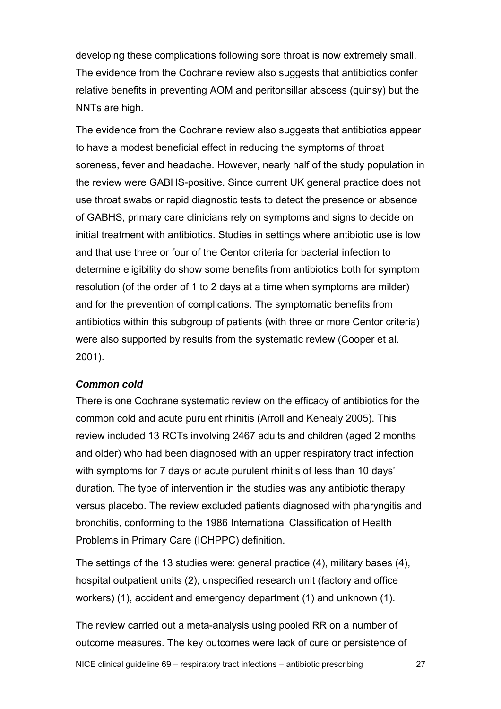developing these complications following sore throat is now extremely small. The evidence from the Cochrane review also suggests that antibiotics confer relative benefits in preventing AOM and peritonsillar abscess (quinsy) but the NNTs are high.

The evidence from the Cochrane review also suggests that antibiotics appear to have a modest beneficial effect in reducing the symptoms of throat soreness, fever and headache. However, nearly half of the study population in the review were GABHS-positive. Since current UK general practice does not use throat swabs or rapid diagnostic tests to detect the presence or absence of GABHS, primary care clinicians rely on symptoms and signs to decide on initial treatment with antibiotics. Studies in settings where antibiotic use is low and that use three or four of the Centor criteria for bacterial infection to determine eligibility do show some benefits from antibiotics both for symptom resolution (of the order of 1 to 2 days at a time when symptoms are milder) and for the prevention of complications. The symptomatic benefits from antibiotics within this subgroup of patients (with three or more Centor criteria) were also supported by results from the systematic review (Cooper et al. 2001).

#### *Common cold*

There is one Cochrane systematic review on the efficacy of antibiotics for the common cold and acute purulent rhinitis (Arroll and Kenealy 2005). This review included 13 RCTs involving 2467 adults and children (aged 2 months and older) who had been diagnosed with an upper respiratory tract infection with symptoms for 7 days or acute purulent rhinitis of less than 10 days' duration. The type of intervention in the studies was any antibiotic therapy versus placebo. The review excluded patients diagnosed with pharyngitis and bronchitis, conforming to the 1986 International Classification of Health Problems in Primary Care (ICHPPC) definition.

The settings of the 13 studies were: general practice (4), military bases (4), hospital outpatient units (2), unspecified research unit (factory and office workers) (1), accident and emergency department (1) and unknown (1).

The review carried out a meta-analysis using pooled RR on a number of outcome measures. The key outcomes were lack of cure or persistence of

NICE clinical guideline 69 – respiratory tract infections – antibiotic prescribing 27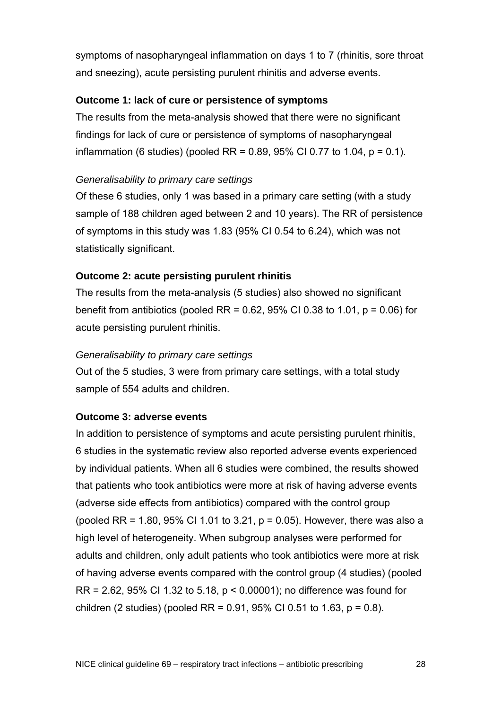symptoms of nasopharyngeal inflammation on days 1 to 7 (rhinitis, sore throat and sneezing), acute persisting purulent rhinitis and adverse events.

#### **Outcome 1: lack of cure or persistence of symptoms**

The results from the meta-analysis showed that there were no significant findings for lack of cure or persistence of symptoms of nasopharyngeal inflammation (6 studies) (pooled RR =  $0.89, 95\%$  CI 0.77 to 1.04, p = 0.1).

#### *Generalisability to primary care settings*

Of these 6 studies, only 1 was based in a primary care setting (with a study sample of 188 children aged between 2 and 10 years). The RR of persistence of symptoms in this study was 1.83 (95% CI 0.54 to 6.24), which was not statistically significant.

#### **Outcome 2: acute persisting purulent rhinitis**

The results from the meta-analysis (5 studies) also showed no significant benefit from antibiotics (pooled RR =  $0.62$ , 95% CI 0.38 to 1.01, p =  $0.06$ ) for acute persisting purulent rhinitis.

#### *Generalisability to primary care settings*

Out of the 5 studies, 3 were from primary care settings, with a total study sample of 554 adults and children.

#### **Outcome 3: adverse events**

In addition to persistence of symptoms and acute persisting purulent rhinitis, 6 studies in the systematic review also reported adverse events experienced by individual patients. When all 6 studies were combined, the results showed that patients who took antibiotics were more at risk of having adverse events (adverse side effects from antibiotics) compared with the control group (pooled RR = 1.80, 95% CI 1.01 to 3.21,  $p = 0.05$ ). However, there was also a high level of heterogeneity. When subgroup analyses were performed for adults and children, only adult patients who took antibiotics were more at risk of having adverse events compared with the control group (4 studies) (pooled RR = 2.62, 95% CI 1.32 to 5.18, p < 0.00001); no difference was found for children (2 studies) (pooled RR =  $0.91$ ,  $95\%$  CI 0.51 to 1.63, p = 0.8).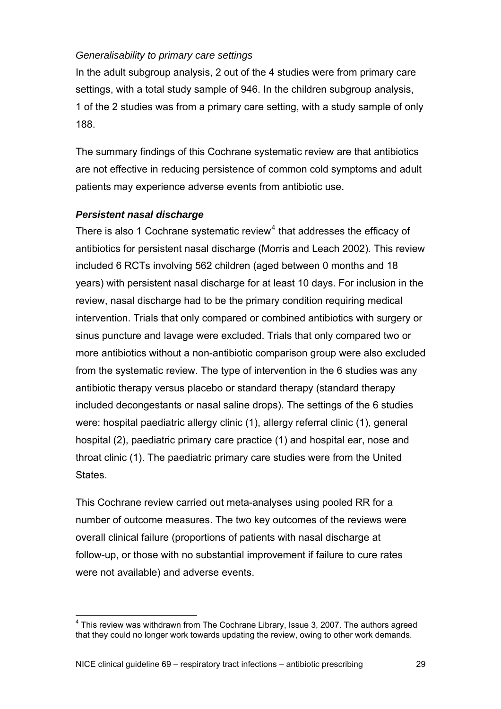#### <span id="page-28-0"></span>*Generalisability to primary care settings*

In the adult subgroup analysis, 2 out of the 4 studies were from primary care settings, with a total study sample of 946. In the children subgroup analysis, 1 of the 2 studies was from a primary care setting, with a study sample of only 188.

The summary findings of this Cochrane systematic review are that antibiotics are not effective in reducing persistence of common cold symptoms and adult patients may experience adverse events from antibiotic use.

#### *Persistent nasal discharge*

 $\overline{a}$ 

There is also 1 Cochrane systematic review<sup>[4](#page-28-0)</sup> that addresses the efficacy of antibiotics for persistent nasal discharge (Morris and Leach 2002). This review included 6 RCTs involving 562 children (aged between 0 months and 18 years) with persistent nasal discharge for at least 10 days. For inclusion in the review, nasal discharge had to be the primary condition requiring medical intervention. Trials that only compared or combined antibiotics with surgery or sinus puncture and lavage were excluded. Trials that only compared two or more antibiotics without a non-antibiotic comparison group were also excluded from the systematic review. The type of intervention in the 6 studies was any antibiotic therapy versus placebo or standard therapy (standard therapy included decongestants or nasal saline drops). The settings of the 6 studies were: hospital paediatric allergy clinic (1), allergy referral clinic (1), general hospital (2), paediatric primary care practice (1) and hospital ear, nose and throat clinic (1). The paediatric primary care studies were from the United States.

This Cochrane review carried out meta-analyses using pooled RR for a number of outcome measures. The two key outcomes of the reviews were overall clinical failure (proportions of patients with nasal discharge at follow-up, or those with no substantial improvement if failure to cure rates were not available) and adverse events.

 $4$  This review was withdrawn from The Cochrane Library, Issue 3, 2007. The authors agreed that they could no longer work towards updating the review, owing to other work demands.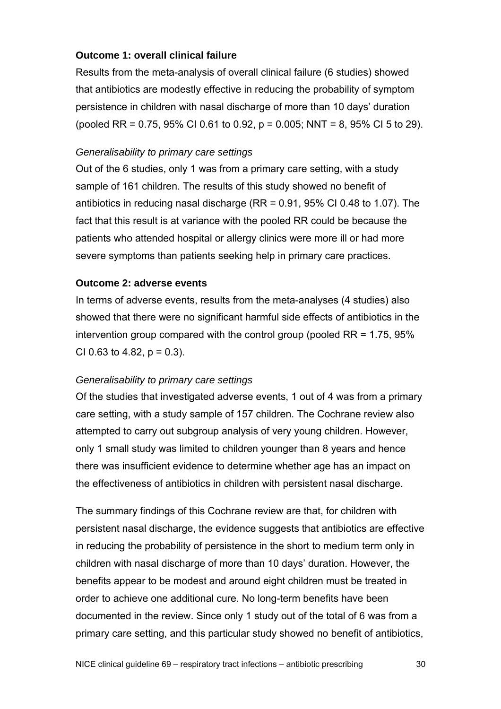#### **Outcome 1: overall clinical failure**

Results from the meta-analysis of overall clinical failure (6 studies) showed that antibiotics are modestly effective in reducing the probability of symptom persistence in children with nasal discharge of more than 10 days' duration (pooled RR = 0.75, 95% CI 0.61 to 0.92,  $p = 0.005$ ; NNT = 8, 95% CI 5 to 29).

#### *Generalisability to primary care settings*

Out of the 6 studies, only 1 was from a primary care setting, with a study sample of 161 children. The results of this study showed no benefit of antibiotics in reducing nasal discharge (RR = 0.91, 95% CI 0.48 to 1.07). The fact that this result is at variance with the pooled RR could be because the patients who attended hospital or allergy clinics were more ill or had more severe symptoms than patients seeking help in primary care practices.

#### **Outcome 2: adverse events**

In terms of adverse events, results from the meta-analyses (4 studies) also showed that there were no significant harmful side effects of antibiotics in the intervention group compared with the control group (pooled RR = 1.75, 95% CI 0.63 to 4.82,  $p = 0.3$ ).

#### *Generalisability to primary care settings*

Of the studies that investigated adverse events, 1 out of 4 was from a primary care setting, with a study sample of 157 children. The Cochrane review also attempted to carry out subgroup analysis of very young children. However, only 1 small study was limited to children younger than 8 years and hence there was insufficient evidence to determine whether age has an impact on the effectiveness of antibiotics in children with persistent nasal discharge.

The summary findings of this Cochrane review are that, for children with persistent nasal discharge, the evidence suggests that antibiotics are effective in reducing the probability of persistence in the short to medium term only in children with nasal discharge of more than 10 days' duration. However, the benefits appear to be modest and around eight children must be treated in order to achieve one additional cure. No long-term benefits have been documented in the review. Since only 1 study out of the total of 6 was from a primary care setting, and this particular study showed no benefit of antibiotics,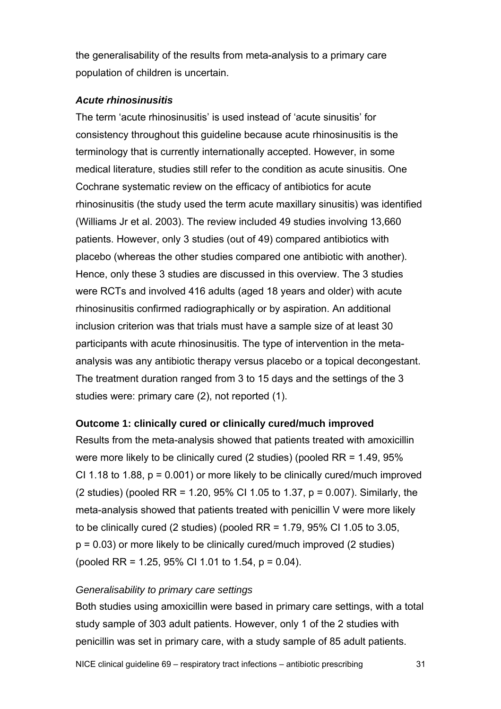the generalisability of the results from meta-analysis to a primary care population of children is uncertain.

#### *Acute rhinosinusitis*

The term 'acute rhinosinusitis' is used instead of 'acute sinusitis' for consistency throughout this guideline because acute rhinosinusitis is the terminology that is currently internationally accepted. However, in some medical literature, studies still refer to the condition as acute sinusitis. One Cochrane systematic review on the efficacy of antibiotics for acute rhinosinusitis (the study used the term acute maxillary sinusitis) was identified (Williams Jr et al. 2003). The review included 49 studies involving 13,660 patients. However, only 3 studies (out of 49) compared antibiotics with placebo (whereas the other studies compared one antibiotic with another). Hence, only these 3 studies are discussed in this overview. The 3 studies were RCTs and involved 416 adults (aged 18 years and older) with acute rhinosinusitis confirmed radiographically or by aspiration. An additional inclusion criterion was that trials must have a sample size of at least 30 participants with acute rhinosinusitis. The type of intervention in the metaanalysis was any antibiotic therapy versus placebo or a topical decongestant. The treatment duration ranged from 3 to 15 days and the settings of the 3 studies were: primary care (2), not reported (1).

#### **Outcome 1: clinically cured or clinically cured/much improved**

Results from the meta-analysis showed that patients treated with amoxicillin were more likely to be clinically cured (2 studies) (pooled RR = 1.49, 95% CI 1.18 to 1.88,  $p = 0.001$ ) or more likely to be clinically cured/much improved (2 studies) (pooled RR = 1.20, 95% CI 1.05 to 1.37, p = 0.007). Similarly, the meta-analysis showed that patients treated with penicillin V were more likely to be clinically cured (2 studies) (pooled  $RR = 1.79$ , 95% CI 1.05 to 3.05,  $p = 0.03$ ) or more likely to be clinically cured/much improved (2 studies) (pooled RR = 1.25, 95% CI 1.01 to 1.54,  $p = 0.04$ ).

#### *Generalisability to primary care settings*

Both studies using amoxicillin were based in primary care settings, with a total study sample of 303 adult patients. However, only 1 of the 2 studies with penicillin was set in primary care, with a study sample of 85 adult patients.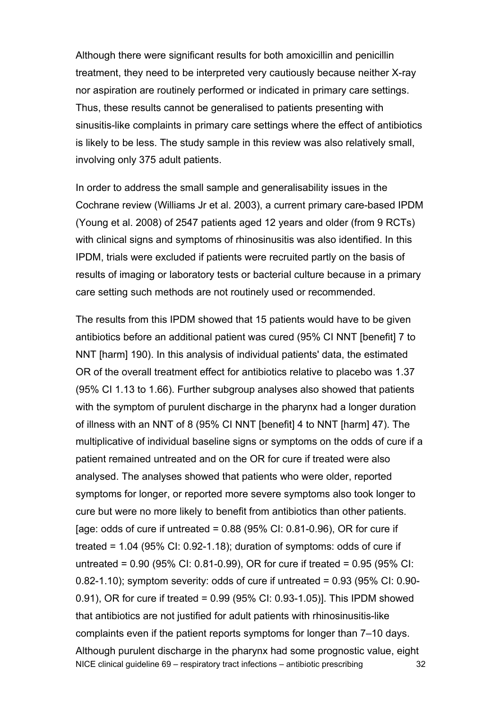Although there were significant results for both amoxicillin and penicillin treatment, they need to be interpreted very cautiously because neither X-ray nor aspiration are routinely performed or indicated in primary care settings. Thus, these results cannot be generalised to patients presenting with sinusitis-like complaints in primary care settings where the effect of antibiotics is likely to be less. The study sample in this review was also relatively small, involving only 375 adult patients.

In order to address the small sample and generalisability issues in the Cochrane review (Williams Jr et al. 2003), a current primary care-based IPDM (Young et al. 2008) of 2547 patients aged 12 years and older (from 9 RCTs) with clinical signs and symptoms of rhinosinusitis was also identified. In this IPDM, trials were excluded if patients were recruited partly on the basis of results of imaging or laboratory tests or bacterial culture because in a primary care setting such methods are not routinely used or recommended.

NICE clinical guideline 69 – respiratory tract infections – antibiotic prescribing 32 The results from this IPDM showed that 15 patients would have to be given antibiotics before an additional patient was cured (95% CI NNT [benefit] 7 to NNT [harm] 190). In this analysis of individual patients' data, the estimated OR of the overall treatment effect for antibiotics relative to placebo was 1.37 (95% CI 1.13 to 1.66). Further subgroup analyses also showed that patients with the symptom of purulent discharge in the pharynx had a longer duration of illness with an NNT of 8 (95% CI NNT [benefit] 4 to NNT [harm] 47). The multiplicative of individual baseline signs or symptoms on the odds of cure if a patient remained untreated and on the OR for cure if treated were also analysed. The analyses showed that patients who were older, reported symptoms for longer, or reported more severe symptoms also took longer to cure but were no more likely to benefit from antibiotics than other patients. [age: odds of cure if untreated =  $0.88$  (95% CI: 0.81-0.96), OR for cure if treated =  $1.04$  (95% CI: 0.92-1.18); duration of symptoms: odds of cure if untreated = 0.90 (95% CI: 0.81-0.99), OR for cure if treated = 0.95 (95% CI: 0.82-1.10); symptom severity: odds of cure if untreated =  $0.93$  (95% CI: 0.90-0.91), OR for cure if treated = 0.99 (95% CI: 0.93-1.05)]. This IPDM showed that antibiotics are not justified for adult patients with rhinosinusitis-like complaints even if the patient reports symptoms for longer than 7–10 days. Although purulent discharge in the pharynx had some prognostic value, eight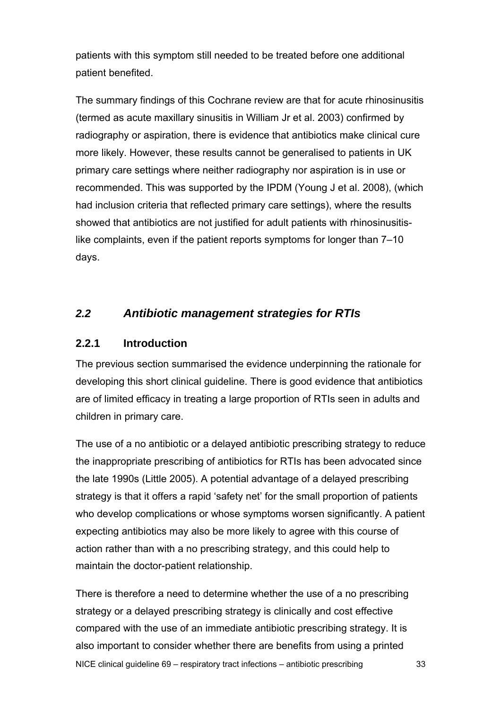patients with this symptom still needed to be treated before one additional patient benefited.

The summary findings of this Cochrane review are that for acute rhinosinusitis (termed as acute maxillary sinusitis in William Jr et al. 2003) confirmed by radiography or aspiration, there is evidence that antibiotics make clinical cure more likely. However, these results cannot be generalised to patients in UK primary care settings where neither radiography nor aspiration is in use or recommended. This was supported by the IPDM (Young J et al. 2008), (which had inclusion criteria that reflected primary care settings), where the results showed that antibiotics are not justified for adult patients with rhinosinusitislike complaints, even if the patient reports symptoms for longer than 7–10 days.

## *2.2 Antibiotic management strategies for RTIs*

#### **2.2.1 Introduction**

The previous section summarised the evidence underpinning the rationale for developing this short clinical guideline. There is good evidence that antibiotics are of limited efficacy in treating a large proportion of RTIs seen in adults and children in primary care.

The use of a no antibiotic or a delayed antibiotic prescribing strategy to reduce the inappropriate prescribing of antibiotics for RTIs has been advocated since the late 1990s (Little 2005). A potential advantage of a delayed prescribing strategy is that it offers a rapid 'safety net' for the small proportion of patients who develop complications or whose symptoms worsen significantly. A patient expecting antibiotics may also be more likely to agree with this course of action rather than with a no prescribing strategy, and this could help to maintain the doctor-patient relationship.

NICE clinical guideline 69 – respiratory tract infections – antibiotic prescribing 33 There is therefore a need to determine whether the use of a no prescribing strategy or a delayed prescribing strategy is clinically and cost effective compared with the use of an immediate antibiotic prescribing strategy. It is also important to consider whether there are benefits from using a printed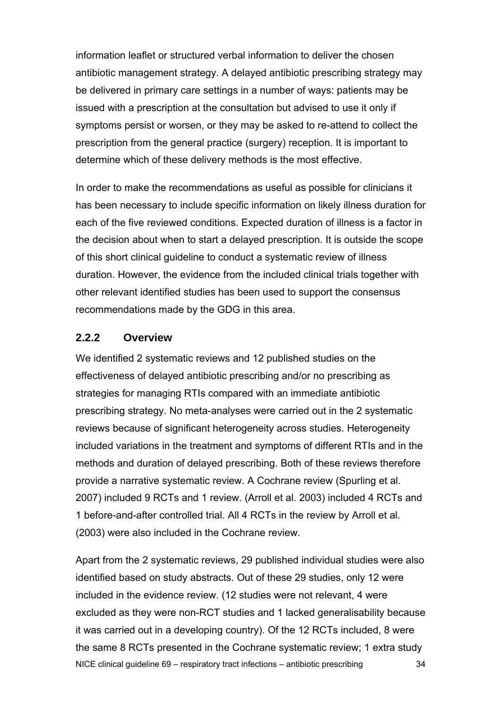information leaflet or structured verbal information to deliver the chosen antibiotic management strategy. A delayed antibiotic prescribing strategy may be delivered in primary care settings in a number of ways: patients may be issued with a prescription at the consultation but advised to use it only if symptoms persist or worsen, or they may be asked to re-attend to collect the prescription from the general practice (surgery) reception. It is important to determine which of these delivery methods is the most effective.

In order to make the recommendations as useful as possible for clinicians it has been necessary to include specific information on likely illness duration for each of the five reviewed conditions. Expected duration of illness is a factor in the decision about when to start a delayed prescription. It is outside the scope of this short clinical guideline to conduct a systematic review of illness duration. However, the evidence from the included clinical trials together with other relevant identified studies has been used to support the consensus recommendations made by the GDG in this area.

#### **2.2.2 Overview**

We identified 2 systematic reviews and 12 published studies on the effectiveness of delayed antibiotic prescribing and/or no prescribing as strategies for managing RTIs compared with an immediate antibiotic prescribing strategy. No meta-analyses were carried out in the 2 systematic reviews because of significant heterogeneity across studies. Heterogeneity included variations in the treatment and symptoms of different RTIs and in the methods and duration of delayed prescribing. Both of these reviews therefore provide a narrative systematic review. A Cochrane review (Spurling et al. 2007) included 9 RCTs and 1 review. (Arroll et al. 2003) included 4 RCTs and 1 before-and-after controlled trial. All 4 RCTs in the review by Arroll et al. (2003) were also included in the Cochrane review.

NICE clinical guideline 69 – respiratory tract infections – antibiotic prescribing 34 Apart from the 2 systematic reviews, 29 published individual studies were also identified based on study abstracts. Out of these 29 studies, only 12 were included in the evidence review. (12 studies were not relevant, 4 were excluded as they were non-RCT studies and 1 lacked generalisability because it was carried out in a developing country). Of the 12 RCTs included, 8 were the same 8 RCTs presented in the Cochrane systematic review; 1 extra study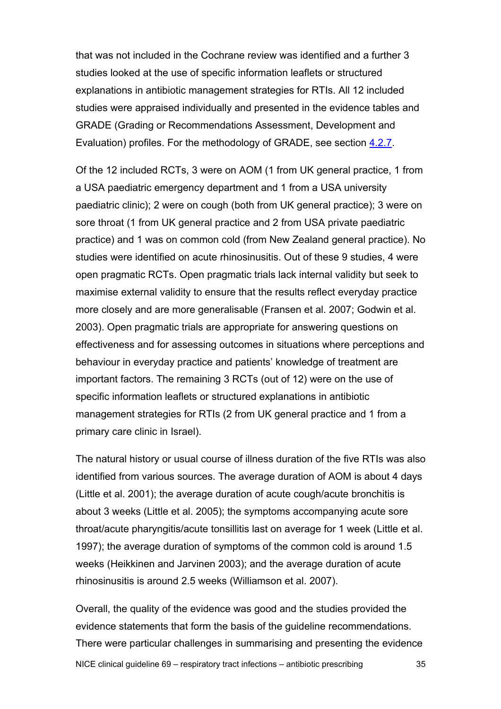that was not included in the Cochrane review was identified and a further 3 studies looked at the use of specific information leaflets or structured explanations in antibiotic management strategies for RTIs. All 12 included studies were appraised individually and presented in the evidence tables and GRADE (Grading or Recommendations Assessment, Development and Evaluation) profiles. For the methodology of GRADE, see section [4.2.7](#page-105-0).

Of the 12 included RCTs, 3 were on AOM (1 from UK general practice, 1 from a USA paediatric emergency department and 1 from a USA university paediatric clinic); 2 were on cough (both from UK general practice); 3 were on sore throat (1 from UK general practice and 2 from USA private paediatric practice) and 1 was on common cold (from New Zealand general practice). No studies were identified on acute rhinosinusitis. Out of these 9 studies, 4 were open pragmatic RCTs. Open pragmatic trials lack internal validity but seek to maximise external validity to ensure that the results reflect everyday practice more closely and are more generalisable (Fransen et al. 2007; Godwin et al. 2003). Open pragmatic trials are appropriate for answering questions on effectiveness and for assessing outcomes in situations where perceptions and behaviour in everyday practice and patients' knowledge of treatment are important factors. The remaining 3 RCTs (out of 12) were on the use of specific information leaflets or structured explanations in antibiotic management strategies for RTIs (2 from UK general practice and 1 from a primary care clinic in Israel).

The natural history or usual course of illness duration of the five RTIs was also identified from various sources. The average duration of AOM is about 4 days (Little et al. 2001); the average duration of acute cough/acute bronchitis is about 3 weeks (Little et al. 2005); the symptoms accompanying acute sore throat/acute pharyngitis/acute tonsillitis last on average for 1 week (Little et al. 1997); the average duration of symptoms of the common cold is around 1.5 weeks (Heikkinen and Jarvinen 2003); and the average duration of acute rhinosinusitis is around 2.5 weeks (Williamson et al. 2007).

Overall, the quality of the evidence was good and the studies provided the evidence statements that form the basis of the guideline recommendations. There were particular challenges in summarising and presenting the evidence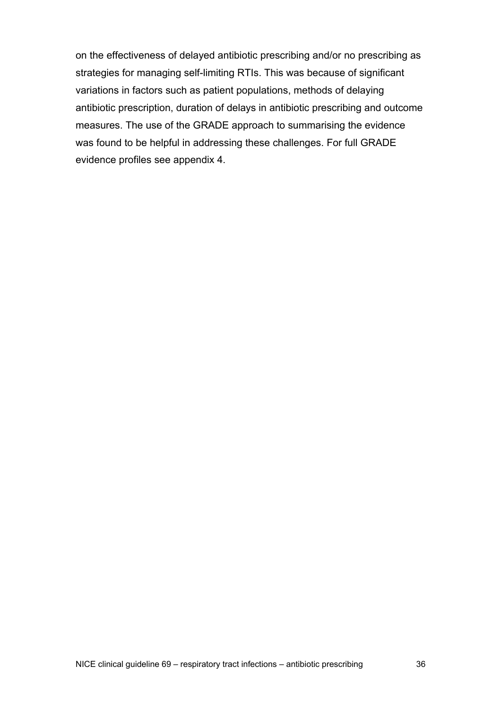on the effectiveness of delayed antibiotic prescribing and/or no prescribing as strategies for managing self-limiting RTIs. This was because of significant variations in factors such as patient populations, methods of delaying antibiotic prescription, duration of delays in antibiotic prescribing and outcome measures. The use of the GRADE approach to summarising the evidence was found to be helpful in addressing these challenges. For full GRADE evidence profiles see appendix 4.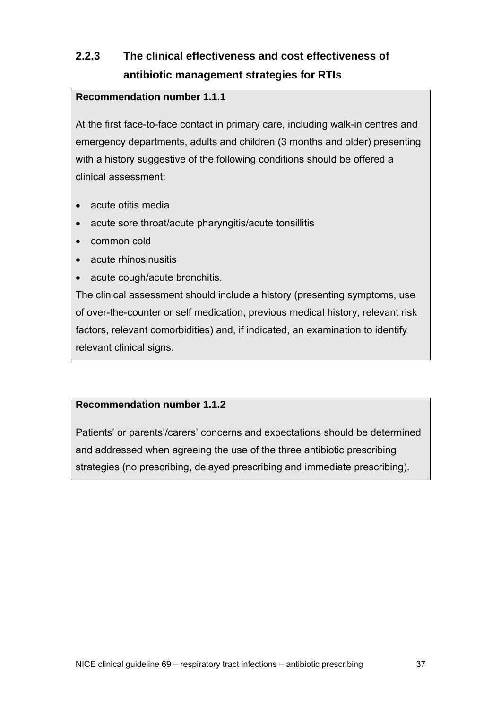# **2.2.3 The clinical effectiveness and cost effectiveness of antibiotic management strategies for RTIs**

## **Recommendation number 1.1.1**

At the first face-to-face contact in primary care, including walk-in centres and emergency departments, adults and children (3 months and older) presenting with a history suggestive of the following conditions should be offered a clinical assessment:

- acute otitis media
- acute sore throat/acute pharyngitis/acute tonsillitis
- common cold
- acute rhinosinusitis
- acute cough/acute bronchitis.

The clinical assessment should include a history (presenting symptoms, use of over-the-counter or self medication, previous medical history, relevant risk factors, relevant comorbidities) and, if indicated, an examination to identify relevant clinical signs.

#### **Recommendation number 1.1.2**

Patients' or parents'/carers' concerns and expectations should be determined and addressed when agreeing the use of the three antibiotic prescribing strategies (no prescribing, delayed prescribing and immediate prescribing).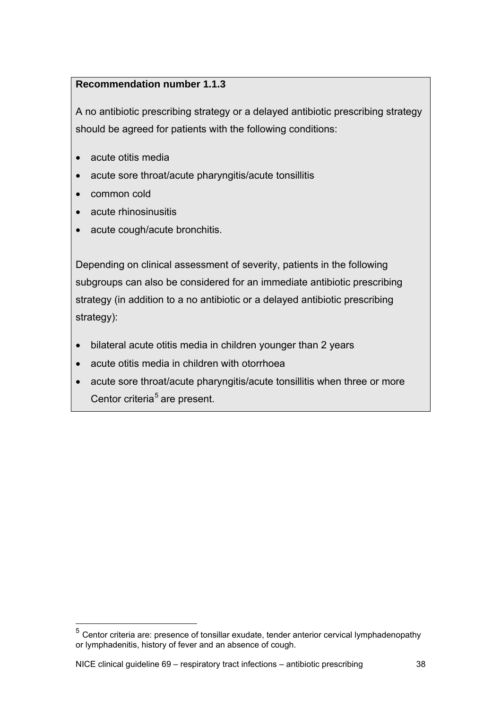# <span id="page-37-0"></span>**Recommendation number 1.1.3**

A no antibiotic prescribing strategy or a delayed antibiotic prescribing strategy should be agreed for patients with the following conditions:

- acute otitis media
- acute sore throat/acute pharyngitis/acute tonsillitis
- common cold

 $\overline{a}$ 

- acute rhinosinusitis
- acute cough/acute bronchitis.

Depending on clinical assessment of severity, patients in the following subgroups can also be considered for an immediate antibiotic prescribing strategy (in addition to a no antibiotic or a delayed antibiotic prescribing strategy):

- bilateral acute otitis media in children younger than 2 years
- acute otitis media in children with otorrhoea
- acute sore throat/acute pharyngitis/acute tonsillitis when three or more Centor criteria<sup>[5](#page-37-0)</sup> are present.

 $<sup>5</sup>$  Centor criteria are: presence of tonsillar exudate, tender anterior cervical lymphadenopathy</sup> or lymphadenitis, history of fever and an absence of cough.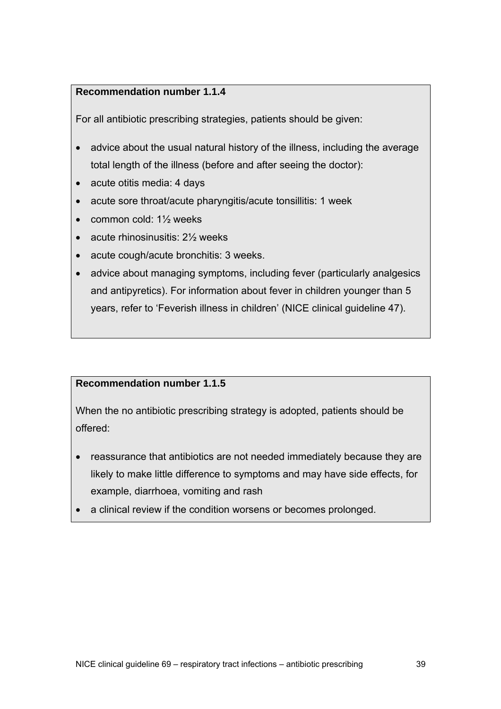## **Recommendation number 1.1.4**

For all antibiotic prescribing strategies, patients should be given:

- advice about the usual natural history of the illness, including the average total length of the illness (before and after seeing the doctor):
- acute otitis media: 4 days
- acute sore throat/acute pharyngitis/acute tonsillitis: 1 week
- common cold:  $1\frac{1}{2}$  weeks
- acute rhinosinusitis: 21/<sub>2</sub> weeks
- acute cough/acute bronchitis: 3 weeks.
- advice about managing symptoms, including fever (particularly analgesics and antipyretics). For information about fever in children younger than 5 years, refer to 'Feverish illness in children' (NICE clinical guideline 47).

# **Recommendation number 1.1.5**

When the no antibiotic prescribing strategy is adopted, patients should be offered:

- reassurance that antibiotics are not needed immediately because they are likely to make little difference to symptoms and may have side effects, for example, diarrhoea, vomiting and rash
- a clinical review if the condition worsens or becomes prolonged.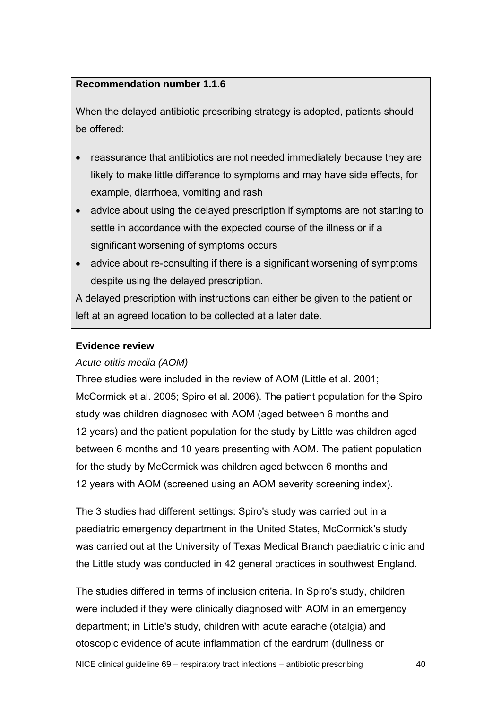#### **Recommendation number 1.1.6**

When the delayed antibiotic prescribing strategy is adopted, patients should be offered:

- reassurance that antibiotics are not needed immediately because they are likely to make little difference to symptoms and may have side effects, for example, diarrhoea, vomiting and rash
- advice about using the delayed prescription if symptoms are not starting to settle in accordance with the expected course of the illness or if a significant worsening of symptoms occurs
- advice about re-consulting if there is a significant worsening of symptoms despite using the delayed prescription.

A delayed prescription with instructions can either be given to the patient or left at an agreed location to be collected at a later date.

## **Evidence review**

#### *Acute otitis media (AOM)*

Three studies were included in the review of AOM (Little et al. 2001; McCormick et al. 2005; Spiro et al. 2006). The patient population for the Spiro study was children diagnosed with AOM (aged between 6 months and 12 years) and the patient population for the study by Little was children aged between 6 months and 10 years presenting with AOM. The patient population for the study by McCormick was children aged between 6 months and 12 years with AOM (screened using an AOM severity screening index).

The 3 studies had different settings: Spiro's study was carried out in a paediatric emergency department in the United States, McCormick's study was carried out at the University of Texas Medical Branch paediatric clinic and the Little study was conducted in 42 general practices in southwest England.

The studies differed in terms of inclusion criteria. In Spiro's study, children were included if they were clinically diagnosed with AOM in an emergency department; in Little's study, children with acute earache (otalgia) and otoscopic evidence of acute inflammation of the eardrum (dullness or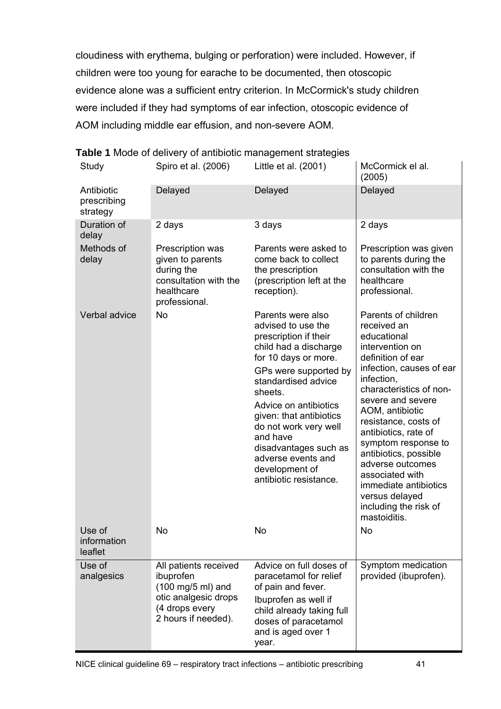cloudiness with erythema, bulging or perforation) were included. However, if children were too young for earache to be documented, then otoscopic evidence alone was a sufficient entry criterion. In McCormick's study children were included if they had symptoms of ear infection, otoscopic evidence of AOM including middle ear effusion, and non-severe AOM.

| Study                                 | Spiro et al. (2006)                                                                                                      | Little et al. (2001)                                                                                                                                                                                                                                                                                                                                             | McCormick el al.<br>(2005)                                                                                                                                                                                                                                                                                                                                                                                                        |
|---------------------------------------|--------------------------------------------------------------------------------------------------------------------------|------------------------------------------------------------------------------------------------------------------------------------------------------------------------------------------------------------------------------------------------------------------------------------------------------------------------------------------------------------------|-----------------------------------------------------------------------------------------------------------------------------------------------------------------------------------------------------------------------------------------------------------------------------------------------------------------------------------------------------------------------------------------------------------------------------------|
| Antibiotic<br>prescribing<br>strategy | Delayed                                                                                                                  | Delayed                                                                                                                                                                                                                                                                                                                                                          | Delayed                                                                                                                                                                                                                                                                                                                                                                                                                           |
| Duration of<br>delay                  | 2 days                                                                                                                   | 3 days                                                                                                                                                                                                                                                                                                                                                           | 2 days                                                                                                                                                                                                                                                                                                                                                                                                                            |
| Methods of<br>delay                   | Prescription was<br>given to parents<br>during the<br>consultation with the<br>healthcare<br>professional.               | Parents were asked to<br>come back to collect<br>the prescription<br>(prescription left at the<br>reception).                                                                                                                                                                                                                                                    | Prescription was given<br>to parents during the<br>consultation with the<br>healthcare<br>professional.                                                                                                                                                                                                                                                                                                                           |
| Verbal advice                         | No                                                                                                                       | Parents were also<br>advised to use the<br>prescription if their<br>child had a discharge<br>for 10 days or more.<br>GPs were supported by<br>standardised advice<br>sheets.<br>Advice on antibiotics<br>given: that antibiotics<br>do not work very well<br>and have<br>disadvantages such as<br>adverse events and<br>development of<br>antibiotic resistance. | Parents of children<br>received an<br>educational<br>intervention on<br>definition of ear<br>infection, causes of ear<br>infection,<br>characteristics of non-<br>severe and severe<br>AOM, antibiotic<br>resistance, costs of<br>antibiotics, rate of<br>symptom response to<br>antibiotics, possible<br>adverse outcomes<br>associated with<br>immediate antibiotics<br>versus delayed<br>including the risk of<br>mastoiditis. |
| Use of<br>information<br>leaflet      | <b>No</b>                                                                                                                | No                                                                                                                                                                                                                                                                                                                                                               | <b>No</b>                                                                                                                                                                                                                                                                                                                                                                                                                         |
| Use of<br>analgesics                  | All patients received<br>ibuprofen<br>(100 mg/5 ml) and<br>otic analgesic drops<br>(4 drops every<br>2 hours if needed). | Advice on full doses of<br>paracetamol for relief<br>of pain and fever.<br>Ibuprofen as well if<br>child already taking full<br>doses of paracetamol<br>and is aged over 1<br>year.                                                                                                                                                                              | Symptom medication<br>provided (ibuprofen).                                                                                                                                                                                                                                                                                                                                                                                       |

#### **Table 1** Mode of delivery of antibiotic management strategies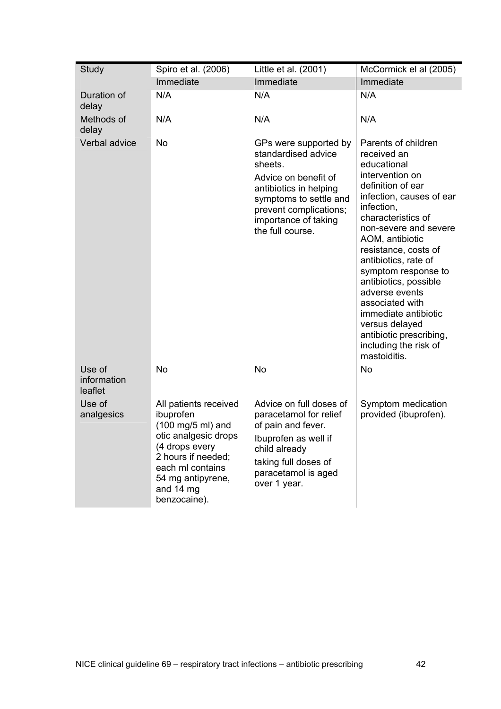| Study                            | Spiro et al. (2006)                                                                                                                                                                           | Little et al. (2001)                                                                                                                                                                                      | McCormick el al (2005)                                                                                                                                                                                                                                                                                                                                                                                                                                   |
|----------------------------------|-----------------------------------------------------------------------------------------------------------------------------------------------------------------------------------------------|-----------------------------------------------------------------------------------------------------------------------------------------------------------------------------------------------------------|----------------------------------------------------------------------------------------------------------------------------------------------------------------------------------------------------------------------------------------------------------------------------------------------------------------------------------------------------------------------------------------------------------------------------------------------------------|
|                                  | Immediate                                                                                                                                                                                     | Immediate                                                                                                                                                                                                 | Immediate                                                                                                                                                                                                                                                                                                                                                                                                                                                |
| Duration of<br>delay             | N/A                                                                                                                                                                                           | N/A                                                                                                                                                                                                       | N/A                                                                                                                                                                                                                                                                                                                                                                                                                                                      |
| Methods of<br>delay              | N/A                                                                                                                                                                                           | N/A                                                                                                                                                                                                       | N/A                                                                                                                                                                                                                                                                                                                                                                                                                                                      |
| Verbal advice                    | <b>No</b>                                                                                                                                                                                     | GPs were supported by<br>standardised advice<br>sheets.<br>Advice on benefit of<br>antibiotics in helping<br>symptoms to settle and<br>prevent complications;<br>importance of taking<br>the full course. | Parents of children<br>received an<br>educational<br>intervention on<br>definition of ear<br>infection, causes of ear<br>infection,<br>characteristics of<br>non-severe and severe<br>AOM, antibiotic<br>resistance, costs of<br>antibiotics, rate of<br>symptom response to<br>antibiotics, possible<br>adverse events<br>associated with<br>immediate antibiotic<br>versus delayed<br>antibiotic prescribing,<br>including the risk of<br>mastoiditis. |
| Use of<br>information<br>leaflet | <b>No</b>                                                                                                                                                                                     | No                                                                                                                                                                                                        | No                                                                                                                                                                                                                                                                                                                                                                                                                                                       |
| Use of<br>analgesics             | All patients received<br>ibuprofen<br>(100 mg/5 ml) and<br>otic analgesic drops<br>(4 drops every<br>2 hours if needed;<br>each ml contains<br>54 mg antipyrene,<br>and 14 mg<br>benzocaine). | Advice on full doses of<br>paracetamol for relief<br>of pain and fever.<br>Ibuprofen as well if<br>child already<br>taking full doses of<br>paracetamol is aged<br>over 1 year.                           | Symptom medication<br>provided (ibuprofen).                                                                                                                                                                                                                                                                                                                                                                                                              |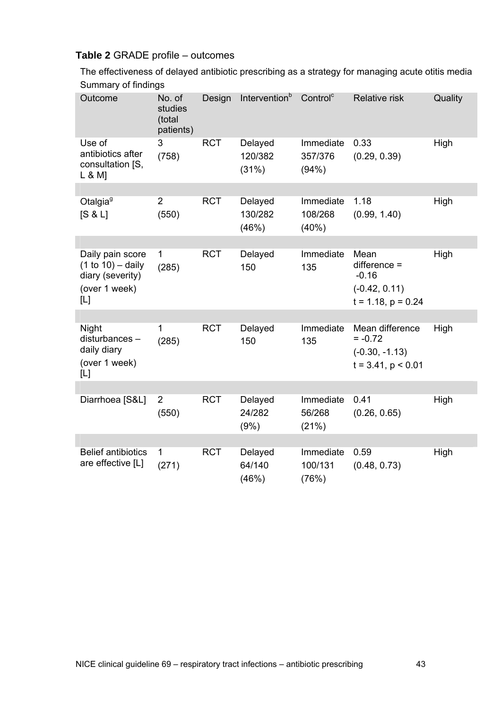# **Table 2** GRADE profile – outcomes

The effectiveness of delayed antibiotic prescribing as a strategy for managing acute otitis media Summary of findings

| Outcome                                                                             | No. of<br>studies<br>(total<br>patients) | Design     | Intervention <sup>b</sup>   | Control <sup>c</sup>          | <b>Relative risk</b>                                                            | Quality |
|-------------------------------------------------------------------------------------|------------------------------------------|------------|-----------------------------|-------------------------------|---------------------------------------------------------------------------------|---------|
| Use of<br>antibiotics after<br>consultation [S,<br>L 8 M                            | 3<br>(758)                               | <b>RCT</b> | Delayed<br>120/382<br>(31%) | Immediate<br>357/376<br>(94%) | 0.33<br>(0.29, 0.39)                                                            | High    |
|                                                                                     |                                          |            |                             |                               |                                                                                 |         |
| Otalgia <sup>g</sup><br>[S & L]                                                     | $\overline{2}$<br>(550)                  | <b>RCT</b> | Delayed<br>130/282<br>(46%) | Immediate<br>108/268<br>(40%) | 1.18<br>(0.99, 1.40)                                                            | High    |
|                                                                                     |                                          |            |                             |                               |                                                                                 |         |
| Daily pain score<br>$(1 to 10) - daily$<br>diary (severity)<br>(over 1 week)<br>[L] | $\mathbf{1}$<br>(285)                    | <b>RCT</b> | Delayed<br>150              | Immediate<br>135              | Mean<br>$difference =$<br>$-0.16$<br>$(-0.42, 0.11)$<br>$t = 1.18$ , $p = 0.24$ | High    |
|                                                                                     |                                          |            |                             |                               |                                                                                 |         |
| Night<br>disturbances-<br>daily diary<br>(over 1 week)<br>[L]                       | 1<br>(285)                               | <b>RCT</b> | Delayed<br>150              | Immediate<br>135              | Mean difference<br>$= -0.72$<br>$(-0.30, -1.13)$<br>$t = 3.41$ , $p < 0.01$     | High    |
|                                                                                     |                                          |            |                             |                               |                                                                                 |         |
| Diarrhoea [S&L]                                                                     | $\overline{2}$<br>(550)                  | <b>RCT</b> | Delayed<br>24/282<br>(9%)   | Immediate<br>56/268<br>(21%)  | 0.41<br>(0.26, 0.65)                                                            | High    |
|                                                                                     |                                          |            |                             |                               |                                                                                 |         |
| <b>Belief antibiotics</b><br>are effective [L]                                      | $\mathbf 1$<br>(271)                     | <b>RCT</b> | Delayed<br>64/140<br>(46%)  | Immediate<br>100/131<br>(76%) | 0.59<br>(0.48, 0.73)                                                            | High    |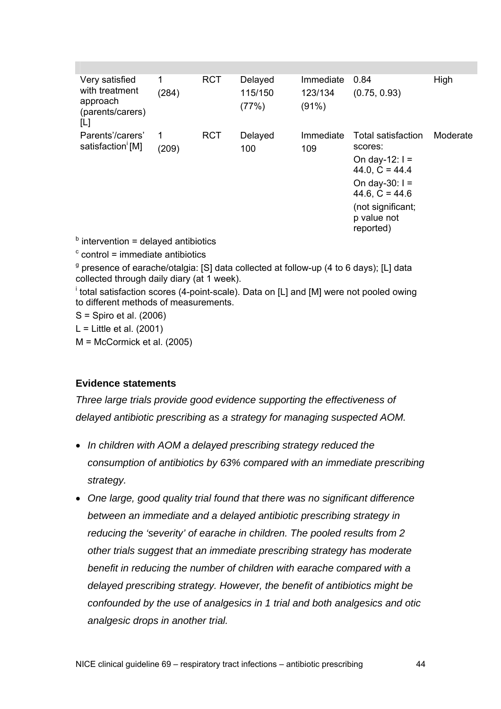| Very satisfied<br>with treatment<br>approach<br>(parents/carers)<br>[L] | 1<br>(284) | <b>RCT</b> | Delayed<br>115/150<br>(77%) | Immediate<br>123/134<br>(91%) | 0.84<br>(0.75, 0.93)                                                                                                                                           | High     |
|-------------------------------------------------------------------------|------------|------------|-----------------------------|-------------------------------|----------------------------------------------------------------------------------------------------------------------------------------------------------------|----------|
| Parents'/carers'<br>satisfaction [M]                                    | 1<br>(209) | <b>RCT</b> | Delayed<br>100              | Immediate<br>109              | Total satisfaction<br>scores:<br>On day-12: $I =$<br>44.0, $C = 44.4$<br>On day-30: $I =$<br>44.6, $C = 44.6$<br>(not significant;<br>p value not<br>reported) | Moderate |
| .                                                                       |            |            |                             |                               |                                                                                                                                                                |          |

 $<sup>b</sup>$  intervention = delayed antibiotics</sup>

 $\textdegree$  control = immediate antibiotics

<sup>g</sup> presence of earache/otalgia: [S] data collected at follow-up (4 to 6 days); [L] data collected through daily diary (at 1 week).

<sup>i</sup> total satisfaction scores (4-point-scale). Data on [L] and [M] were not pooled owing to different methods of measurements.

S = Spiro et al. (2006)

 $L =$  Little et al. (2001)

M = McCormick et al. (2005)

#### **Evidence statements**

*Three large trials provide good evidence supporting the effectiveness of delayed antibiotic prescribing as a strategy for managing suspected AOM.* 

- *In children with AOM a delayed prescribing strategy reduced the consumption of antibiotics by 63% compared with an immediate prescribing strategy.*
- *One large, good quality trial found that there was no significant difference between an immediate and a delayed antibiotic prescribing strategy in reducing the 'severity' of earache in children. The pooled results from 2 other trials suggest that an immediate prescribing strategy has moderate benefit in reducing the number of children with earache compared with a delayed prescribing strategy. However, the benefit of antibiotics might be confounded by the use of analgesics in 1 trial and both analgesics and otic analgesic drops in another trial.*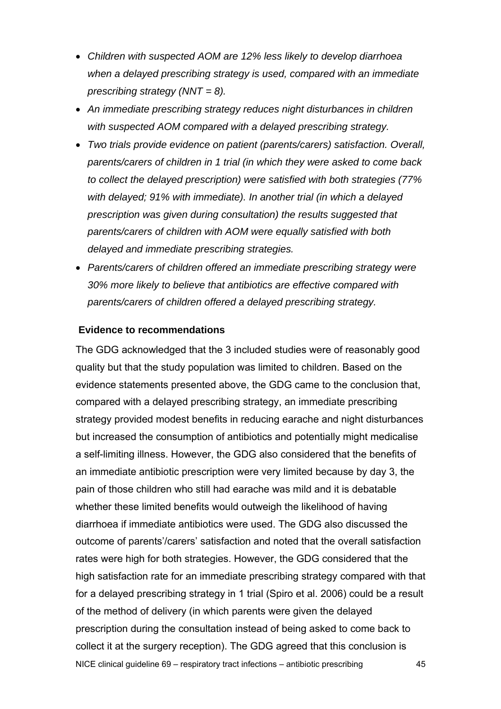- *Children with suspected AOM are 12% less likely to develop diarrhoea when a delayed prescribing strategy is used, compared with an immediate prescribing strategy (NNT = 8).*
- *An immediate prescribing strategy reduces night disturbances in children with suspected AOM compared with a delayed prescribing strategy.*
- *Two trials provide evidence on patient (parents/carers) satisfaction. Overall, parents/carers of children in 1 trial (in which they were asked to come back to collect the delayed prescription) were satisfied with both strategies (77% with delayed; 91% with immediate). In another trial (in which a delayed prescription was given during consultation) the results suggested that parents/carers of children with AOM were equally satisfied with both delayed and immediate prescribing strategies.*
- *Parents/carers of children offered an immediate prescribing strategy were 30% more likely to believe that antibiotics are effective compared with parents/carers of children offered a delayed prescribing strategy.*

#### **Evidence to recommendations**

NICE clinical guideline 69 – respiratory tract infections – antibiotic prescribing 45 The GDG acknowledged that the 3 included studies were of reasonably good quality but that the study population was limited to children. Based on the evidence statements presented above, the GDG came to the conclusion that, compared with a delayed prescribing strategy, an immediate prescribing strategy provided modest benefits in reducing earache and night disturbances but increased the consumption of antibiotics and potentially might medicalise a self-limiting illness. However, the GDG also considered that the benefits of an immediate antibiotic prescription were very limited because by day 3, the pain of those children who still had earache was mild and it is debatable whether these limited benefits would outweigh the likelihood of having diarrhoea if immediate antibiotics were used. The GDG also discussed the outcome of parents'/carers' satisfaction and noted that the overall satisfaction rates were high for both strategies. However, the GDG considered that the high satisfaction rate for an immediate prescribing strategy compared with that for a delayed prescribing strategy in 1 trial (Spiro et al. 2006) could be a result of the method of delivery (in which parents were given the delayed prescription during the consultation instead of being asked to come back to collect it at the surgery reception). The GDG agreed that this conclusion is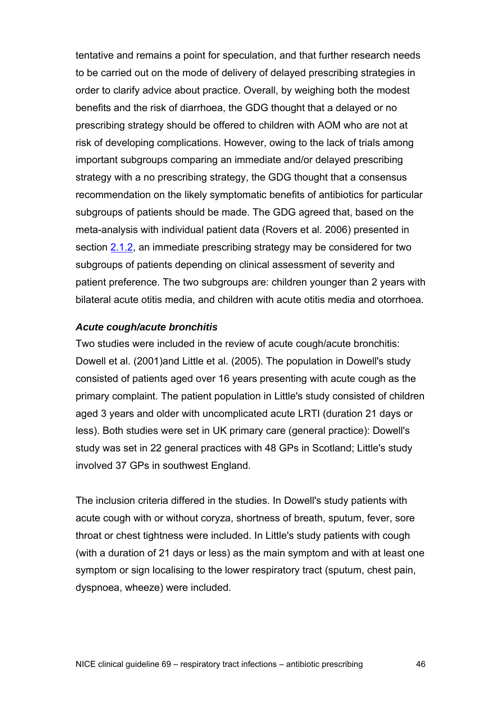tentative and remains a point for speculation, and that further research needs to be carried out on the mode of delivery of delayed prescribing strategies in order to clarify advice about practice. Overall, by weighing both the modest benefits and the risk of diarrhoea, the GDG thought that a delayed or no prescribing strategy should be offered to children with AOM who are not at risk of developing complications. However, owing to the lack of trials among important subgroups comparing an immediate and/or delayed prescribing strategy with a no prescribing strategy, the GDG thought that a consensus recommendation on the likely symptomatic benefits of antibiotics for particular subgroups of patients should be made. The GDG agreed that, based on the meta-analysis with individual patient data (Rovers et al. 2006) presented in section [2.1.2,](#page-16-0) an immediate prescribing strategy may be considered for two subgroups of patients depending on clinical assessment of severity and patient preference. The two subgroups are: children younger than 2 years with bilateral acute otitis media, and children with acute otitis media and otorrhoea.

#### *Acute cough/acute bronchitis*

Two studies were included in the review of acute cough/acute bronchitis: Dowell et al. (2001)and Little et al. (2005). The population in Dowell's study consisted of patients aged over 16 years presenting with acute cough as the primary complaint. The patient population in Little's study consisted of children aged 3 years and older with uncomplicated acute LRTI (duration 21 days or less). Both studies were set in UK primary care (general practice): Dowell's study was set in 22 general practices with 48 GPs in Scotland; Little's study involved 37 GPs in southwest England.

The inclusion criteria differed in the studies. In Dowell's study patients with acute cough with or without coryza, shortness of breath, sputum, fever, sore throat or chest tightness were included. In Little's study patients with cough (with a duration of 21 days or less) as the main symptom and with at least one symptom or sign localising to the lower respiratory tract (sputum, chest pain, dyspnoea, wheeze) were included.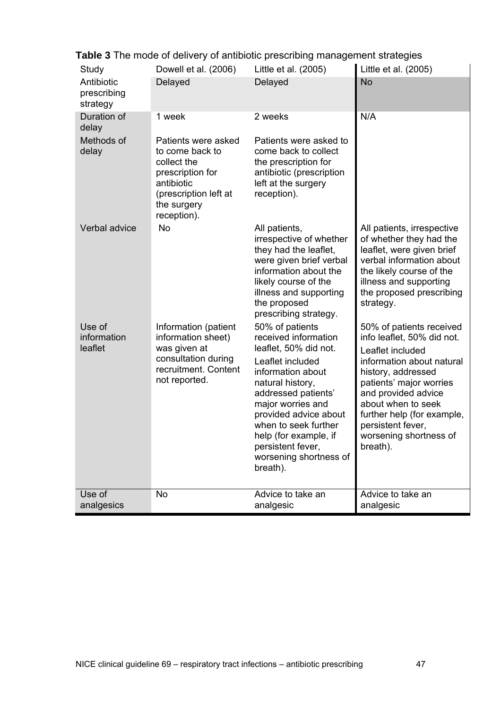| Study                                 | Dowell et al. (2006)                                                                                                                           | Little et al. (2005)                                                                                                                                                                                                                                                                                           | Little et al. (2005)                                                                                                                                                                                                                                                                           |
|---------------------------------------|------------------------------------------------------------------------------------------------------------------------------------------------|----------------------------------------------------------------------------------------------------------------------------------------------------------------------------------------------------------------------------------------------------------------------------------------------------------------|------------------------------------------------------------------------------------------------------------------------------------------------------------------------------------------------------------------------------------------------------------------------------------------------|
| Antibiotic<br>prescribing<br>strategy | Delayed                                                                                                                                        | Delayed                                                                                                                                                                                                                                                                                                        | <b>No</b>                                                                                                                                                                                                                                                                                      |
| Duration of<br>delay                  | 1 week                                                                                                                                         | 2 weeks                                                                                                                                                                                                                                                                                                        | N/A                                                                                                                                                                                                                                                                                            |
| Methods of<br>delay                   | Patients were asked<br>to come back to<br>collect the<br>prescription for<br>antibiotic<br>(prescription left at<br>the surgery<br>reception). | Patients were asked to<br>come back to collect<br>the prescription for<br>antibiotic (prescription<br>left at the surgery<br>reception).                                                                                                                                                                       |                                                                                                                                                                                                                                                                                                |
| Verbal advice                         | <b>No</b>                                                                                                                                      | All patients,<br>irrespective of whether<br>they had the leaflet,<br>were given brief verbal<br>information about the<br>likely course of the<br>illness and supporting<br>the proposed<br>prescribing strategy.                                                                                               | All patients, irrespective<br>of whether they had the<br>leaflet, were given brief<br>verbal information about<br>the likely course of the<br>illness and supporting<br>the proposed prescribing<br>strategy.                                                                                  |
| Use of<br>information<br>leaflet      | Information (patient<br>information sheet)<br>was given at<br>consultation during<br>recruitment. Content<br>not reported.                     | 50% of patients<br>received information<br>leaflet, 50% did not.<br>Leaflet included<br>information about<br>natural history,<br>addressed patients'<br>major worries and<br>provided advice about<br>when to seek further<br>help (for example, if<br>persistent fever,<br>worsening shortness of<br>breath). | 50% of patients received<br>info leaflet, 50% did not.<br>Leaflet included<br>information about natural<br>history, addressed<br>patients' major worries<br>and provided advice<br>about when to seek<br>further help (for example,<br>persistent fever,<br>worsening shortness of<br>breath). |
| Use of<br>analgesics                  | No                                                                                                                                             | Advice to take an<br>analgesic                                                                                                                                                                                                                                                                                 | Advice to take an<br>analgesic                                                                                                                                                                                                                                                                 |

**Table 3** The mode of delivery of antibiotic prescribing management strategies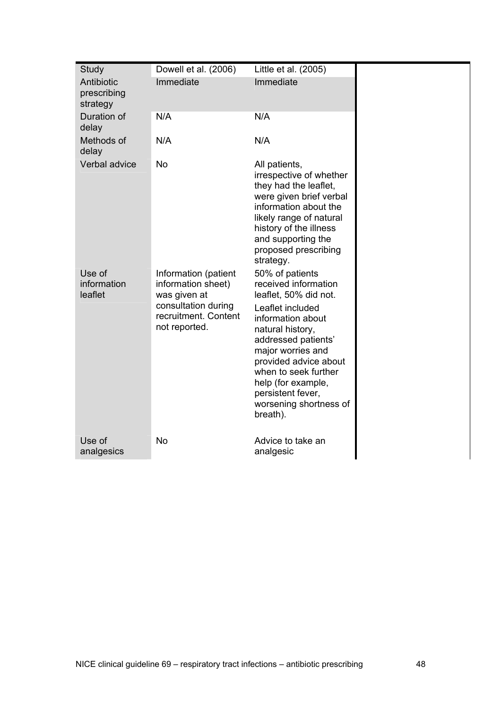| Study                                 | Dowell et al. (2006)                                                                                                       | Little et al. (2005)                                                                                                                                                                                                                                                                                        |
|---------------------------------------|----------------------------------------------------------------------------------------------------------------------------|-------------------------------------------------------------------------------------------------------------------------------------------------------------------------------------------------------------------------------------------------------------------------------------------------------------|
| Antibiotic<br>prescribing<br>strategy | Immediate                                                                                                                  | Immediate                                                                                                                                                                                                                                                                                                   |
| Duration of<br>delay                  | N/A                                                                                                                        | N/A                                                                                                                                                                                                                                                                                                         |
| Methods of<br>delay                   | N/A                                                                                                                        | N/A                                                                                                                                                                                                                                                                                                         |
| Verbal advice                         | <b>No</b>                                                                                                                  | All patients,<br>irrespective of whether<br>they had the leaflet,<br>were given brief verbal<br>information about the<br>likely range of natural<br>history of the illness<br>and supporting the<br>proposed prescribing<br>strategy.                                                                       |
| Use of<br>information<br>leaflet      | Information (patient<br>information sheet)<br>was given at<br>consultation during<br>recruitment. Content<br>not reported. | 50% of patients<br>received information<br>leaflet, 50% did not.<br>Leaflet included<br>information about<br>natural history,<br>addressed patients'<br>major worries and<br>provided advice about<br>when to seek further<br>help (for example,<br>persistent fever,<br>worsening shortness of<br>breath). |
| Use of<br>analgesics                  | <b>No</b>                                                                                                                  | Advice to take an<br>analgesic                                                                                                                                                                                                                                                                              |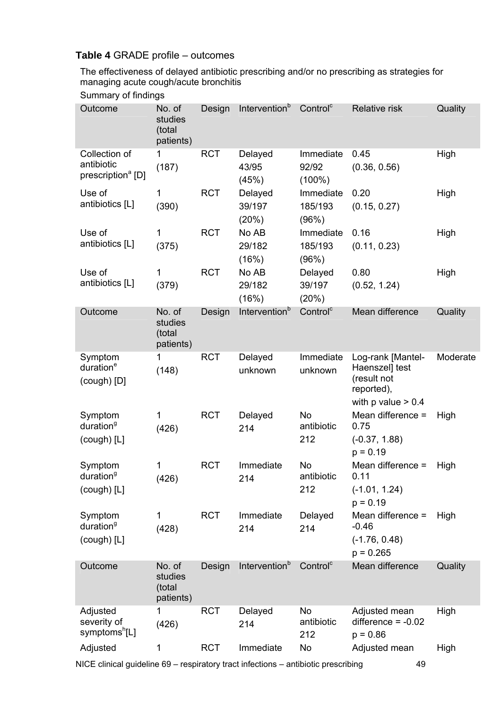# **Table 4** GRADE profile – outcomes

The effectiveness of delayed antibiotic prescribing and/or no prescribing as strategies for managing acute cough/acute bronchitis

#### Summary of findings

| Outcome                                                      | No. of<br>studies<br>(total<br>patients) | Design     | Intervention <sup>b</sup>  | Control <sup>c</sup>            | <b>Relative risk</b>                                                                       | Quality  |
|--------------------------------------------------------------|------------------------------------------|------------|----------------------------|---------------------------------|--------------------------------------------------------------------------------------------|----------|
| Collection of<br>antibiotic<br>prescription <sup>a</sup> [D] | 1<br>(187)                               | <b>RCT</b> | Delayed<br>43/95<br>(45%)  | Immediate<br>92/92<br>$(100\%)$ | 0.45<br>(0.36, 0.56)                                                                       | High     |
| Use of<br>antibiotics [L]                                    | 1<br>(390)                               | <b>RCT</b> | Delayed<br>39/197<br>(20%) | Immediate<br>185/193<br>(96%)   | 0.20<br>(0.15, 0.27)                                                                       | High     |
| Use of<br>antibiotics [L]                                    | 1<br>(375)                               | <b>RCT</b> | No AB<br>29/182<br>(16%)   | Immediate<br>185/193<br>(96%)   | 0.16<br>(0.11, 0.23)                                                                       | High     |
| Use of<br>antibiotics [L]                                    | 1<br>(379)                               | <b>RCT</b> | No AB<br>29/182<br>(16%)   | Delayed<br>39/197<br>(20%)      | 0.80<br>(0.52, 1.24)                                                                       | High     |
| Outcome                                                      | No. of<br>studies<br>(total<br>patients) | Design     | Intervention <sup>b</sup>  | Control <sup>c</sup>            | Mean difference                                                                            | Quality  |
| Symptom<br>duration <sup>e</sup><br>$(cough)$ [D]            | 1<br>(148)                               | <b>RCT</b> | Delayed<br>unknown         | Immediate<br>unknown            | Log-rank [Mantel-<br>Haenszel] test<br>(result not<br>reported),<br>with $p$ value $> 0.4$ | Moderate |
| Symptom<br>duration <sup>9</sup><br>$(cough)$ [L]            | 1<br>(426)                               | <b>RCT</b> | Delayed<br>214             | <b>No</b><br>antibiotic<br>212  | Mean difference =<br>0.75<br>$(-0.37, 1.88)$<br>$p = 0.19$                                 | High     |
| Symptom<br>duration <sup>9</sup><br>$(cough)$ [L]            | 1<br>(426)                               | <b>RCT</b> | Immediate<br>214           | No<br>antibiotic<br>212         | Mean difference =<br>0.11<br>$(-1.01, 1.24)$<br>$p = 0.19$                                 | High     |
| Symptom<br>duration <sup>9</sup><br>(cough) [L]              | 1<br>(428)                               | <b>RCT</b> | Immediate<br>214           | Delayed<br>214                  | Mean difference =<br>$-0.46$<br>$(-1.76, 0.48)$<br>$p = 0.265$                             | High     |
| Outcome                                                      | No. of<br>studies<br>(total<br>patients) | Design     | Intervention <sup>b</sup>  | Control <sup>c</sup>            | Mean difference                                                                            | Quality  |
| Adjusted<br>severity of<br>symptoms <sup>h</sup> [L]         | 1<br>(426)                               | <b>RCT</b> | Delayed<br>214             | No<br>antibiotic<br>212         | Adjusted mean<br>difference $= -0.02$<br>$p = 0.86$                                        | High     |
| Adjusted                                                     | 1                                        | <b>RCT</b> | Immediate                  | No                              | Adjusted mean                                                                              | High     |

NICE clinical guideline 69 – respiratory tract infections – antibiotic prescribing 49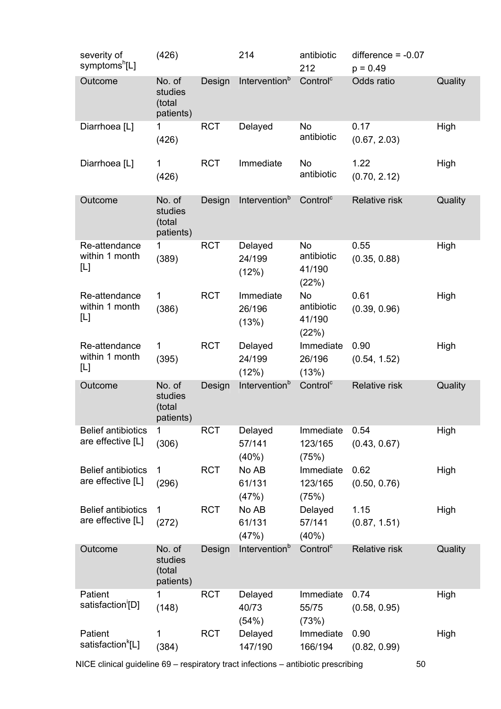| severity of<br>symptoms <sup>h</sup> [L]       | (426)                                    |            | 214                          | antibiotic<br>212                          | difference $= -0.07$<br>$p = 0.49$ |         |
|------------------------------------------------|------------------------------------------|------------|------------------------------|--------------------------------------------|------------------------------------|---------|
| Outcome                                        | No. of<br>studies<br>(total<br>patients) | Design     | Intervention <sup>b</sup>    | Control <sup>c</sup>                       | Odds ratio                         | Quality |
| Diarrhoea [L]                                  | 1<br>(426)                               | <b>RCT</b> | Delayed                      | No<br>antibiotic                           | 0.17<br>(0.67, 2.03)               | High    |
| Diarrhoea [L]                                  | $\mathbf{1}$<br>(426)                    | <b>RCT</b> | Immediate                    | <b>No</b><br>antibiotic                    | 1.22<br>(0.70, 2.12)               | High    |
| Outcome                                        | No. of<br>studies<br>(total<br>patients) | Design     | Intervention <sup>b</sup>    | Control <sup>c</sup>                       | Relative risk                      | Quality |
| Re-attendance<br>within 1 month<br>[L]         | 1<br>(389)                               | <b>RCT</b> | Delayed<br>24/199<br>(12%)   | <b>No</b><br>antibiotic<br>41/190<br>(22%) | 0.55<br>(0.35, 0.88)               | High    |
| Re-attendance<br>within 1 month<br>[L]         | 1<br>(386)                               | <b>RCT</b> | Immediate<br>26/196<br>(13%) | <b>No</b><br>antibiotic<br>41/190<br>(22%) | 0.61<br>(0.39, 0.96)               | High    |
| Re-attendance<br>within 1 month<br>[L]         | 1<br>(395)                               | <b>RCT</b> | Delayed<br>24/199<br>(12%)   | Immediate<br>26/196<br>(13%)               | 0.90<br>(0.54, 1.52)               | High    |
| Outcome                                        | No. of<br>studies<br>(total<br>patients) | Design     | Intervention <sup>b</sup>    | Control <sup>c</sup>                       | Relative risk                      | Quality |
| <b>Belief antibiotics</b><br>are effective [L] | 1<br>(306)                               | <b>RCT</b> | Delayed<br>57/141<br>(40%)   | Immediate<br>123/165<br>(75%)              | 0.54<br>(0.43, 0.67)               | High    |
| <b>Belief antibiotics</b><br>are effective [L] | 1<br>(296)                               | <b>RCT</b> | No AB<br>61/131<br>(47%)     | Immediate<br>123/165<br>(75%)              | 0.62<br>(0.50, 0.76)               | High    |
| <b>Belief antibiotics</b><br>are effective [L] | 1<br>(272)                               | <b>RCT</b> | No AB<br>61/131<br>(47%)     | Delayed<br>57/141<br>(40%)                 | 1.15<br>(0.87, 1.51)               | High    |
| Outcome                                        | No. of<br>studies<br>(total<br>patients) | Design     | Intervention <sup>b</sup>    | Control <sup>c</sup>                       | <b>Relative risk</b>               | Quality |
| Patient<br>satisfaction <sup>'</sup> [D]       | (148)                                    | <b>RCT</b> | Delayed<br>40/73<br>(54%)    | Immediate<br>55/75<br>(73%)                | 0.74<br>(0.58, 0.95)               | High    |
| Patient<br>satisfaction <sup>k</sup> [L]       | 1<br>(384)                               | <b>RCT</b> | Delayed<br>147/190           | Immediate<br>166/194                       | 0.90<br>(0.82, 0.99)               | High    |

NICE clinical guideline 69 – respiratory tract infections – antibiotic prescribing 50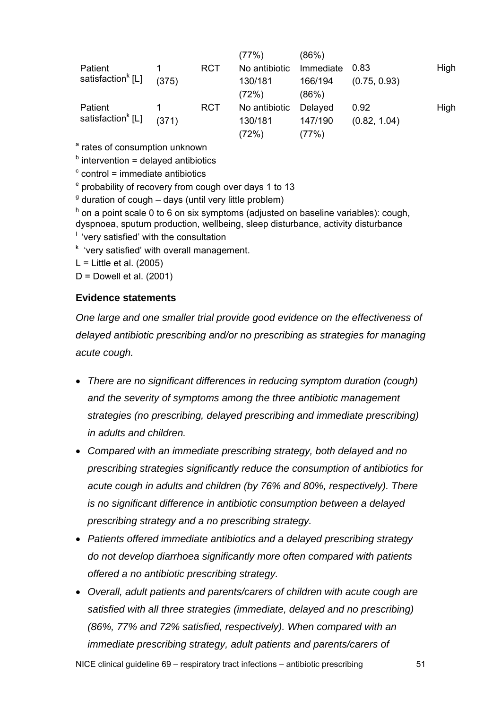|                               |       |            | (77%)         | (86%)     |              |      |
|-------------------------------|-------|------------|---------------|-----------|--------------|------|
| Patient                       |       | <b>RCT</b> | No antibiotic | Immediate | 0.83         | High |
| satisfaction <sup>k</sup> [L] | (375) |            | 130/181       | 166/194   | (0.75, 0.93) |      |
|                               |       |            | (72%)         | (86%)     |              |      |
| Patient                       |       | <b>RCT</b> | No antibiotic | Delayed   | 0.92         | High |
| satisfaction <sup>k</sup> [L] | (371) |            | 130/181       | 147/190   | (0.82, 1.04) |      |
|                               |       |            | (72%)         | (77%)     |              |      |

<sup>a</sup> rates of consumption unknown

 $<sup>b</sup>$  intervention = delayed antibiotics</sup>

 $\textdegree$  control = immediate antibiotics

<sup>e</sup> probability of recovery from cough over days 1 to 13

 $9$  duration of cough  $-$  days (until very little problem)

h on a point scale 0 to 6 on six symptoms (adjusted on baseline variables): cough, dyspnoea, sputum production, wellbeing, sleep disturbance, activity disturbance

 $<sup>1</sup>$  'very satisfied' with the consultation</sup>

<sup>k</sup> 'very satisfied' with overall management.

 $L =$  Little et al. (2005)

 $D =$  Dowell et al. (2001)

#### **Evidence statements**

*One large and one smaller trial provide good evidence on the effectiveness of delayed antibiotic prescribing and/or no prescribing as strategies for managing acute cough.* 

- *There are no significant differences in reducing symptom duration (cough) and the severity of symptoms among the three antibiotic management strategies (no prescribing, delayed prescribing and immediate prescribing) in adults and children.*
- *Compared with an immediate prescribing strategy, both delayed and no prescribing strategies significantly reduce the consumption of antibiotics for acute cough in adults and children (by 76% and 80%, respectively). There is no significant difference in antibiotic consumption between a delayed prescribing strategy and a no prescribing strategy.*
- *Patients offered immediate antibiotics and a delayed prescribing strategy do not develop diarrhoea significantly more often compared with patients offered a no antibiotic prescribing strategy.*
- *Overall, adult patients and parents/carers of children with acute cough are satisfied with all three strategies (immediate, delayed and no prescribing) (86%, 77% and 72% satisfied, respectively). When compared with an immediate prescribing strategy, adult patients and parents/carers of*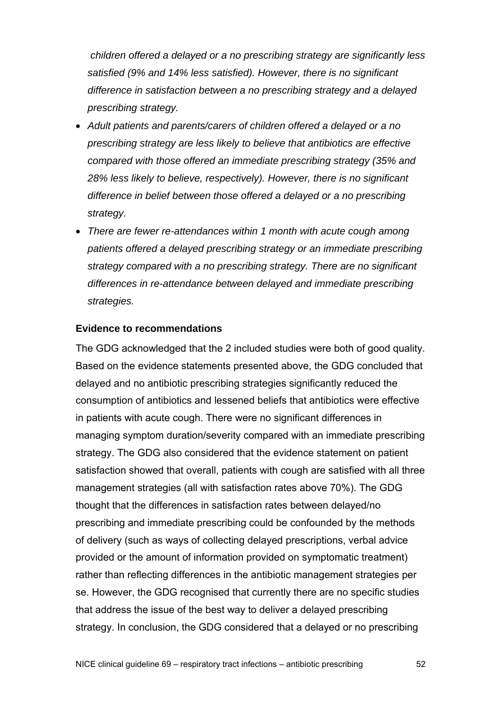*children offered a delayed or a no prescribing strategy are significantly less satisfied (9% and 14% less satisfied). However, there is no significant difference in satisfaction between a no prescribing strategy and a delayed prescribing strategy.* 

- *Adult patients and parents/carers of children offered a delayed or a no prescribing strategy are less likely to believe that antibiotics are effective compared with those offered an immediate prescribing strategy (35% and 28% less likely to believe, respectively). However, there is no significant difference in belief between those offered a delayed or a no prescribing strategy.*
- *There are fewer re-attendances within 1 month with acute cough among patients offered a delayed prescribing strategy or an immediate prescribing strategy compared with a no prescribing strategy. There are no significant differences in re-attendance between delayed and immediate prescribing strategies.*

#### **Evidence to recommendations**

The GDG acknowledged that the 2 included studies were both of good quality. Based on the evidence statements presented above, the GDG concluded that delayed and no antibiotic prescribing strategies significantly reduced the consumption of antibiotics and lessened beliefs that antibiotics were effective in patients with acute cough. There were no significant differences in managing symptom duration/severity compared with an immediate prescribing strategy. The GDG also considered that the evidence statement on patient satisfaction showed that overall, patients with cough are satisfied with all three management strategies (all with satisfaction rates above 70%). The GDG thought that the differences in satisfaction rates between delayed/no prescribing and immediate prescribing could be confounded by the methods of delivery (such as ways of collecting delayed prescriptions, verbal advice provided or the amount of information provided on symptomatic treatment) rather than reflecting differences in the antibiotic management strategies per se. However, the GDG recognised that currently there are no specific studies that address the issue of the best way to deliver a delayed prescribing strategy. In conclusion, the GDG considered that a delayed or no prescribing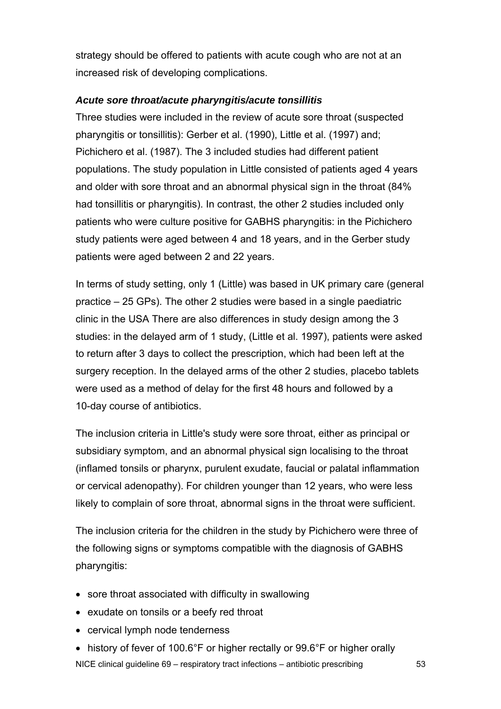strategy should be offered to patients with acute cough who are not at an increased risk of developing complications.

#### *Acute sore throat/acute pharyngitis/acute tonsillitis*

Three studies were included in the review of acute sore throat (suspected pharyngitis or tonsillitis): Gerber et al. (1990), Little et al. (1997) and; Pichichero et al. (1987). The 3 included studies had different patient populations. The study population in Little consisted of patients aged 4 years and older with sore throat and an abnormal physical sign in the throat (84% had tonsillitis or pharyngitis). In contrast, the other 2 studies included only patients who were culture positive for GABHS pharyngitis: in the Pichichero study patients were aged between 4 and 18 years, and in the Gerber study patients were aged between 2 and 22 years.

In terms of study setting, only 1 (Little) was based in UK primary care (general practice – 25 GPs). The other 2 studies were based in a single paediatric clinic in the USA There are also differences in study design among the 3 studies: in the delayed arm of 1 study, (Little et al. 1997), patients were asked to return after 3 days to collect the prescription, which had been left at the surgery reception. In the delayed arms of the other 2 studies, placebo tablets were used as a method of delay for the first 48 hours and followed by a 10-day course of antibiotics.

The inclusion criteria in Little's study were sore throat, either as principal or subsidiary symptom, and an abnormal physical sign localising to the throat (inflamed tonsils or pharynx, purulent exudate, faucial or palatal inflammation or cervical adenopathy). For children younger than 12 years, who were less likely to complain of sore throat, abnormal signs in the throat were sufficient.

The inclusion criteria for the children in the study by Pichichero were three of the following signs or symptoms compatible with the diagnosis of GABHS pharyngitis:

- sore throat associated with difficulty in swallowing
- exudate on tonsils or a beefy red throat
- cervical lymph node tenderness
- NICE clinical guideline 69 respiratory tract infections antibiotic prescribing 53 • history of fever of 100.6°F or higher rectally or 99.6°F or higher orally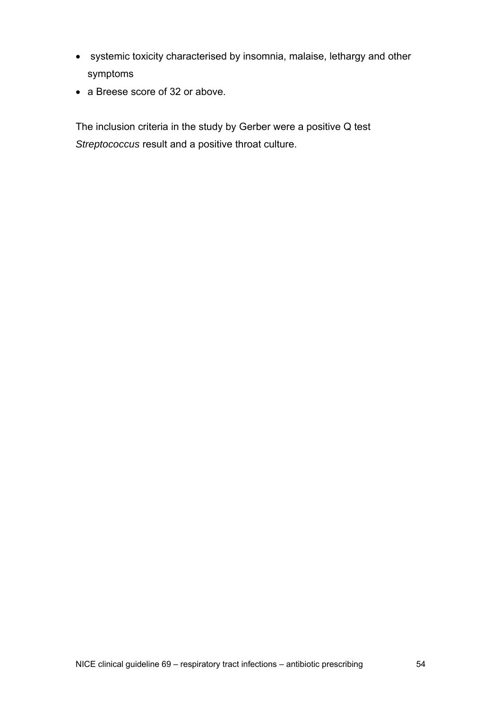- systemic toxicity characterised by insomnia, malaise, lethargy and other symptoms
- a Breese score of 32 or above.

The inclusion criteria in the study by Gerber were a positive Q test *Streptococcus* result and a positive throat culture.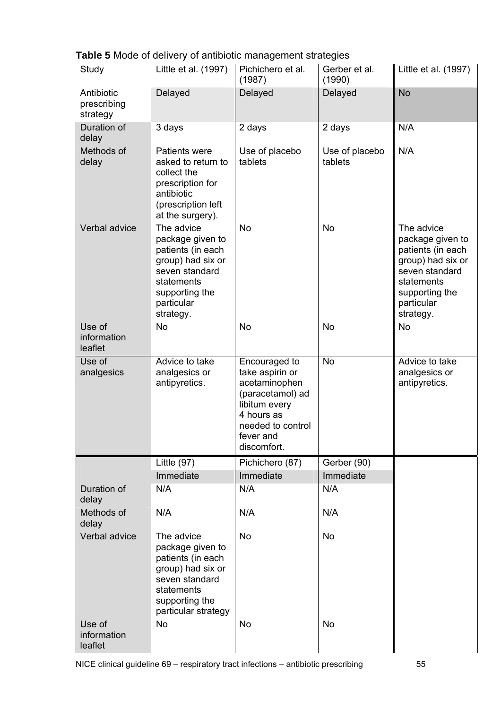|  |  | Table 5 Mode of delivery of antibiotic management strategies |  |
|--|--|--------------------------------------------------------------|--|
|  |  |                                                              |  |
|  |  |                                                              |  |

| Study                                 | Little et al. (1997)                                                                                                                                  | Pichichero et al.<br>(1987)                                                  | Gerber et al.<br>(1990)   | Little et al. (1997)                                                                                                                                  |
|---------------------------------------|-------------------------------------------------------------------------------------------------------------------------------------------------------|------------------------------------------------------------------------------|---------------------------|-------------------------------------------------------------------------------------------------------------------------------------------------------|
| Antibiotic<br>prescribing<br>strategy | Delayed                                                                                                                                               | Delayed                                                                      | Delayed                   | <b>No</b>                                                                                                                                             |
| Duration of<br>delay                  | 3 days                                                                                                                                                | 2 days                                                                       | 2 days                    | N/A                                                                                                                                                   |
| Methods of<br>delay                   | Patients were<br>asked to return to<br>collect the<br>prescription for<br>antibiotic<br>(prescription left<br>at the surgery).                        | Use of placebo<br>tablets                                                    | Use of placebo<br>tablets | N/A                                                                                                                                                   |
| Verbal advice                         | The advice<br>package given to<br>patients (in each<br>group) had six or<br>seven standard<br>statements<br>supporting the<br>particular<br>strategy. | <b>No</b>                                                                    | <b>No</b>                 | The advice<br>package given to<br>patients (in each<br>group) had six or<br>seven standard<br>statements<br>supporting the<br>particular<br>strategy. |
| Use of<br>information<br>leaflet      | <b>No</b>                                                                                                                                             | No                                                                           | No                        | <b>No</b>                                                                                                                                             |
| Use of<br>analgesics                  | Advice to take<br>analgesics or<br>antipyretics.                                                                                                      | Encouraged to<br>take aspirin or<br>acetaminophen<br>(paracetamol) ad        | <b>No</b>                 | Advice to take<br>analgesics or<br>antipyretics.                                                                                                      |
|                                       |                                                                                                                                                       | libitum every<br>4 hours as<br>needed to control<br>fever and<br>discomfort. |                           |                                                                                                                                                       |
|                                       | Little $(97)$                                                                                                                                         | Pichichero (87)                                                              | Gerber (90)               |                                                                                                                                                       |
|                                       | Immediate                                                                                                                                             | Immediate                                                                    | Immediate                 |                                                                                                                                                       |
| Duration of<br>delay                  | N/A                                                                                                                                                   | N/A                                                                          | N/A                       |                                                                                                                                                       |
| Methods of<br>delay                   | N/A                                                                                                                                                   | N/A                                                                          | N/A                       |                                                                                                                                                       |
| Verbal advice                         | The advice<br>package given to<br>patients (in each<br>group) had six or<br>seven standard<br>statements<br>supporting the<br>particular strategy     | <b>No</b>                                                                    | No                        |                                                                                                                                                       |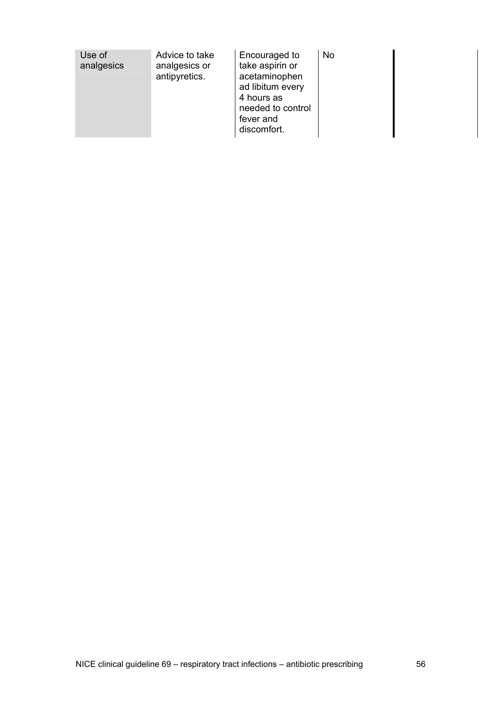| Use of<br>analgesics | Advice to take<br>analgesics or<br>antipyretics. | Encouraged to<br>take aspirin or<br>acetaminophen<br>ad libitum every<br>4 hours as<br>needed to control<br>fever and<br>discomfort. | No |
|----------------------|--------------------------------------------------|--------------------------------------------------------------------------------------------------------------------------------------|----|
|----------------------|--------------------------------------------------|--------------------------------------------------------------------------------------------------------------------------------------|----|

 $\overline{\phantom{a}}$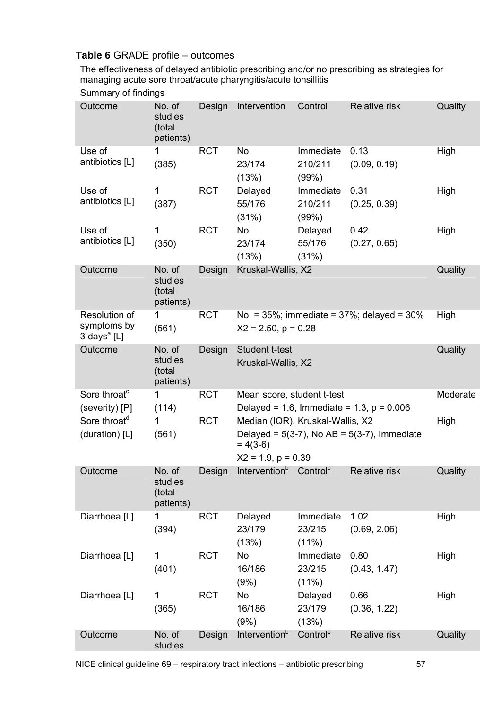# **Table 6** GRADE profile – outcomes

The effectiveness of delayed antibiotic prescribing and/or no prescribing as strategies for managing acute sore throat/acute pharyngitis/acute tonsillitis

| Summary of findings |  |  |
|---------------------|--|--|
|---------------------|--|--|

| Outcome                                                 | No. of<br>studies<br>(total<br>patients) | Design     | Intervention                                                                                                                   | Control                                | Relative risk                                       | Quality  |
|---------------------------------------------------------|------------------------------------------|------------|--------------------------------------------------------------------------------------------------------------------------------|----------------------------------------|-----------------------------------------------------|----------|
| Use of<br>antibiotics [L]                               | 1<br>(385)                               | <b>RCT</b> | No<br>23/174<br>(13%)                                                                                                          | Immediate<br>210/211<br>(99%)          | 0.13<br>(0.09, 0.19)                                | High     |
| Use of<br>antibiotics [L]                               | 1<br>(387)                               | <b>RCT</b> | Delayed<br>55/176<br>(31%)                                                                                                     | Immediate<br>210/211<br>(99%)          | 0.31<br>(0.25, 0.39)                                | High     |
| Use of<br>antibiotics [L]                               | 1<br>(350)                               | <b>RCT</b> | No<br>23/174<br>(13%)                                                                                                          | Delayed<br>55/176<br>(31%)             | 0.42<br>(0.27, 0.65)                                | High     |
| Outcome                                                 | No. of<br>studies<br>(total<br>patients) | Design     | Kruskal-Wallis, X2                                                                                                             |                                        |                                                     | Quality  |
| Resolution of<br>symptoms by<br>3 days <sup>a</sup> [L] | 1<br>(561)                               | <b>RCT</b> | $X2 = 2.50$ , $p = 0.28$                                                                                                       |                                        | No = $35\%$ ; immediate = $37\%$ ; delayed = $30\%$ | High     |
| Outcome                                                 | No. of<br>studies<br>(total<br>patients) | Design     | <b>Student t-test</b><br>Kruskal-Wallis, X2                                                                                    |                                        |                                                     | Quality  |
| Sore throat <sup>c</sup>                                | 1                                        | <b>RCT</b> | Mean score, student t-test                                                                                                     |                                        |                                                     | Moderate |
| (severity) [P]                                          | (114)                                    |            |                                                                                                                                |                                        | Delayed = 1.6, Immediate = 1.3, $p = 0.006$         |          |
| Sore throat <sup>d</sup><br>(duration) [L]              | 1<br>(561)                               | <b>RCT</b> | Median (IQR), Kruskal-Wallis, X2<br>Delayed = $5(3-7)$ , No AB = $5(3-7)$ , Immediate<br>$= 4(3-6)$<br>$X2 = 1.9$ , $p = 0.39$ |                                        |                                                     | High     |
| Outcome                                                 | No. of                                   | Design     | Intervention <sup>b</sup> Control <sup>c</sup>                                                                                 |                                        | Relative risk                                       | Quality  |
|                                                         | studies<br>(total<br>patients)           |            |                                                                                                                                |                                        |                                                     |          |
| Diarrhoea [L]                                           | 1<br>(394)                               | <b>RCT</b> | Delayed<br>23/179<br>(13%)                                                                                                     | Immediate<br>23/215<br>$(11\%)$        | 1.02<br>(0.69, 2.06)                                | High     |
| Diarrhoea [L]                                           | 1<br>(401)                               | <b>RCT</b> | No<br>16/186                                                                                                                   | Immediate<br>23/215                    | 0.80<br>(0.43, 1.47)                                | High     |
| Diarrhoea [L]                                           | 1<br>(365)                               | <b>RCT</b> | (9%)<br>No<br>16/186<br>(9%)                                                                                                   | $(11\%)$<br>Delayed<br>23/179<br>(13%) | 0.66<br>(0.36, 1.22)                                | High     |
| Outcome                                                 | No. of<br>studies                        | Design     | Intervention <sup>b</sup>                                                                                                      | Control <sup>c</sup>                   | Relative risk                                       | Quality  |
|                                                         |                                          |            |                                                                                                                                |                                        |                                                     |          |

NICE clinical guideline 69 – respiratory tract infections – antibiotic prescribing 57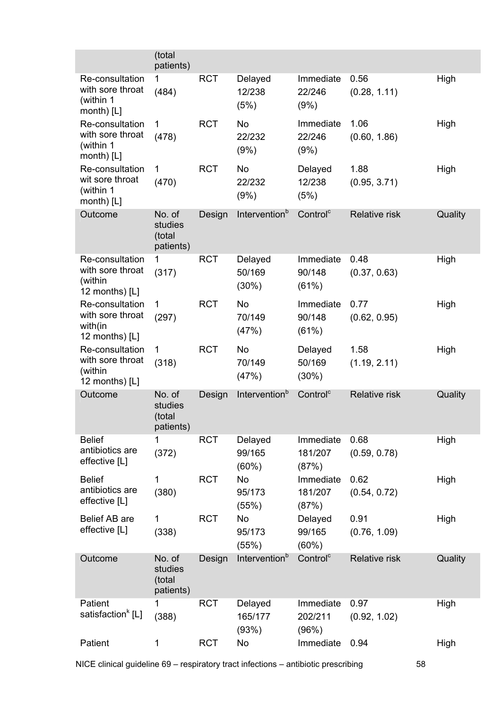|                                                                    | (total<br>patients)                      |            |                               |                               |                      |         |
|--------------------------------------------------------------------|------------------------------------------|------------|-------------------------------|-------------------------------|----------------------|---------|
| Re-consultation<br>with sore throat<br>(within 1<br>month) $[L]$   | 1<br>(484)                               | <b>RCT</b> | Delayed<br>12/238<br>(5%)     | Immediate<br>22/246<br>(9%)   | 0.56<br>(0.28, 1.11) | High    |
| Re-consultation<br>with sore throat<br>(within 1<br>month) $[L]$   | 1<br>(478)                               | <b>RCT</b> | <b>No</b><br>22/232<br>(9%)   | Immediate<br>22/246<br>(9%)   | 1.06<br>(0.60, 1.86) | High    |
| Re-consultation<br>wit sore throat<br>(within 1<br>month) [L]      | 1<br>(470)                               | <b>RCT</b> | No<br>22/232<br>(9%)          | Delayed<br>12/238<br>(5%)     | 1.88<br>(0.95, 3.71) | High    |
| Outcome                                                            | No. of<br>studies<br>(total<br>patients) | Design     | Intervention <sup>b</sup>     | Control <sup>c</sup>          | <b>Relative risk</b> | Quality |
| Re-consultation<br>with sore throat<br>(within<br>12 months) $[L]$ | 1<br>(317)                               | <b>RCT</b> | Delayed<br>50/169<br>(30%)    | Immediate<br>90/148<br>(61%)  | 0.48<br>(0.37, 0.63) | High    |
| Re-consultation<br>with sore throat<br>with(in<br>12 months) $[L]$ | 1<br>(297)                               | <b>RCT</b> | <b>No</b><br>70/149<br>(47%)  | Immediate<br>90/148<br>(61%)  | 0.77<br>(0.62, 0.95) | High    |
| Re-consultation<br>with sore throat<br>(within<br>12 months) [L]   | 1<br>(318)                               | <b>RCT</b> | No<br>70/149<br>(47%)         | Delayed<br>50/169<br>(30%)    | 1.58<br>(1.19, 2.11) | High    |
| Outcome                                                            | No. of<br>studies<br>(total<br>patients) | Design     | Intervention <sup>b</sup>     | Control <sup>c</sup>          | <b>Relative risk</b> | Quality |
| <b>Belief</b><br>antibiotics are<br>effective [L]                  | 1<br>(372)                               | <b>RCT</b> | Delayed<br>99/165<br>$(60\%)$ | Immediate<br>181/207<br>(87%) | 0.68<br>(0.59, 0.78) | High    |
| <b>Belief</b><br>antibiotics are<br>effective [L]                  | 1<br>(380)                               | <b>RCT</b> | No<br>95/173<br>(55%)         | Immediate<br>181/207<br>(87%) | 0.62<br>(0.54, 0.72) | High    |
| Belief AB are<br>effective [L]                                     | 1<br>(338)                               | <b>RCT</b> | No<br>95/173<br>(55%)         | Delayed<br>99/165<br>$(60\%)$ | 0.91<br>(0.76, 1.09) | High    |
| Outcome                                                            | No. of<br>studies<br>(total<br>patients) | Design     | Intervention <sup>b</sup>     | Control <sup>c</sup>          | Relative risk        | Quality |
| Patient<br>satisfaction <sup>k</sup> [L]                           | (388)                                    | <b>RCT</b> | Delayed<br>165/177<br>(93%)   | Immediate<br>202/211<br>(96%) | 0.97<br>(0.92, 1.02) | High    |
| Patient                                                            | 1                                        | <b>RCT</b> | No                            | Immediate                     | 0.94                 | High    |

NICE clinical guideline 69 – respiratory tract infections – antibiotic prescribing 58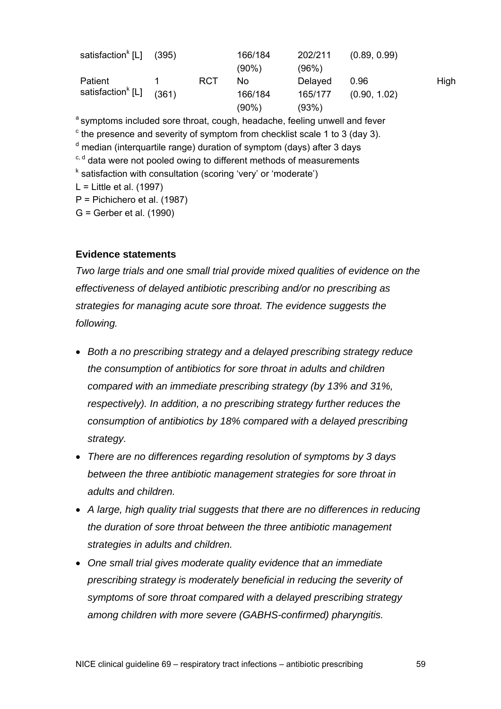| satisfaction <sup>k</sup> [L] | (395) |            | 166/184  | 202/211 | (0.89, 0.99) |      |
|-------------------------------|-------|------------|----------|---------|--------------|------|
|                               |       |            | $(90\%)$ | (96%)   |              |      |
| Patient                       |       | <b>RCT</b> | No       | Delayed | 0.96         | High |
| satisfaction <sup>k</sup> [L] | (361) |            | 166/184  | 165/177 | (0.90, 1.02) |      |
|                               |       |            | $(90\%)$ | (93%)   |              |      |

<sup>a</sup> symptoms included sore throat, cough, headache, feeling unwell and fever  $\textdegree$  the presence and severity of symptom from checklist scale 1 to 3 (day 3). <sup>d</sup> median (interquartile range) duration of symptom (days) after 3 days c, d data were not pooled owing to different methods of measurements <sup>k</sup> satisfaction with consultation (scoring 'very' or 'moderate')  $L =$  Little et al. (1997) P = Pichichero et al. (1987) G = Gerber et al. (1990)

#### **Evidence statements**

*Two large trials and one small trial provide mixed qualities of evidence on the effectiveness of delayed antibiotic prescribing and/or no prescribing as strategies for managing acute sore throat. The evidence suggests the following.* 

- *Both a no prescribing strategy and a delayed prescribing strategy reduce the consumption of antibiotics for sore throat in adults and children compared with an immediate prescribing strategy (by 13% and 31%, respectively). In addition, a no prescribing strategy further reduces the consumption of antibiotics by 18% compared with a delayed prescribing strategy.*
- *There are no differences regarding resolution of symptoms by 3 days between the three antibiotic management strategies for sore throat in adults and children.*
- *A large, high quality trial suggests that there are no differences in reducing the duration of sore throat between the three antibiotic management strategies in adults and children.*
- *One small trial gives moderate quality evidence that an immediate prescribing strategy is moderately beneficial in reducing the severity of symptoms of sore throat compared with a delayed prescribing strategy among children with more severe (GABHS-confirmed) pharyngitis.*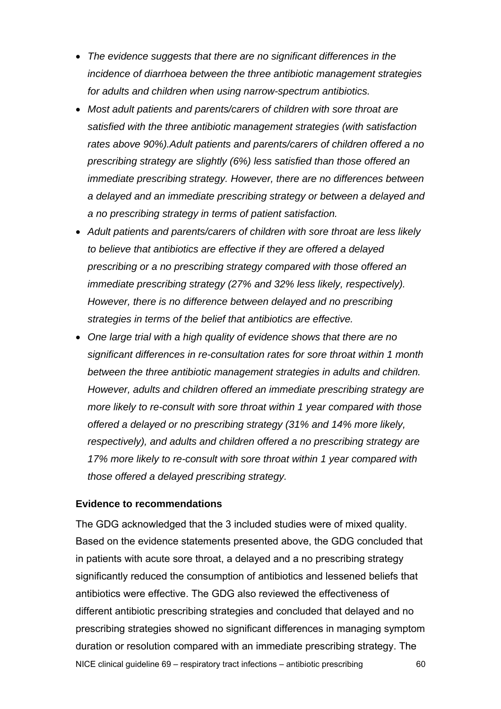- *The evidence suggests that there are no significant differences in the incidence of diarrhoea between the three antibiotic management strategies for adults and children when using narrow-spectrum antibiotics.*
- *Most adult patients and parents/carers of children with sore throat are satisfied with the three antibiotic management strategies (with satisfaction rates above 90%).Adult patients and parents/carers of children offered a no prescribing strategy are slightly (6%) less satisfied than those offered an immediate prescribing strategy. However, there are no differences between a delayed and an immediate prescribing strategy or between a delayed and a no prescribing strategy in terms of patient satisfaction.*
- *Adult patients and parents/carers of children with sore throat are less likely to believe that antibiotics are effective if they are offered a delayed prescribing or a no prescribing strategy compared with those offered an immediate prescribing strategy (27% and 32% less likely, respectively). However, there is no difference between delayed and no prescribing strategies in terms of the belief that antibiotics are effective.*
- *One large trial with a high quality of evidence shows that there are no significant differences in re-consultation rates for sore throat within 1 month between the three antibiotic management strategies in adults and children. However, adults and children offered an immediate prescribing strategy are more likely to re-consult with sore throat within 1 year compared with those offered a delayed or no prescribing strategy (31% and 14% more likely, respectively), and adults and children offered a no prescribing strategy are 17% more likely to re-consult with sore throat within 1 year compared with those offered a delayed prescribing strategy.*

#### **Evidence to recommendations**

NICE clinical guideline 69 – respiratory tract infections – antibiotic prescribing 60 The GDG acknowledged that the 3 included studies were of mixed quality. Based on the evidence statements presented above, the GDG concluded that in patients with acute sore throat, a delayed and a no prescribing strategy significantly reduced the consumption of antibiotics and lessened beliefs that antibiotics were effective. The GDG also reviewed the effectiveness of different antibiotic prescribing strategies and concluded that delayed and no prescribing strategies showed no significant differences in managing symptom duration or resolution compared with an immediate prescribing strategy. The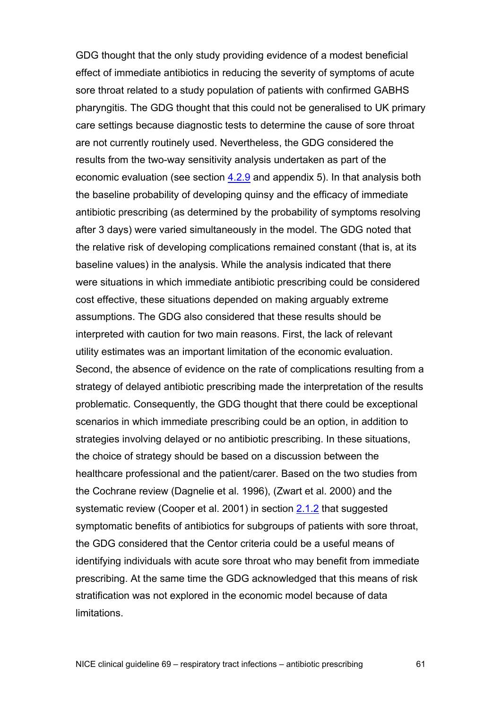GDG thought that the only study providing evidence of a modest beneficial effect of immediate antibiotics in reducing the severity of symptoms of acute sore throat related to a study population of patients with confirmed GABHS pharyngitis. The GDG thought that this could not be generalised to UK primary care settings because diagnostic tests to determine the cause of sore throat are not currently routinely used. Nevertheless, the GDG considered the results from the two-way sensitivity analysis undertaken as part of the economic evaluation (see section [4.2.9](#page-11-0) and appendix 5). In that analysis both the baseline probability of developing quinsy and the efficacy of immediate antibiotic prescribing (as determined by the probability of symptoms resolving after 3 days) were varied simultaneously in the model. The GDG noted that the relative risk of developing complications remained constant (that is, at its baseline values) in the analysis. While the analysis indicated that there were situations in which immediate antibiotic prescribing could be considered cost effective, these situations depended on making arguably extreme assumptions. The GDG also considered that these results should be interpreted with caution for two main reasons. First, the lack of relevant utility estimates was an important limitation of the economic evaluation. Second, the absence of evidence on the rate of complications resulting from a strategy of delayed antibiotic prescribing made the interpretation of the results problematic. Consequently, the GDG thought that there could be exceptional scenarios in which immediate prescribing could be an option, in addition to strategies involving delayed or no antibiotic prescribing. In these situations, the choice of strategy should be based on a discussion between the healthcare professional and the patient/carer. Based on the two studies from the Cochrane review (Dagnelie et al. 1996), (Zwart et al. 2000) and the systematic review (Cooper et al. 2001) in section [2.1.2](#page-16-0) that suggested symptomatic benefits of antibiotics for subgroups of patients with sore throat, the GDG considered that the Centor criteria could be a useful means of identifying individuals with acute sore throat who may benefit from immediate prescribing. At the same time the GDG acknowledged that this means of risk stratification was not explored in the economic model because of data limitations.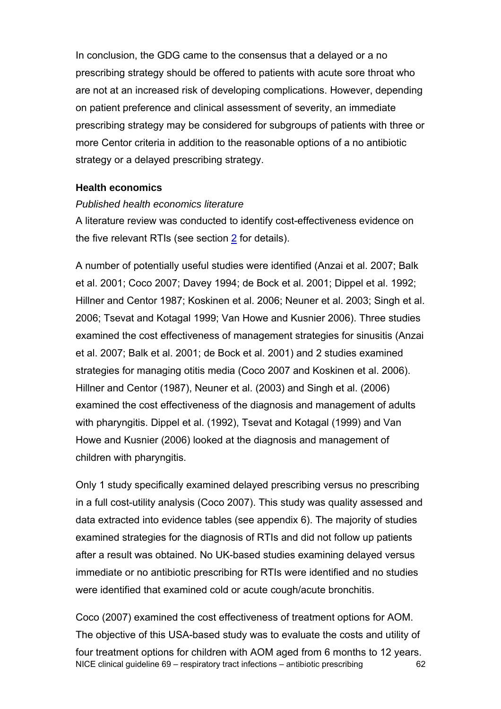In conclusion, the GDG came to the consensus that a delayed or a no prescribing strategy should be offered to patients with acute sore throat who are not at an increased risk of developing complications. However, depending on patient preference and clinical assessment of severity, an immediate prescribing strategy may be considered for subgroups of patients with three or more Centor criteria in addition to the reasonable options of a no antibiotic strategy or a delayed prescribing strategy.

#### **Health economics**

#### *Published health economics literature*

A literature review was conducted to identify cost-effectiveness evidence on the five relevant RTIs (see section [2](#page-15-0) for details).

A number of potentially useful studies were identified (Anzai et al. 2007; Balk et al. 2001; Coco 2007; Davey 1994; de Bock et al. 2001; Dippel et al. 1992; Hillner and Centor 1987; Koskinen et al. 2006; Neuner et al. 2003; Singh et al. 2006; Tsevat and Kotagal 1999; Van Howe and Kusnier 2006). Three studies examined the cost effectiveness of management strategies for sinusitis (Anzai et al. 2007; Balk et al. 2001; de Bock et al. 2001) and 2 studies examined strategies for managing otitis media (Coco 2007 and Koskinen et al. 2006). Hillner and Centor (1987), Neuner et al. (2003) and Singh et al. (2006) examined the cost effectiveness of the diagnosis and management of adults with pharyngitis. Dippel et al. (1992), Tsevat and Kotagal (1999) and Van Howe and Kusnier (2006) looked at the diagnosis and management of children with pharyngitis.

Only 1 study specifically examined delayed prescribing versus no prescribing in a full cost-utility analysis (Coco 2007). This study was quality assessed and data extracted into evidence tables (see appendix 6). The majority of studies examined strategies for the diagnosis of RTIs and did not follow up patients after a result was obtained. No UK-based studies examining delayed versus immediate or no antibiotic prescribing for RTIs were identified and no studies were identified that examined cold or acute cough/acute bronchitis.

NICE clinical guideline 69 – respiratory tract infections – antibiotic prescribing 62 Coco (2007) examined the cost effectiveness of treatment options for AOM. The objective of this USA-based study was to evaluate the costs and utility of four treatment options for children with AOM aged from 6 months to 12 years.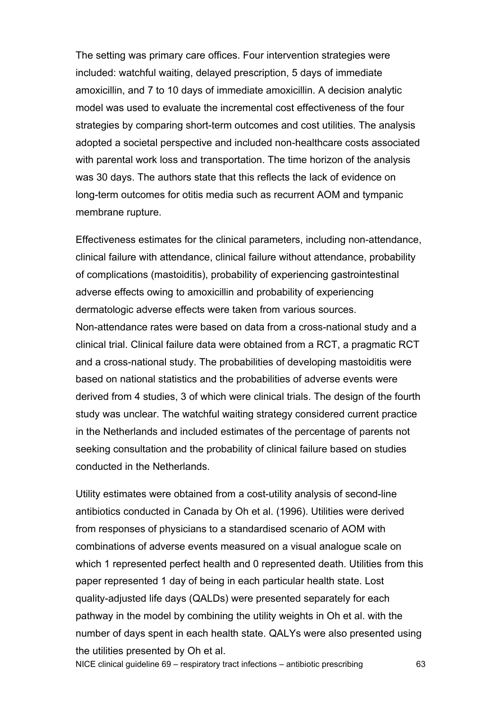The setting was primary care offices. Four intervention strategies were included: watchful waiting, delayed prescription, 5 days of immediate amoxicillin, and 7 to 10 days of immediate amoxicillin. A decision analytic model was used to evaluate the incremental cost effectiveness of the four strategies by comparing short-term outcomes and cost utilities. The analysis adopted a societal perspective and included non-healthcare costs associated with parental work loss and transportation. The time horizon of the analysis was 30 days. The authors state that this reflects the lack of evidence on long-term outcomes for otitis media such as recurrent AOM and tympanic membrane rupture.

Effectiveness estimates for the clinical parameters, including non-attendance, clinical failure with attendance, clinical failure without attendance, probability of complications (mastoiditis), probability of experiencing gastrointestinal adverse effects owing to amoxicillin and probability of experiencing dermatologic adverse effects were taken from various sources. Non-attendance rates were based on data from a cross-national study and a clinical trial. Clinical failure data were obtained from a RCT, a pragmatic RCT and a cross-national study. The probabilities of developing mastoiditis were based on national statistics and the probabilities of adverse events were derived from 4 studies, 3 of which were clinical trials. The design of the fourth study was unclear. The watchful waiting strategy considered current practice in the Netherlands and included estimates of the percentage of parents not seeking consultation and the probability of clinical failure based on studies conducted in the Netherlands.

Utility estimates were obtained from a cost-utility analysis of second-line antibiotics conducted in Canada by Oh et al. (1996). Utilities were derived from responses of physicians to a standardised scenario of AOM with combinations of adverse events measured on a visual analogue scale on which 1 represented perfect health and 0 represented death. Utilities from this paper represented 1 day of being in each particular health state. Lost quality-adjusted life days (QALDs) were presented separately for each pathway in the model by combining the utility weights in Oh et al. with the number of days spent in each health state. QALYs were also presented using the utilities presented by Oh et al.

NICE clinical guideline 69 – respiratory tract infections – antibiotic prescribing 63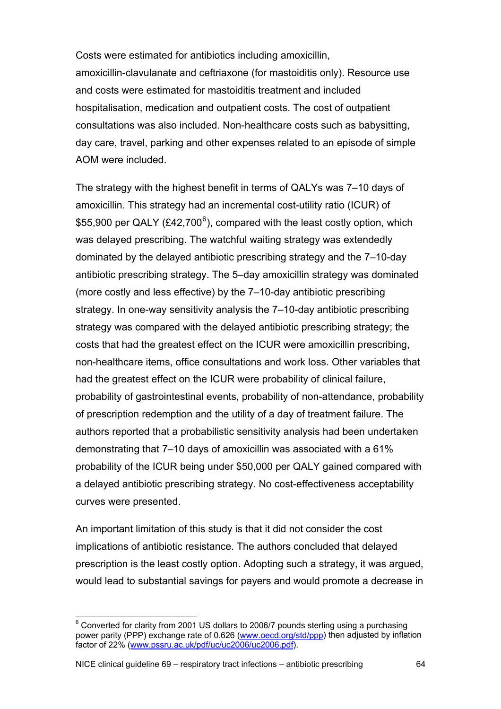<span id="page-63-0"></span>Costs were estimated for antibiotics including amoxicillin, amoxicillin-clavulanate and ceftriaxone (for mastoiditis only). Resource use and costs were estimated for mastoiditis treatment and included hospitalisation, medication and outpatient costs. The cost of outpatient consultations was also included. Non-healthcare costs such as babysitting, day care, travel, parking and other expenses related to an episode of simple AOM were included.

The strategy with the highest benefit in terms of QALYs was 7–10 days of amoxicillin. This strategy had an incremental cost-utility ratio (ICUR) of \$55,900 per QALY (£42,700<sup>[6](#page-63-0)</sup>), compared with the least costly option, which was delayed prescribing. The watchful waiting strategy was extendedly dominated by the delayed antibiotic prescribing strategy and the 7–10-day antibiotic prescribing strategy. The 5–day amoxicillin strategy was dominated (more costly and less effective) by the 7–10-day antibiotic prescribing strategy. In one-way sensitivity analysis the 7–10-day antibiotic prescribing strategy was compared with the delayed antibiotic prescribing strategy; the costs that had the greatest effect on the ICUR were amoxicillin prescribing, non-healthcare items, office consultations and work loss. Other variables that had the greatest effect on the ICUR were probability of clinical failure, probability of gastrointestinal events, probability of non-attendance, probability of prescription redemption and the utility of a day of treatment failure. The authors reported that a probabilistic sensitivity analysis had been undertaken demonstrating that 7–10 days of amoxicillin was associated with a 61% probability of the ICUR being under \$50,000 per QALY gained compared with a delayed antibiotic prescribing strategy. No cost-effectiveness acceptability curves were presented.

An important limitation of this study is that it did not consider the cost implications of antibiotic resistance. The authors concluded that delayed prescription is the least costly option. Adopting such a strategy, it was argued, would lead to substantial savings for payers and would promote a decrease in

 $\overline{a}$ 

 $^6$  Converted for clarity from 2001 US dollars to 2006/7 pounds sterling using a purchasing power parity (PPP) exchange rate of 0.626 [\(www.oecd.org/std/ppp\)](http://www.oecd.org/std/ppp) then adjusted by inflation factor of 22% ([www.pssru.ac.uk/pdf/uc/uc2006/uc2006.pdf](http://www.pssru.ac.uk/pdf/uc/uc2006/uc2006.pdf)).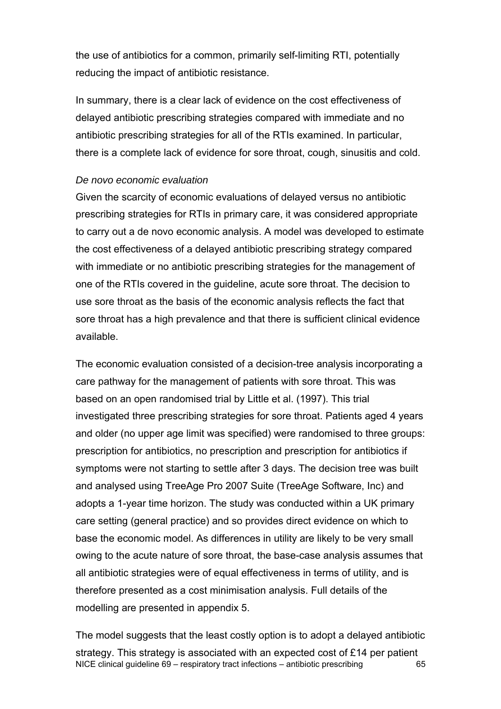the use of antibiotics for a common, primarily self-limiting RTI, potentially reducing the impact of antibiotic resistance.

In summary, there is a clear lack of evidence on the cost effectiveness of delayed antibiotic prescribing strategies compared with immediate and no antibiotic prescribing strategies for all of the RTIs examined. In particular, there is a complete lack of evidence for sore throat, cough, sinusitis and cold.

#### *De novo economic evaluation*

Given the scarcity of economic evaluations of delayed versus no antibiotic prescribing strategies for RTIs in primary care, it was considered appropriate to carry out a de novo economic analysis. A model was developed to estimate the cost effectiveness of a delayed antibiotic prescribing strategy compared with immediate or no antibiotic prescribing strategies for the management of one of the RTIs covered in the guideline, acute sore throat. The decision to use sore throat as the basis of the economic analysis reflects the fact that sore throat has a high prevalence and that there is sufficient clinical evidence available.

The economic evaluation consisted of a decision-tree analysis incorporating a care pathway for the management of patients with sore throat. This was based on an open randomised trial by Little et al. (1997). This trial investigated three prescribing strategies for sore throat. Patients aged 4 years and older (no upper age limit was specified) were randomised to three groups: prescription for antibiotics, no prescription and prescription for antibiotics if symptoms were not starting to settle after 3 days. The decision tree was built and analysed using TreeAge Pro 2007 Suite (TreeAge Software, Inc) and adopts a 1-year time horizon. The study was conducted within a UK primary care setting (general practice) and so provides direct evidence on which to base the economic model. As differences in utility are likely to be very small owing to the acute nature of sore throat, the base-case analysis assumes that all antibiotic strategies were of equal effectiveness in terms of utility, and is therefore presented as a cost minimisation analysis. Full details of the modelling are presented in appendix 5.

NICE clinical guideline 69 – respiratory tract infections – antibiotic prescribing 65 The model suggests that the least costly option is to adopt a delayed antibiotic strategy. This strategy is associated with an expected cost of £14 per patient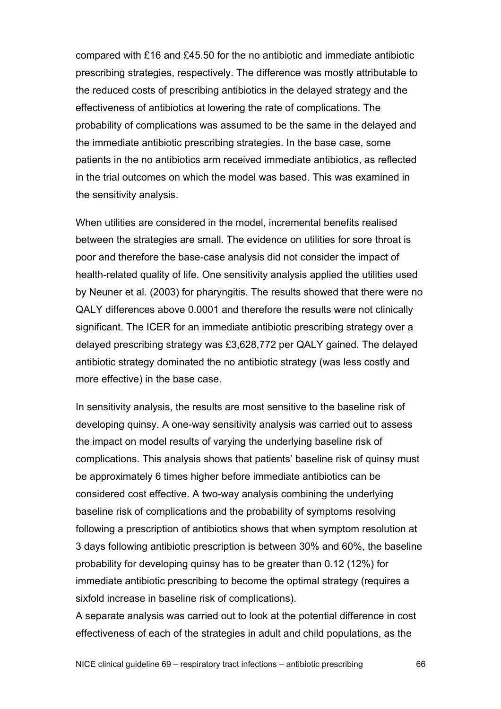compared with £16 and £45.50 for the no antibiotic and immediate antibiotic prescribing strategies, respectively. The difference was mostly attributable to the reduced costs of prescribing antibiotics in the delayed strategy and the effectiveness of antibiotics at lowering the rate of complications. The probability of complications was assumed to be the same in the delayed and the immediate antibiotic prescribing strategies. In the base case, some patients in the no antibiotics arm received immediate antibiotics, as reflected in the trial outcomes on which the model was based. This was examined in the sensitivity analysis.

When utilities are considered in the model, incremental benefits realised between the strategies are small. The evidence on utilities for sore throat is poor and therefore the base-case analysis did not consider the impact of health-related quality of life. One sensitivity analysis applied the utilities used by Neuner et al. (2003) for pharyngitis. The results showed that there were no QALY differences above 0.0001 and therefore the results were not clinically significant. The ICER for an immediate antibiotic prescribing strategy over a delayed prescribing strategy was £3,628,772 per QALY gained. The delayed antibiotic strategy dominated the no antibiotic strategy (was less costly and more effective) in the base case.

In sensitivity analysis, the results are most sensitive to the baseline risk of developing quinsy. A one-way sensitivity analysis was carried out to assess the impact on model results of varying the underlying baseline risk of complications. This analysis shows that patients' baseline risk of quinsy must be approximately 6 times higher before immediate antibiotics can be considered cost effective. A two-way analysis combining the underlying baseline risk of complications and the probability of symptoms resolving following a prescription of antibiotics shows that when symptom resolution at 3 days following antibiotic prescription is between 30% and 60%, the baseline probability for developing quinsy has to be greater than 0.12 (12%) for immediate antibiotic prescribing to become the optimal strategy (requires a sixfold increase in baseline risk of complications).

A separate analysis was carried out to look at the potential difference in cost effectiveness of each of the strategies in adult and child populations, as the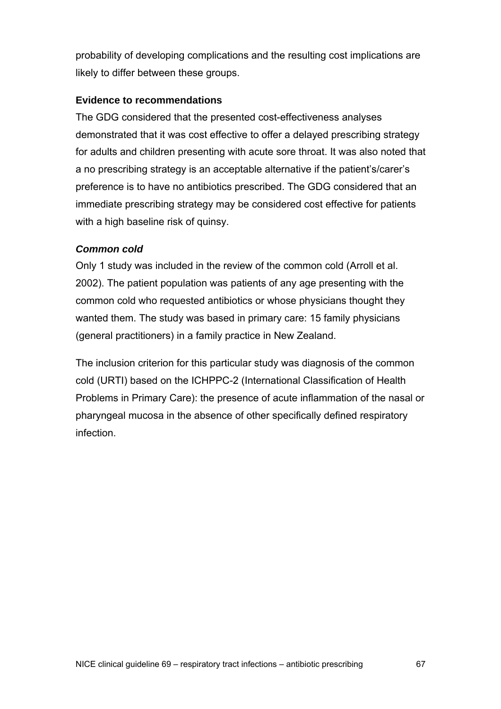probability of developing complications and the resulting cost implications are likely to differ between these groups.

## **Evidence to recommendations**

The GDG considered that the presented cost-effectiveness analyses demonstrated that it was cost effective to offer a delayed prescribing strategy for adults and children presenting with acute sore throat. It was also noted that a no prescribing strategy is an acceptable alternative if the patient's/carer's preference is to have no antibiotics prescribed. The GDG considered that an immediate prescribing strategy may be considered cost effective for patients with a high baseline risk of quinsy.

## *Common cold*

Only 1 study was included in the review of the common cold (Arroll et al. 2002). The patient population was patients of any age presenting with the common cold who requested antibiotics or whose physicians thought they wanted them. The study was based in primary care: 15 family physicians (general practitioners) in a family practice in New Zealand.

The inclusion criterion for this particular study was diagnosis of the common cold (URTI) based on the ICHPPC-2 (International Classification of Health Problems in Primary Care): the presence of acute inflammation of the nasal or pharyngeal mucosa in the absence of other specifically defined respiratory infection.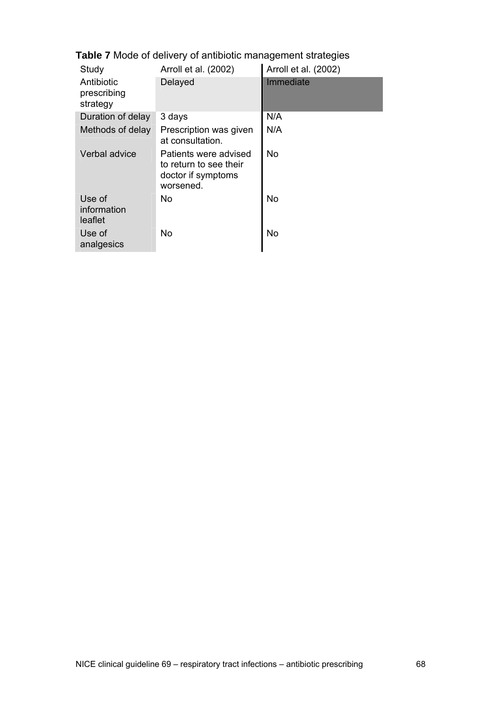**Table 7** Mode of delivery of antibiotic management strategies

| Study                                 | Arroll et al. (2002)                                                               | Arroll et al. (2002) |
|---------------------------------------|------------------------------------------------------------------------------------|----------------------|
| Antibiotic<br>prescribing<br>strategy | Delayed                                                                            | Immediate            |
| Duration of delay                     | 3 days                                                                             | N/A                  |
| Methods of delay                      | Prescription was given<br>at consultation.                                         | N/A                  |
| Verbal advice                         | Patients were advised<br>to return to see their<br>doctor if symptoms<br>worsened. | No.                  |
| Use of<br>information<br>leaflet      | No                                                                                 | <b>No</b>            |
| Use of<br>analgesics                  | No                                                                                 | No                   |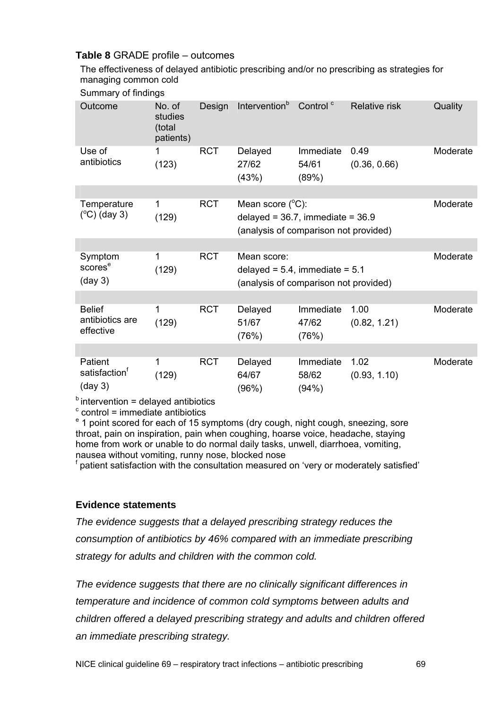## **Table 8** GRADE profile – outcomes

The effectiveness of delayed antibiotic prescribing and/or no prescribing as strategies for managing common cold

| Outcome                                                   | No. of<br>studies<br>(total<br>patients) | Design     | Intervention <sup>b</sup>                                                                                    | Control <sup>c</sup>        | Relative risk        | Quality  |
|-----------------------------------------------------------|------------------------------------------|------------|--------------------------------------------------------------------------------------------------------------|-----------------------------|----------------------|----------|
| Use of<br>antibiotics                                     | 1<br>(123)                               | <b>RCT</b> | Delayed<br>27/62<br>(43%)                                                                                    | Immediate<br>54/61<br>(89%) | 0.49<br>(0.36, 0.66) | Moderate |
|                                                           |                                          |            |                                                                                                              |                             |                      |          |
| Temperature<br>$(^{\circ}C)$ (day 3)                      | 1<br>(129)                               | <b>RCT</b> | Mean score $(^{\circ}C)$ :<br>delayed = $36.7$ , immediate = $36.9$<br>(analysis of comparison not provided) |                             |                      | Moderate |
|                                                           |                                          |            |                                                                                                              |                             |                      |          |
| Symptom<br>scores <sup>e</sup><br>$(\text{day } 3)$       | 1<br>(129)                               | <b>RCT</b> | Mean score:<br>delayed = $5.4$ , immediate = $5.1$<br>(analysis of comparison not provided)                  |                             |                      | Moderate |
|                                                           |                                          |            |                                                                                                              |                             |                      |          |
| <b>Belief</b><br>antibiotics are<br>effective             | 1<br>(129)                               | <b>RCT</b> | Delayed<br>51/67<br>(76%)                                                                                    | Immediate<br>47/62<br>(76%) | 1.00<br>(0.82, 1.21) | Moderate |
|                                                           |                                          |            |                                                                                                              |                             |                      |          |
| Patient<br>satisfaction <sup>†</sup><br>$(\text{day } 3)$ | 1<br>(129)                               | <b>RCT</b> | Delayed<br>64/67<br>(96%)                                                                                    | Immediate<br>58/62<br>(94%) | 1.02<br>(0.93, 1.10) | Moderate |

 $<sup>b</sup>$  intervention = delayed antibiotics</sup>

 $\textdegree$  control = immediate antibiotics

<sup>e</sup> 1 point scored for each of 15 symptoms (dry cough, night cough, sneezing, sore throat, pain on inspiration, pain when coughing, hoarse voice, headache, staying home from work or unable to do normal daily tasks, unwell, diarrhoea, vomiting, nausea without vomiting, runny nose, blocked nose

<sup>f</sup> patient satisfaction with the consultation measured on 'very or moderately satisfied'

#### **Evidence statements**

*The evidence suggests that a delayed prescribing strategy reduces the consumption of antibiotics by 46% compared with an immediate prescribing strategy for adults and children with the common cold.* 

*The evidence suggests that there are no clinically significant differences in temperature and incidence of common cold symptoms between adults and children offered a delayed prescribing strategy and adults and children offered an immediate prescribing strategy.*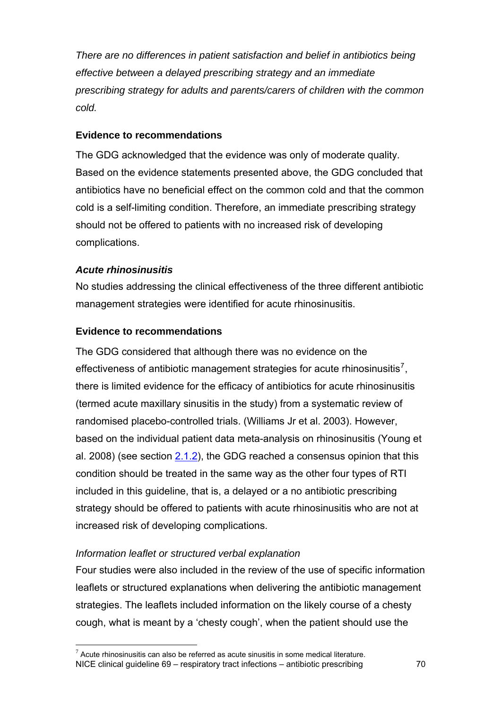<span id="page-69-0"></span>*There are no differences in patient satisfaction and belief in antibiotics being effective between a delayed prescribing strategy and an immediate prescribing strategy for adults and parents/carers of children with the common cold.* 

## **Evidence to recommendations**

The GDG acknowledged that the evidence was only of moderate quality. Based on the evidence statements presented above, the GDG concluded that antibiotics have no beneficial effect on the common cold and that the common cold is a self-limiting condition. Therefore, an immediate prescribing strategy should not be offered to patients with no increased risk of developing complications.

## *Acute rhinosinusitis*

 $\overline{a}$ 

No studies addressing the clinical effectiveness of the three different antibiotic management strategies were identified for acute rhinosinusitis.

## **Evidence to recommendations**

The GDG considered that although there was no evidence on the effectiveness of antibiotic management strategies for acute rhinosinusitis<sup>[7](#page-69-0)</sup>, there is limited evidence for the efficacy of antibiotics for acute rhinosinusitis (termed acute maxillary sinusitis in the study) from a systematic review of randomised placebo-controlled trials. (Williams Jr et al. 2003). However, based on the individual patient data meta-analysis on rhinosinusitis (Young et al. 2008) (see section [2.1.2\)](#page-16-0), the GDG reached a consensus opinion that this condition should be treated in the same way as the other four types of RTI included in this guideline, that is, a delayed or a no antibiotic prescribing strategy should be offered to patients with acute rhinosinusitis who are not at increased risk of developing complications.

#### *Information leaflet or structured verbal explanation*

Four studies were also included in the review of the use of specific information leaflets or structured explanations when delivering the antibiotic management strategies. The leaflets included information on the likely course of a chesty cough, what is meant by a 'chesty cough', when the patient should use the

NICE clinical guideline 69 – respiratory tract infections – antibiotic prescribing 70  $7$  Acute rhinosinusitis can also be referred as acute sinusitis in some medical literature.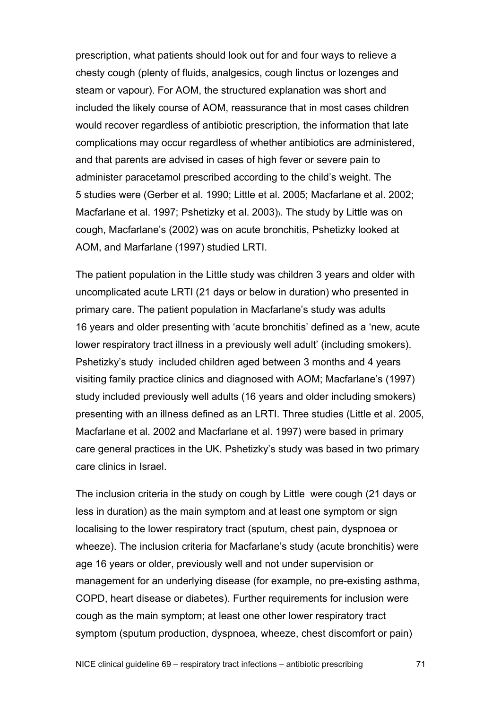prescription, what patients should look out for and four ways to relieve a chesty cough (plenty of fluids, analgesics, cough linctus or lozenges and steam or vapour). For AOM, the structured explanation was short and included the likely course of AOM, reassurance that in most cases children would recover regardless of antibiotic prescription, the information that late complications may occur regardless of whether antibiotics are administered, and that parents are advised in cases of high fever or severe pain to administer paracetamol prescribed according to the child's weight. The 5 studies were (Gerber et al. 1990; Little et al. 2005; Macfarlane et al. 2002; Macfarlane et al. 1997; Pshetizky et al. 2003)). The study by Little was on cough, Macfarlane's (2002) was on acute bronchitis, Pshetizky looked at AOM, and Marfarlane (1997) studied LRTI.

The patient population in the Little study was children 3 years and older with uncomplicated acute LRTI (21 days or below in duration) who presented in primary care. The patient population in Macfarlane's study was adults 16 years and older presenting with 'acute bronchitis' defined as a 'new, acute lower respiratory tract illness in a previously well adult' (including smokers). Pshetizky's study included children aged between 3 months and 4 years visiting family practice clinics and diagnosed with AOM; Macfarlane's (1997) study included previously well adults (16 years and older including smokers) presenting with an illness defined as an LRTI. Three studies (Little et al. 2005, Macfarlane et al. 2002 and Macfarlane et al. 1997) were based in primary care general practices in the UK. Pshetizky's study was based in two primary care clinics in Israel.

The inclusion criteria in the study on cough by Little were cough (21 days or less in duration) as the main symptom and at least one symptom or sign localising to the lower respiratory tract (sputum, chest pain, dyspnoea or wheeze). The inclusion criteria for Macfarlane's study (acute bronchitis) were age 16 years or older, previously well and not under supervision or management for an underlying disease (for example, no pre-existing asthma, COPD, heart disease or diabetes). Further requirements for inclusion were cough as the main symptom; at least one other lower respiratory tract symptom (sputum production, dyspnoea, wheeze, chest discomfort or pain)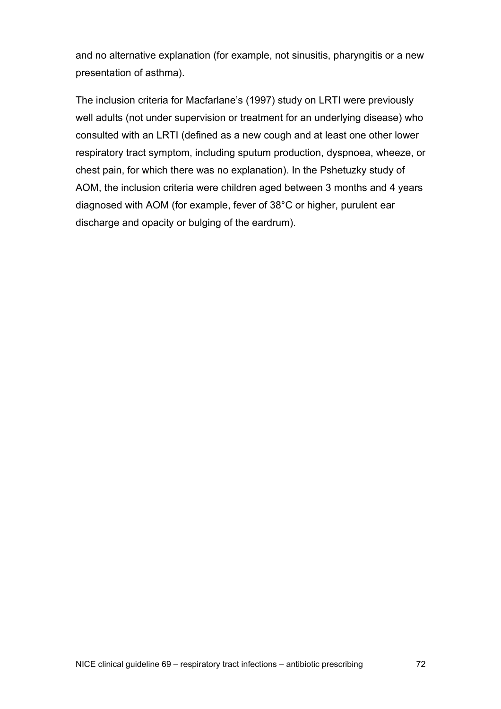and no alternative explanation (for example, not sinusitis, pharyngitis or a new presentation of asthma).

The inclusion criteria for Macfarlane's (1997) study on LRTI were previously well adults (not under supervision or treatment for an underlying disease) who consulted with an LRTI (defined as a new cough and at least one other lower respiratory tract symptom, including sputum production, dyspnoea, wheeze, or chest pain, for which there was no explanation). In the Pshetuzky study of AOM, the inclusion criteria were children aged between 3 months and 4 years diagnosed with AOM (for example, fever of 38°C or higher, purulent ear discharge and opacity or bulging of the eardrum).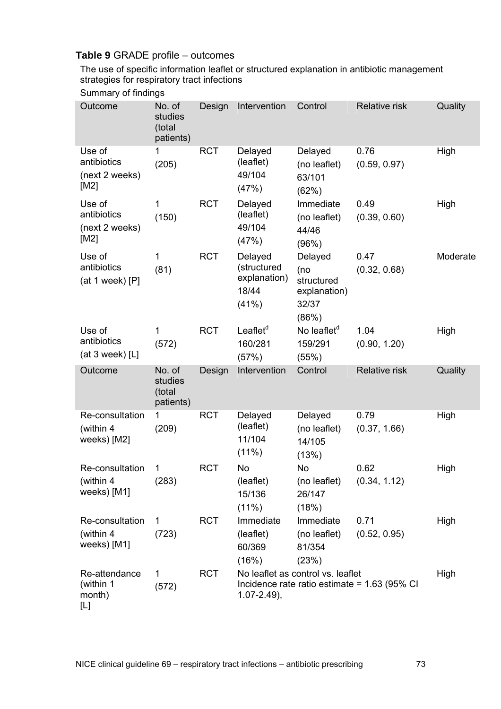## **Table 9** GRADE profile – outcomes

The use of specific information leaflet or structured explanation in antibiotic management strategies for respiratory tract infections

## Summary of findings

| Outcome                                         | No. of<br>studies<br>(total<br>patients) | Design     | Intervention                                             | Control                                                        | <b>Relative risk</b>                           | Quality  |
|-------------------------------------------------|------------------------------------------|------------|----------------------------------------------------------|----------------------------------------------------------------|------------------------------------------------|----------|
| Use of<br>antibiotics<br>(next 2 weeks)<br>[M2] | 1<br>(205)                               | <b>RCT</b> | Delayed<br>(leaflet)<br>49/104<br>(47%)                  | Delayed<br>(no leaflet)<br>63/101<br>(62%)                     | 0.76<br>(0.59, 0.97)                           | High     |
| Use of<br>antibiotics<br>(next 2 weeks)<br>[M2] | 1<br>(150)                               | <b>RCT</b> | Delayed<br>(leaflet)<br>49/104<br>(47%)                  | Immediate<br>(no leaflet)<br>44/46<br>(96%)                    | 0.49<br>(0.39, 0.60)                           | High     |
| Use of<br>antibiotics<br>(at 1 week) $[P]$      | 1<br>(81)                                | <b>RCT</b> | Delayed<br>(structured<br>explanation)<br>18/44<br>(41%) | Delayed<br>(no<br>structured<br>explanation)<br>32/37<br>(86%) | 0.47<br>(0.32, 0.68)                           | Moderate |
| Use of<br>antibiotics<br>(at $3$ week) [L]      | 1<br>(572)                               | <b>RCT</b> | Leaflet <sup>d</sup><br>160/281<br>(57%)                 | No leaflet <sup>d</sup><br>159/291<br>(55%)                    | 1.04<br>(0.90, 1.20)                           | High     |
| Outcome                                         | No. of<br>studies<br>(total<br>patients) | Design     | Intervention                                             | Control                                                        | <b>Relative risk</b>                           | Quality  |
| Re-consultation<br>(within 4<br>weeks) [M2]     | 1<br>(209)                               | <b>RCT</b> | Delayed<br>(leaflet)<br>11/104<br>$(11\%)$               | Delayed<br>(no leaflet)<br>14/105<br>(13%)                     | 0.79<br>(0.37, 1.66)                           | High     |
| Re-consultation<br>(within 4<br>weeks) [M1]     | 1<br>(283)                               | <b>RCT</b> | No<br>(leaflet)<br>15/136<br>$(11\%)$                    | <b>No</b><br>(no leaflet)<br>26/147<br>(18%)                   | 0.62<br>(0.34, 1.12)                           | High     |
| Re-consultation<br>(within 4<br>weeks) [M1]     | 1<br>(723)                               | <b>RCT</b> | Immediate<br>(leaflet)<br>60/369<br>(16%)                | Immediate<br>(no leaflet)<br>81/354<br>(23%)                   | 0.71<br>(0.52, 0.95)                           | High     |
| Re-attendance<br>(within 1<br>month)<br>[L]     | 1<br>(572)                               | <b>RCT</b> | $1.07 - 2.49$ ,                                          | No leaflet as control vs. leaflet                              | Incidence rate ratio estimate = $1.63$ (95% CI | High     |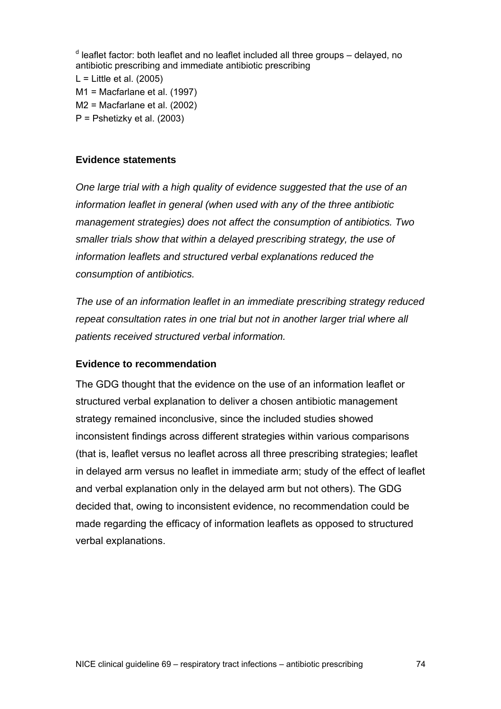<sup>d</sup> leaflet factor: both leaflet and no leaflet included all three groups – delayed, no antibiotic prescribing and immediate antibiotic prescribing  $L =$  Little et al. (2005) M1 = Macfarlane et al. (1997) M2 = Macfarlane et al. (2002) P = Pshetizky et al. (2003)

#### **Evidence statements**

*One large trial with a high quality of evidence suggested that the use of an information leaflet in general (when used with any of the three antibiotic management strategies) does not affect the consumption of antibiotics. Two smaller trials show that within a delayed prescribing strategy, the use of information leaflets and structured verbal explanations reduced the consumption of antibiotics.* 

*The use of an information leaflet in an immediate prescribing strategy reduced repeat consultation rates in one trial but not in another larger trial where all patients received structured verbal information.* 

#### **Evidence to recommendation**

The GDG thought that the evidence on the use of an information leaflet or structured verbal explanation to deliver a chosen antibiotic management strategy remained inconclusive, since the included studies showed inconsistent findings across different strategies within various comparisons (that is, leaflet versus no leaflet across all three prescribing strategies; leaflet in delayed arm versus no leaflet in immediate arm; study of the effect of leaflet and verbal explanation only in the delayed arm but not others). The GDG decided that, owing to inconsistent evidence, no recommendation could be made regarding the efficacy of information leaflets as opposed to structured verbal explanations.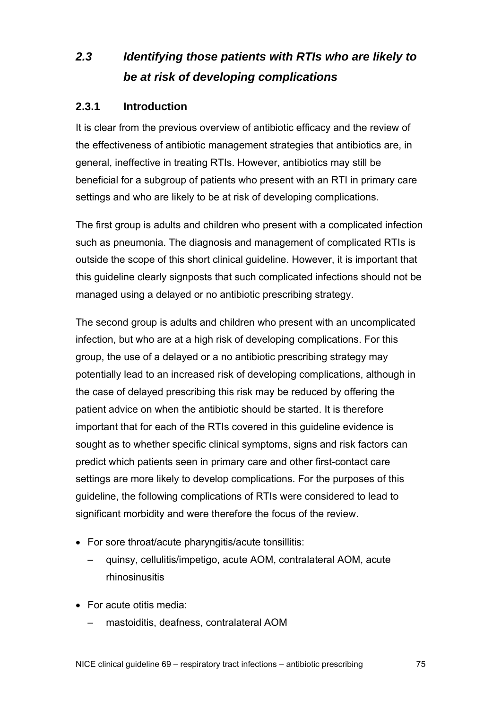# *2.3 Identifying those patients with RTIs who are likely to be at risk of developing complications*

## **2.3.1 Introduction**

It is clear from the previous overview of antibiotic efficacy and the review of the effectiveness of antibiotic management strategies that antibiotics are, in general, ineffective in treating RTIs. However, antibiotics may still be beneficial for a subgroup of patients who present with an RTI in primary care settings and who are likely to be at risk of developing complications.

The first group is adults and children who present with a complicated infection such as pneumonia. The diagnosis and management of complicated RTIs is outside the scope of this short clinical guideline. However, it is important that this guideline clearly signposts that such complicated infections should not be managed using a delayed or no antibiotic prescribing strategy.

The second group is adults and children who present with an uncomplicated infection, but who are at a high risk of developing complications. For this group, the use of a delayed or a no antibiotic prescribing strategy may potentially lead to an increased risk of developing complications, although in the case of delayed prescribing this risk may be reduced by offering the patient advice on when the antibiotic should be started. It is therefore important that for each of the RTIs covered in this guideline evidence is sought as to whether specific clinical symptoms, signs and risk factors can predict which patients seen in primary care and other first-contact care settings are more likely to develop complications. For the purposes of this guideline, the following complications of RTIs were considered to lead to significant morbidity and were therefore the focus of the review.

- For sore throat/acute pharyngitis/acute tonsillitis:
	- quinsy, cellulitis/impetigo, acute AOM, contralateral AOM, acute rhinosinusitis
- For acute otitis media:
	- mastoiditis, deafness, contralateral AOM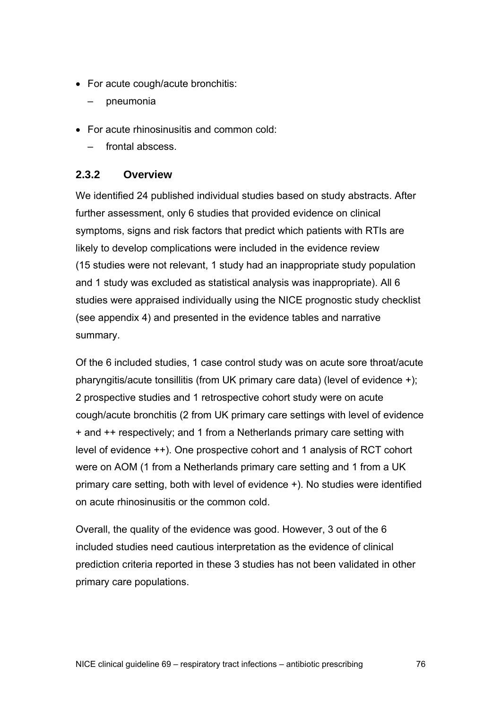- For acute cough/acute bronchitis:
	- pneumonia
- For acute rhinosinusitis and common cold:
	- frontal abscess.

## **2.3.2 Overview**

We identified 24 published individual studies based on study abstracts. After further assessment, only 6 studies that provided evidence on clinical symptoms, signs and risk factors that predict which patients with RTIs are likely to develop complications were included in the evidence review (15 studies were not relevant, 1 study had an inappropriate study population and 1 study was excluded as statistical analysis was inappropriate). All 6 studies were appraised individually using the NICE prognostic study checklist (see appendix 4) and presented in the evidence tables and narrative summary.

Of the 6 included studies, 1 case control study was on acute sore throat/acute pharyngitis/acute tonsillitis (from UK primary care data) (level of evidence +); 2 prospective studies and 1 retrospective cohort study were on acute cough/acute bronchitis (2 from UK primary care settings with level of evidence + and ++ respectively; and 1 from a Netherlands primary care setting with level of evidence ++). One prospective cohort and 1 analysis of RCT cohort were on AOM (1 from a Netherlands primary care setting and 1 from a UK primary care setting, both with level of evidence +). No studies were identified on acute rhinosinusitis or the common cold.

Overall, the quality of the evidence was good. However, 3 out of the 6 included studies need cautious interpretation as the evidence of clinical prediction criteria reported in these 3 studies has not been validated in other primary care populations.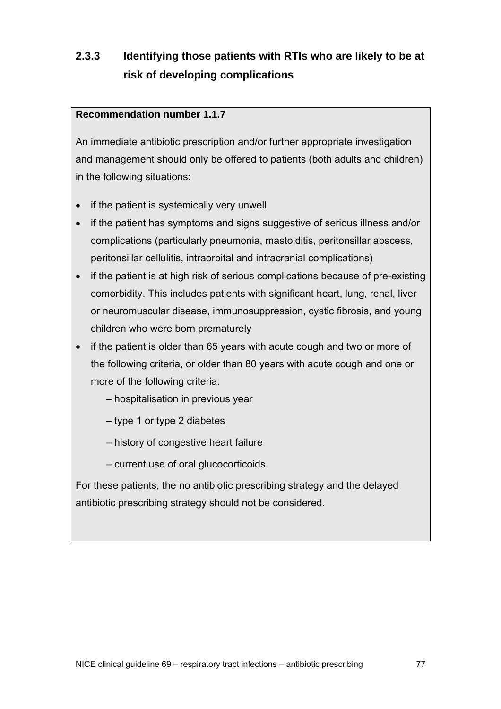# **2.3.3 Identifying those patients with RTIs who are likely to be at risk of developing complications**

## **Recommendation number 1.1.7**

An immediate antibiotic prescription and/or further appropriate investigation and management should only be offered to patients (both adults and children) in the following situations:

- if the patient is systemically very unwell
- if the patient has symptoms and signs suggestive of serious illness and/or complications (particularly pneumonia, mastoiditis, peritonsillar abscess, peritonsillar cellulitis, intraorbital and intracranial complications)
- if the patient is at high risk of serious complications because of pre-existing comorbidity. This includes patients with significant heart, lung, renal, liver or neuromuscular disease, immunosuppression, cystic fibrosis, and young children who were born prematurely
- if the patient is older than 65 years with acute cough and two or more of the following criteria, or older than 80 years with acute cough and one or more of the following criteria:
	- hospitalisation in previous year
	- type 1 or type 2 diabetes
	- history of congestive heart failure
	- current use of oral glucocorticoids.

For these patients, the no antibiotic prescribing strategy and the delayed antibiotic prescribing strategy should not be considered.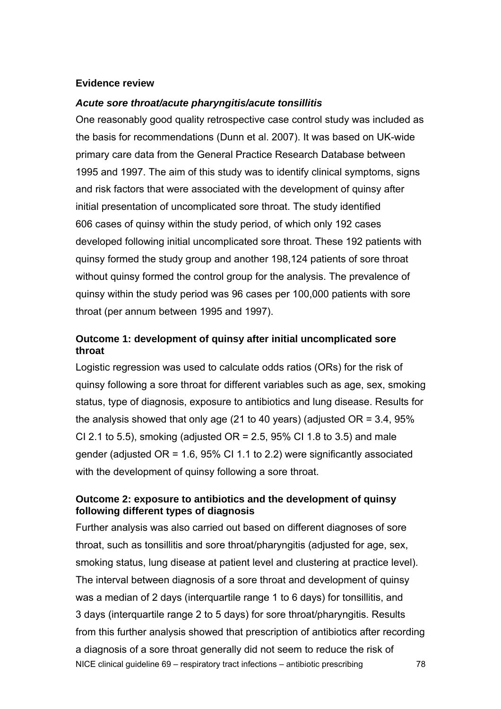#### **Evidence review**

#### *Acute sore throat/acute pharyngitis/acute tonsillitis*

One reasonably good quality retrospective case control study was included as the basis for recommendations (Dunn et al. 2007). It was based on UK-wide primary care data from the General Practice Research Database between 1995 and 1997. The aim of this study was to identify clinical symptoms, signs and risk factors that were associated with the development of quinsy after initial presentation of uncomplicated sore throat. The study identified 606 cases of quinsy within the study period, of which only 192 cases developed following initial uncomplicated sore throat. These 192 patients with quinsy formed the study group and another 198,124 patients of sore throat without quinsy formed the control group for the analysis. The prevalence of quinsy within the study period was 96 cases per 100,000 patients with sore throat (per annum between 1995 and 1997).

## **Outcome 1: development of quinsy after initial uncomplicated sore throat**

Logistic regression was used to calculate odds ratios (ORs) for the risk of quinsy following a sore throat for different variables such as age, sex, smoking status, type of diagnosis, exposure to antibiotics and lung disease. Results for the analysis showed that only age (21 to 40 years) (adjusted  $OR = 3.4$ , 95% CI 2.1 to 5.5), smoking (adjusted  $OR = 2.5$ , 95% CI 1.8 to 3.5) and male gender (adjusted OR = 1.6, 95% CI 1.1 to 2.2) were significantly associated with the development of quinsy following a sore throat.

## **Outcome 2: exposure to antibiotics and the development of quinsy following different types of diagnosis**

NICE clinical guideline 69 – respiratory tract infections – antibiotic prescribing 78 Further analysis was also carried out based on different diagnoses of sore throat, such as tonsillitis and sore throat/pharyngitis (adjusted for age, sex, smoking status, lung disease at patient level and clustering at practice level). The interval between diagnosis of a sore throat and development of quinsy was a median of 2 days (interquartile range 1 to 6 days) for tonsillitis, and 3 days (interquartile range 2 to 5 days) for sore throat/pharyngitis. Results from this further analysis showed that prescription of antibiotics after recording a diagnosis of a sore throat generally did not seem to reduce the risk of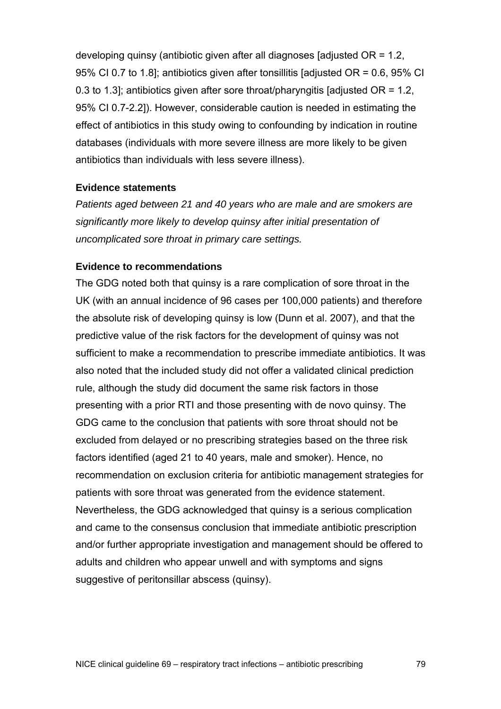developing quinsy (antibiotic given after all diagnoses [adjusted OR = 1.2, 95% CI 0.7 to 1.8]; antibiotics given after tonsillitis [adjusted OR = 0.6, 95% CI 0.3 to 1.3]; antibiotics given after sore throat/pharyngitis [adjusted  $OR = 1.2$ , 95% CI 0.7-2.2]). However, considerable caution is needed in estimating the effect of antibiotics in this study owing to confounding by indication in routine databases (individuals with more severe illness are more likely to be given antibiotics than individuals with less severe illness).

#### **Evidence statements**

*Patients aged between 21 and 40 years who are male and are smokers are significantly more likely to develop quinsy after initial presentation of uncomplicated sore throat in primary care settings.* 

#### **Evidence to recommendations**

The GDG noted both that quinsy is a rare complication of sore throat in the UK (with an annual incidence of 96 cases per 100,000 patients) and therefore the absolute risk of developing quinsy is low (Dunn et al. 2007), and that the predictive value of the risk factors for the development of quinsy was not sufficient to make a recommendation to prescribe immediate antibiotics. It was also noted that the included study did not offer a validated clinical prediction rule, although the study did document the same risk factors in those presenting with a prior RTI and those presenting with de novo quinsy. The GDG came to the conclusion that patients with sore throat should not be excluded from delayed or no prescribing strategies based on the three risk factors identified (aged 21 to 40 years, male and smoker). Hence, no recommendation on exclusion criteria for antibiotic management strategies for patients with sore throat was generated from the evidence statement. Nevertheless, the GDG acknowledged that quinsy is a serious complication and came to the consensus conclusion that immediate antibiotic prescription and/or further appropriate investigation and management should be offered to adults and children who appear unwell and with symptoms and signs suggestive of peritonsillar abscess (quinsy).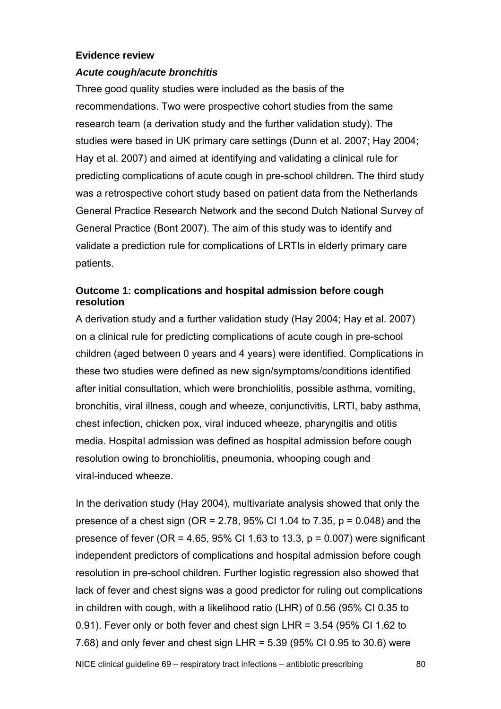#### **Evidence review**

#### *Acute cough/acute bronchitis*

Three good quality studies were included as the basis of the recommendations. Two were prospective cohort studies from the same research team (a derivation study and the further validation study). The studies were based in UK primary care settings (Dunn et al. 2007; Hay 2004; Hay et al. 2007) and aimed at identifying and validating a clinical rule for predicting complications of acute cough in pre-school children. The third study was a retrospective cohort study based on patient data from the Netherlands General Practice Research Network and the second Dutch National Survey of General Practice (Bont 2007). The aim of this study was to identify and validate a prediction rule for complications of LRTIs in elderly primary care patients.

## **Outcome 1: complications and hospital admission before cough resolution**

A derivation study and a further validation study (Hay 2004; Hay et al. 2007) on a clinical rule for predicting complications of acute cough in pre-school children (aged between 0 years and 4 years) were identified. Complications in these two studies were defined as new sign/symptoms/conditions identified after initial consultation, which were bronchiolitis, possible asthma, vomiting, bronchitis, viral illness, cough and wheeze, conjunctivitis, LRTI, baby asthma, chest infection, chicken pox, viral induced wheeze, pharyngitis and otitis media. Hospital admission was defined as hospital admission before cough resolution owing to bronchiolitis, pneumonia, whooping cough and viral-induced wheeze.

In the derivation study (Hay 2004), multivariate analysis showed that only the presence of a chest sign (OR = 2.78, 95% CI 1.04 to 7.35,  $p = 0.048$ ) and the presence of fever (OR =  $4.65$ , 95% CI 1.63 to 13.3, p = 0.007) were significant independent predictors of complications and hospital admission before cough resolution in pre-school children. Further logistic regression also showed that lack of fever and chest signs was a good predictor for ruling out complications in children with cough, with a likelihood ratio (LHR) of 0.56 (95% CI 0.35 to 0.91). Fever only or both fever and chest sign LHR = 3.54 (95% CI 1.62 to 7.68) and only fever and chest sign LHR = 5.39 (95% CI 0.95 to 30.6) were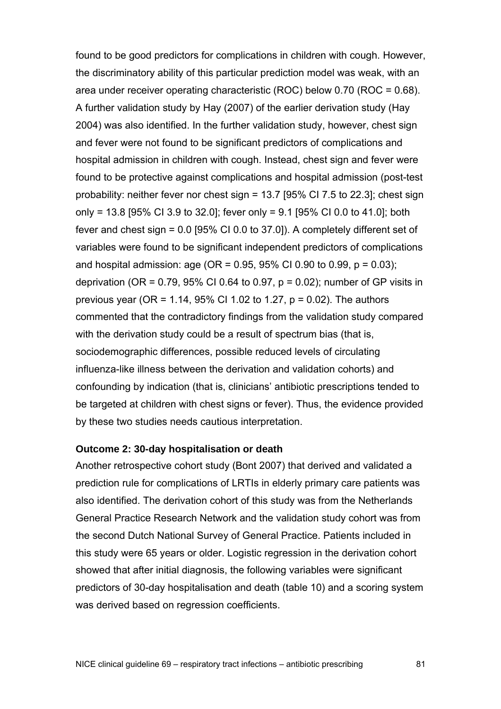found to be good predictors for complications in children with cough. However, the discriminatory ability of this particular prediction model was weak, with an area under receiver operating characteristic (ROC) below 0.70 (ROC = 0.68). A further validation study by Hay (2007) of the earlier derivation study (Hay 2004) was also identified. In the further validation study, however, chest sign and fever were not found to be significant predictors of complications and hospital admission in children with cough. Instead, chest sign and fever were found to be protective against complications and hospital admission (post-test probability: neither fever nor chest sign = 13.7 [95% CI 7.5 to 22.3]; chest sign only = 13.8 [95% CI 3.9 to 32.0]; fever only = 9.1 [95% CI 0.0 to 41.0]; both fever and chest sign = 0.0 [95% CI 0.0 to 37.0]). A completely different set of variables were found to be significant independent predictors of complications and hospital admission: age (OR =  $0.95$ , 95% CI 0.90 to 0.99, p = 0.03); deprivation (OR =  $0.79$ ,  $95\%$  CI 0.64 to 0.97, p = 0.02); number of GP visits in previous year (OR = 1.14, 95% CI 1.02 to 1.27, p = 0.02). The authors commented that the contradictory findings from the validation study compared with the derivation study could be a result of spectrum bias (that is, sociodemographic differences, possible reduced levels of circulating influenza-like illness between the derivation and validation cohorts) and confounding by indication (that is, clinicians' antibiotic prescriptions tended to be targeted at children with chest signs or fever). Thus, the evidence provided by these two studies needs cautious interpretation.

#### **Outcome 2: 30-day hospitalisation or death**

Another retrospective cohort study (Bont 2007) that derived and validated a prediction rule for complications of LRTIs in elderly primary care patients was also identified. The derivation cohort of this study was from the Netherlands General Practice Research Network and the validation study cohort was from the second Dutch National Survey of General Practice. Patients included in this study were 65 years or older. Logistic regression in the derivation cohort showed that after initial diagnosis, the following variables were significant predictors of 30-day hospitalisation and death (table 10) and a scoring system was derived based on regression coefficients.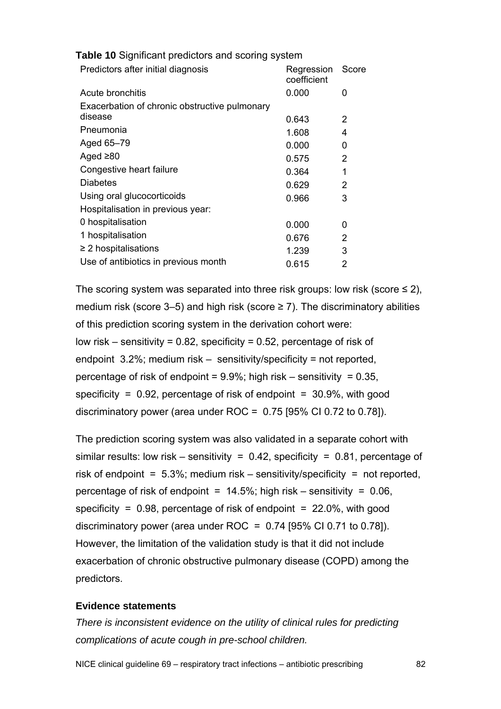| Predictors after initial diagnosis            | Regression<br>coefficient | Score                    |
|-----------------------------------------------|---------------------------|--------------------------|
| Acute bronchitis                              | 0.000                     | 0                        |
| Exacerbation of chronic obstructive pulmonary |                           |                          |
| disease                                       | 0.643                     | 2                        |
| Pneumonia                                     | 1.608                     | $\overline{\mathcal{A}}$ |
| Aged 65-79                                    | 0.000                     | 0                        |
| Aged $\geq 80$                                | 0.575                     | $\mathcal{P}$            |
| Congestive heart failure                      | 0.364                     | 1                        |
| Diabetes                                      | 0.629                     | 2                        |
| Using oral glucocorticoids                    | 0.966                     | 3                        |
| Hospitalisation in previous year:             |                           |                          |
| 0 hospitalisation                             | 0.000                     | 0                        |
| 1 hospitalisation                             | 0.676                     | 2                        |
| $\geq$ 2 hospitalisations                     | 1.239                     | 3                        |
| Use of antibiotics in previous month          | 0.615                     | 2                        |
|                                               |                           |                          |

**Table 10** Significant predictors and scoring system

The scoring system was separated into three risk groups: low risk (score  $\leq$  2), medium risk (score 3–5) and high risk (score  $\geq$  7). The discriminatory abilities of this prediction scoring system in the derivation cohort were: low risk – sensitivity =  $0.82$ , specificity =  $0.52$ , percentage of risk of endpoint 3.2%; medium risk – sensitivity/specificity = not reported, percentage of risk of endpoint =  $9.9\%$ ; high risk – sensitivity = 0.35, specificity =  $0.92$ , percentage of risk of endpoint =  $30.9\%$ , with good discriminatory power (area under ROC = 0.75 [95% CI 0.72 to 0.78]).

The prediction scoring system was also validated in a separate cohort with similar results: low risk – sensitivity =  $0.42$ , specificity =  $0.81$ , percentage of risk of endpoint =  $5.3\%$ ; medium risk – sensitivity/specificity = not reported, percentage of risk of endpoint =  $14.5\%$ ; high risk – sensitivity = 0.06, specificity =  $0.98$ , percentage of risk of endpoint =  $22.0\%$ , with good discriminatory power (area under ROC =  $0.74$  [95% CI 0.71 to 0.78]). However, the limitation of the validation study is that it did not include exacerbation of chronic obstructive pulmonary disease (COPD) among the predictors.

#### **Evidence statements**

*There is inconsistent evidence on the utility of clinical rules for predicting complications of acute cough in pre-school children.*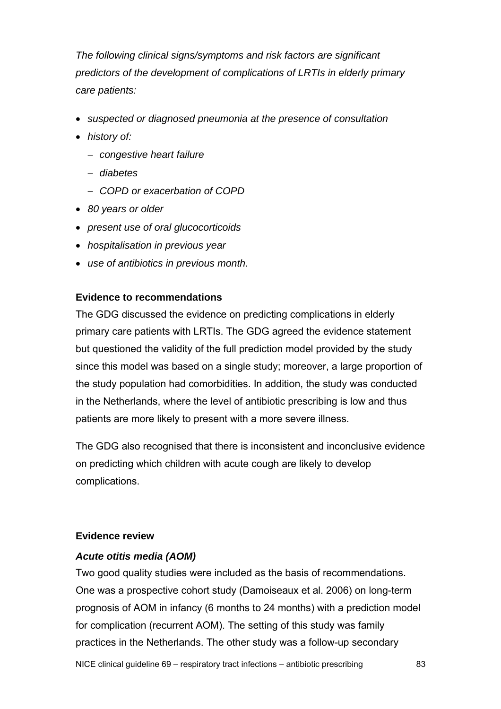*The following clinical signs/symptoms and risk factors are significant predictors of the development of complications of LRTIs in elderly primary care patients:* 

- *suspected or diagnosed pneumonia at the presence of consultation*
- *history of:* 
	- − *congestive heart failure*
	- − *diabetes*
	- − *COPD or exacerbation of COPD*
- *80 years or older*
- *present use of oral glucocorticoids*
- *hospitalisation in previous year*
- *use of antibiotics in previous month.*

#### **Evidence to recommendations**

The GDG discussed the evidence on predicting complications in elderly primary care patients with LRTIs. The GDG agreed the evidence statement but questioned the validity of the full prediction model provided by the study since this model was based on a single study; moreover, a large proportion of the study population had comorbidities. In addition, the study was conducted in the Netherlands, where the level of antibiotic prescribing is low and thus patients are more likely to present with a more severe illness.

The GDG also recognised that there is inconsistent and inconclusive evidence on predicting which children with acute cough are likely to develop complications.

#### **Evidence review**

#### *Acute otitis media (AOM)*

Two good quality studies were included as the basis of recommendations. One was a prospective cohort study (Damoiseaux et al. 2006) on long-term prognosis of AOM in infancy (6 months to 24 months) with a prediction model for complication (recurrent AOM). The setting of this study was family practices in the Netherlands. The other study was a follow-up secondary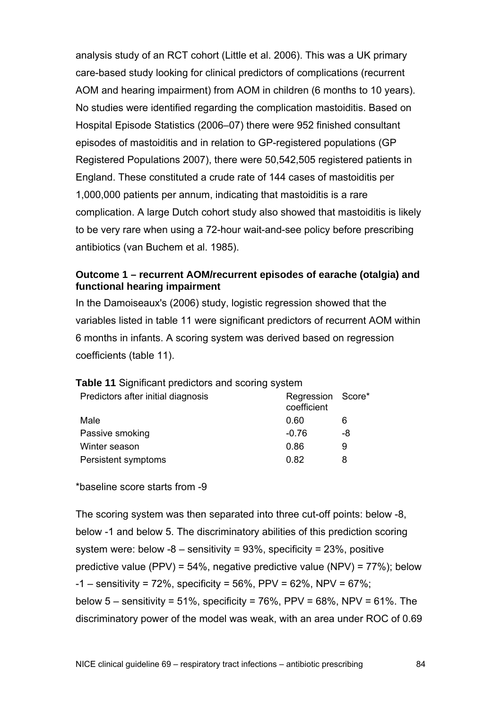analysis study of an RCT cohort (Little et al. 2006). This was a UK primary care-based study looking for clinical predictors of complications (recurrent AOM and hearing impairment) from AOM in children (6 months to 10 years). No studies were identified regarding the complication mastoiditis. Based on Hospital Episode Statistics (2006–07) there were 952 finished consultant episodes of mastoiditis and in relation to GP-registered populations (GP Registered Populations 2007), there were 50,542,505 registered patients in England. These constituted a crude rate of 144 cases of mastoiditis per 1,000,000 patients per annum, indicating that mastoiditis is a rare complication. A large Dutch cohort study also showed that mastoiditis is likely to be very rare when using a 72-hour wait-and-see policy before prescribing antibiotics (van Buchem et al. 1985).

#### **Outcome 1 – recurrent AOM/recurrent episodes of earache (otalgia) and functional hearing impairment**

In the Damoiseaux's (2006) study, logistic regression showed that the variables listed in table 11 were significant predictors of recurrent AOM within 6 months in infants. A scoring system was derived based on regression coefficients (table 11).

| Predictors after initial diagnosis | Regression Score*<br>coefficient |    |
|------------------------------------|----------------------------------|----|
| Male                               | 0.60                             | 6  |
| Passive smoking                    | $-0.76$                          | -8 |
| Winter season                      | 0.86                             | 9  |
| Persistent symptoms                | 0.82                             | 8  |

**Table 11 Significant predictors and scoring system** 

\*baseline score starts from -9

The scoring system was then separated into three cut-off points: below -8, below -1 and below 5. The discriminatory abilities of this prediction scoring system were: below  $-8$  – sensitivity = 93%, specificity = 23%, positive predictive value (PPV) =  $54\%$ , negative predictive value (NPV) =  $77\%$ ); below  $-1 -$  sensitivity = 72%, specificity = 56%, PPV = 62%, NPV = 67%; below  $5$  – sensitivity = 51%, specificity = 76%, PPV = 68%, NPV = 61%. The discriminatory power of the model was weak, with an area under ROC of 0.69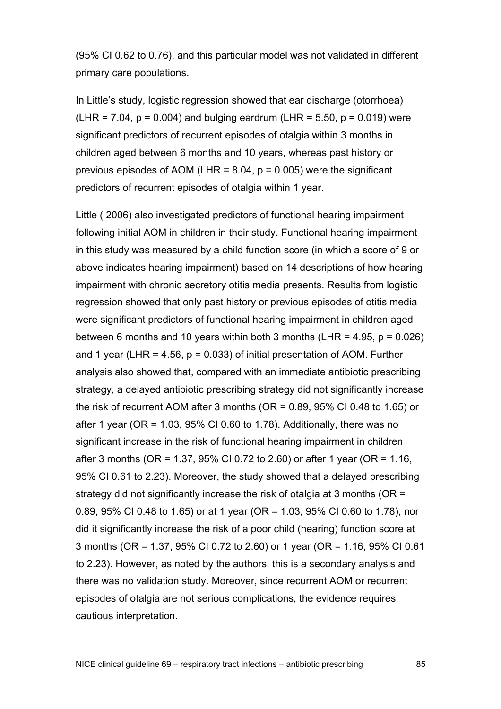(95% CI 0.62 to 0.76), and this particular model was not validated in different primary care populations.

In Little's study, logistic regression showed that ear discharge (otorrhoea) (LHR =  $7.04$ ,  $p = 0.004$ ) and bulging eardrum (LHR =  $5.50$ ,  $p = 0.019$ ) were significant predictors of recurrent episodes of otalgia within 3 months in children aged between 6 months and 10 years, whereas past history or previous episodes of AOM (LHR =  $8.04$ ,  $p = 0.005$ ) were the significant predictors of recurrent episodes of otalgia within 1 year.

Little ( 2006) also investigated predictors of functional hearing impairment following initial AOM in children in their study. Functional hearing impairment in this study was measured by a child function score (in which a score of 9 or above indicates hearing impairment) based on 14 descriptions of how hearing impairment with chronic secretory otitis media presents. Results from logistic regression showed that only past history or previous episodes of otitis media were significant predictors of functional hearing impairment in children aged between 6 months and 10 years within both 3 months (LHR =  $4.95$ ,  $p = 0.026$ ) and 1 year (LHR = 4.56,  $p = 0.033$ ) of initial presentation of AOM. Further analysis also showed that, compared with an immediate antibiotic prescribing strategy, a delayed antibiotic prescribing strategy did not significantly increase the risk of recurrent AOM after 3 months (OR = 0.89, 95% CI 0.48 to 1.65) or after 1 year (OR =  $1.03$ , 95% CI 0.60 to 1.78). Additionally, there was no significant increase in the risk of functional hearing impairment in children after 3 months (OR = 1.37, 95% CI 0.72 to 2.60) or after 1 year (OR = 1.16, 95% CI 0.61 to 2.23). Moreover, the study showed that a delayed prescribing strategy did not significantly increase the risk of otalgia at 3 months (OR = 0.89, 95% CI 0.48 to 1.65) or at 1 year (OR = 1.03, 95% CI 0.60 to 1.78), nor did it significantly increase the risk of a poor child (hearing) function score at 3 months (OR = 1.37, 95% CI 0.72 to 2.60) or 1 year (OR = 1.16, 95% CI 0.61 to 2.23). However, as noted by the authors, this is a secondary analysis and there was no validation study. Moreover, since recurrent AOM or recurrent episodes of otalgia are not serious complications, the evidence requires cautious interpretation.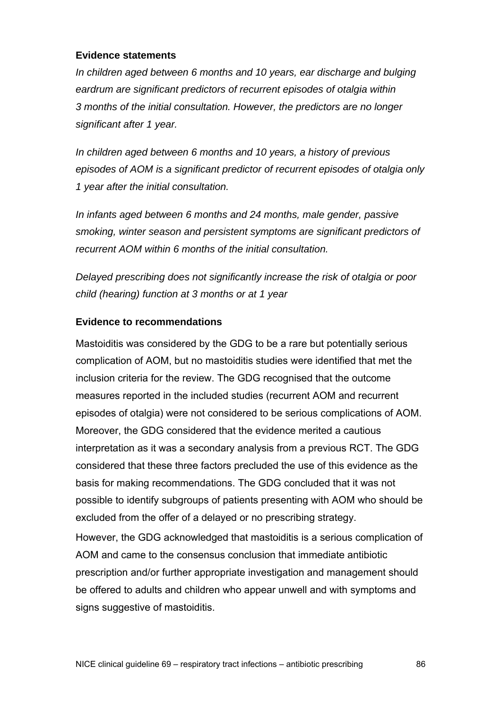#### **Evidence statements**

*In children aged between 6 months and 10 years, ear discharge and bulging eardrum are significant predictors of recurrent episodes of otalgia within 3 months of the initial consultation. However, the predictors are no longer significant after 1 year.* 

*In children aged between 6 months and 10 years, a history of previous episodes of AOM is a significant predictor of recurrent episodes of otalgia only 1 year after the initial consultation.* 

*In infants aged between 6 months and 24 months, male gender, passive smoking, winter season and persistent symptoms are significant predictors of recurrent AOM within 6 months of the initial consultation.* 

*Delayed prescribing does not significantly increase the risk of otalgia or poor child (hearing) function at 3 months or at 1 year* 

## **Evidence to recommendations**

Mastoiditis was considered by the GDG to be a rare but potentially serious complication of AOM, but no mastoiditis studies were identified that met the inclusion criteria for the review. The GDG recognised that the outcome measures reported in the included studies (recurrent AOM and recurrent episodes of otalgia) were not considered to be serious complications of AOM. Moreover, the GDG considered that the evidence merited a cautious interpretation as it was a secondary analysis from a previous RCT. The GDG considered that these three factors precluded the use of this evidence as the basis for making recommendations. The GDG concluded that it was not possible to identify subgroups of patients presenting with AOM who should be excluded from the offer of a delayed or no prescribing strategy.

However, the GDG acknowledged that mastoiditis is a serious complication of AOM and came to the consensus conclusion that immediate antibiotic prescription and/or further appropriate investigation and management should be offered to adults and children who appear unwell and with symptoms and signs suggestive of mastoiditis.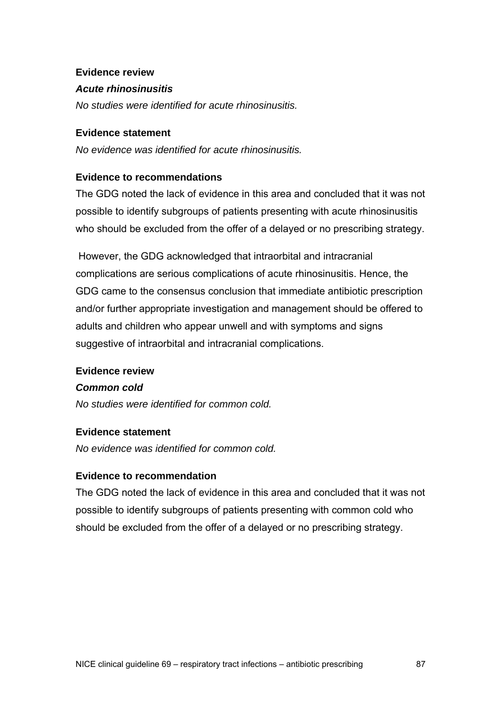#### **Evidence review**

#### *Acute rhinosinusitis*

*No studies were identified for acute rhinosinusitis.* 

#### **Evidence statement**

*No evidence was identified for acute rhinosinusitis.* 

#### **Evidence to recommendations**

The GDG noted the lack of evidence in this area and concluded that it was not possible to identify subgroups of patients presenting with acute rhinosinusitis who should be excluded from the offer of a delayed or no prescribing strategy.

 However, the GDG acknowledged that intraorbital and intracranial complications are serious complications of acute rhinosinusitis. Hence, the GDG came to the consensus conclusion that immediate antibiotic prescription and/or further appropriate investigation and management should be offered to adults and children who appear unwell and with symptoms and signs suggestive of intraorbital and intracranial complications.

#### **Evidence review**

#### *Common cold*

*No studies were identified for common cold.* 

#### **Evidence statement**

*No evidence was identified for common cold.* 

## **Evidence to recommendation**

The GDG noted the lack of evidence in this area and concluded that it was not possible to identify subgroups of patients presenting with common cold who should be excluded from the offer of a delayed or no prescribing strategy.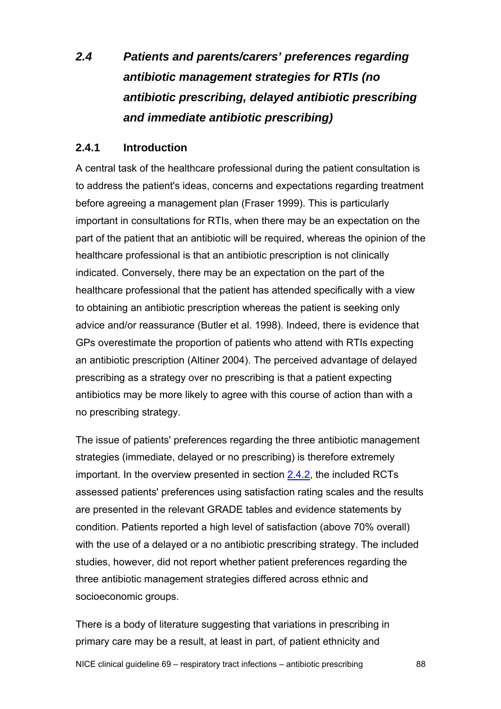# *2.4 Patients and parents/carers' preferences regarding antibiotic management strategies for RTIs (no antibiotic prescribing, delayed antibiotic prescribing and immediate antibiotic prescribing)*

## **2.4.1 Introduction**

A central task of the healthcare professional during the patient consultation is to address the patient's ideas, concerns and expectations regarding treatment before agreeing a management plan (Fraser 1999). This is particularly important in consultations for RTIs, when there may be an expectation on the part of the patient that an antibiotic will be required, whereas the opinion of the healthcare professional is that an antibiotic prescription is not clinically indicated. Conversely, there may be an expectation on the part of the healthcare professional that the patient has attended specifically with a view to obtaining an antibiotic prescription whereas the patient is seeking only advice and/or reassurance (Butler et al. 1998). Indeed, there is evidence that GPs overestimate the proportion of patients who attend with RTIs expecting an antibiotic prescription (Altiner 2004). The perceived advantage of delayed prescribing as a strategy over no prescribing is that a patient expecting antibiotics may be more likely to agree with this course of action than with a no prescribing strategy.

The issue of patients' preferences regarding the three antibiotic management strategies (immediate, delayed or no prescribing) is therefore extremely important. In the overview presented in section [2.4.2](#page-88-0), the included RCTs assessed patients' preferences using satisfaction rating scales and the results are presented in the relevant GRADE tables and evidence statements by condition. Patients reported a high level of satisfaction (above 70% overall) with the use of a delayed or a no antibiotic prescribing strategy. The included studies, however, did not report whether patient preferences regarding the three antibiotic management strategies differed across ethnic and socioeconomic groups.

There is a body of literature suggesting that variations in prescribing in primary care may be a result, at least in part, of patient ethnicity and

NICE clinical guideline 69 – respiratory tract infections – antibiotic prescribing 88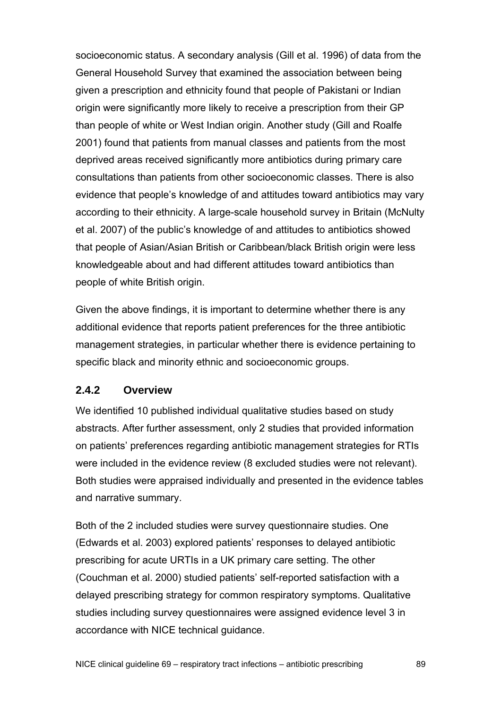<span id="page-88-0"></span>socioeconomic status. A secondary analysis (Gill et al. 1996) of data from the General Household Survey that examined the association between being given a prescription and ethnicity found that people of Pakistani or Indian origin were significantly more likely to receive a prescription from their GP than people of white or West Indian origin. Another study (Gill and Roalfe 2001) found that patients from manual classes and patients from the most deprived areas received significantly more antibiotics during primary care consultations than patients from other socioeconomic classes. There is also evidence that people's knowledge of and attitudes toward antibiotics may vary according to their ethnicity. A large-scale household survey in Britain (McNulty et al. 2007) of the public's knowledge of and attitudes to antibiotics showed that people of Asian/Asian British or Caribbean/black British origin were less knowledgeable about and had different attitudes toward antibiotics than people of white British origin.

Given the above findings, it is important to determine whether there is any additional evidence that reports patient preferences for the three antibiotic management strategies, in particular whether there is evidence pertaining to specific black and minority ethnic and socioeconomic groups.

## **2.4.2 Overview**

We identified 10 published individual qualitative studies based on study abstracts. After further assessment, only 2 studies that provided information on patients' preferences regarding antibiotic management strategies for RTIs were included in the evidence review (8 excluded studies were not relevant). Both studies were appraised individually and presented in the evidence tables and narrative summary.

Both of the 2 included studies were survey questionnaire studies. One (Edwards et al. 2003) explored patients' responses to delayed antibiotic prescribing for acute URTIs in a UK primary care setting. The other (Couchman et al. 2000) studied patients' self-reported satisfaction with a delayed prescribing strategy for common respiratory symptoms. Qualitative studies including survey questionnaires were assigned evidence level 3 in accordance with NICE technical guidance.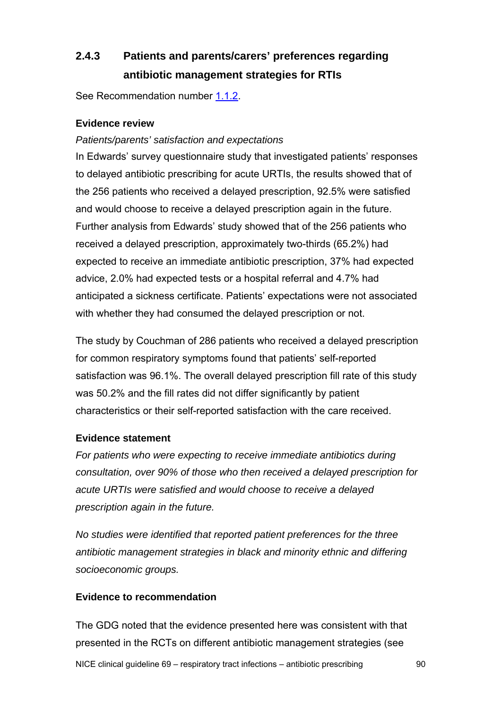# **2.4.3 Patients and parents/carers' preferences regarding antibiotic management strategies for RTIs**

See Recommendation number [1.1.2.](#page-7-0)

## **Evidence review**

#### *Patients/parents' satisfaction and expectations*

In Edwards' survey questionnaire study that investigated patients' responses to delayed antibiotic prescribing for acute URTIs, the results showed that of the 256 patients who received a delayed prescription, 92.5% were satisfied and would choose to receive a delayed prescription again in the future. Further analysis from Edwards' study showed that of the 256 patients who received a delayed prescription, approximately two-thirds (65.2%) had expected to receive an immediate antibiotic prescription, 37% had expected advice, 2.0% had expected tests or a hospital referral and 4.7% had anticipated a sickness certificate. Patients' expectations were not associated with whether they had consumed the delayed prescription or not.

The study by Couchman of 286 patients who received a delayed prescription for common respiratory symptoms found that patients' self-reported satisfaction was 96.1%. The overall delayed prescription fill rate of this study was 50.2% and the fill rates did not differ significantly by patient characteristics or their self-reported satisfaction with the care received.

#### **Evidence statement**

*For patients who were expecting to receive immediate antibiotics during consultation, over 90% of those who then received a delayed prescription for acute URTIs were satisfied and would choose to receive a delayed prescription again in the future.* 

*No studies were identified that reported patient preferences for the three antibiotic management strategies in black and minority ethnic and differing socioeconomic groups.* 

#### **Evidence to recommendation**

NICE clinical guideline 69 – respiratory tract infections – antibiotic prescribing 90 The GDG noted that the evidence presented here was consistent with that presented in the RCTs on different antibiotic management strategies (see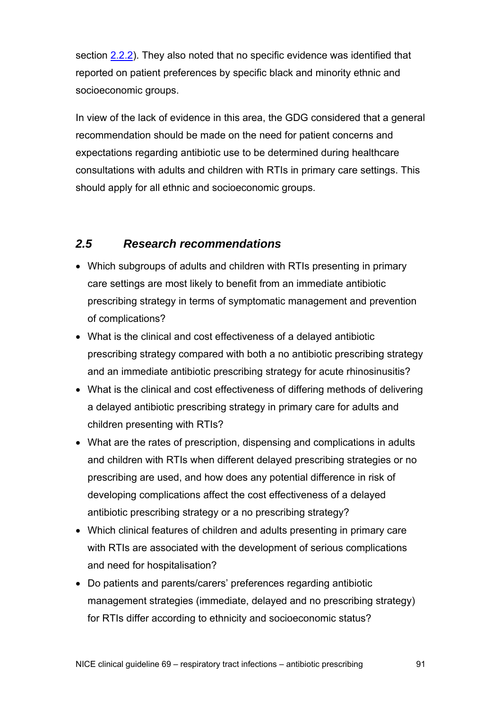section [2.2.2\)](#page-33-0). They also noted that no specific evidence was identified that reported on patient preferences by specific black and minority ethnic and socioeconomic groups.

In view of the lack of evidence in this area, the GDG considered that a general recommendation should be made on the need for patient concerns and expectations regarding antibiotic use to be determined during healthcare consultations with adults and children with RTIs in primary care settings. This should apply for all ethnic and socioeconomic groups.

## *2.5 Research recommendations*

- Which subgroups of adults and children with RTIs presenting in primary care settings are most likely to benefit from an immediate antibiotic prescribing strategy in terms of symptomatic management and prevention of complications?
- What is the clinical and cost effectiveness of a delayed antibiotic prescribing strategy compared with both a no antibiotic prescribing strategy and an immediate antibiotic prescribing strategy for acute rhinosinusitis?
- What is the clinical and cost effectiveness of differing methods of delivering a delayed antibiotic prescribing strategy in primary care for adults and children presenting with RTIs?
- What are the rates of prescription, dispensing and complications in adults and children with RTIs when different delayed prescribing strategies or no prescribing are used, and how does any potential difference in risk of developing complications affect the cost effectiveness of a delayed antibiotic prescribing strategy or a no prescribing strategy?
- Which clinical features of children and adults presenting in primary care with RTIs are associated with the development of serious complications and need for hospitalisation?
- Do patients and parents/carers' preferences regarding antibiotic management strategies (immediate, delayed and no prescribing strategy) for RTIs differ according to ethnicity and socioeconomic status?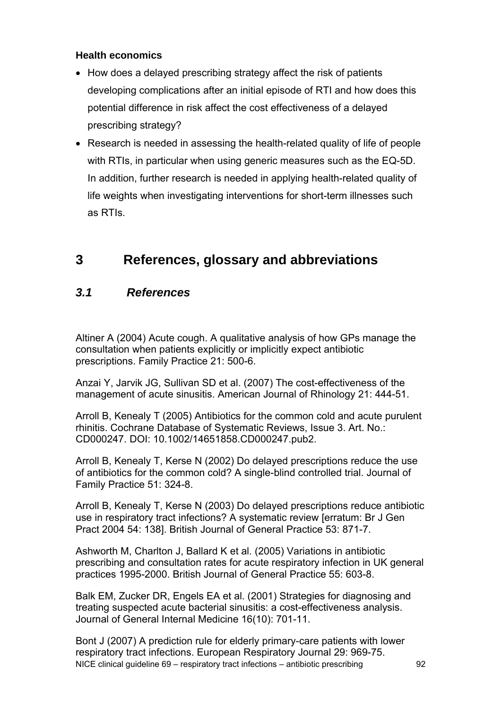## **Health economics**

- How does a delayed prescribing strategy affect the risk of patients developing complications after an initial episode of RTI and how does this potential difference in risk affect the cost effectiveness of a delayed prescribing strategy?
- Research is needed in assessing the health-related quality of life of people with RTIs, in particular when using generic measures such as the EQ-5D. In addition, further research is needed in applying health-related quality of life weights when investigating interventions for short-term illnesses such as RTIs.

# **3 References, glossary and abbreviations**

# *3.1 References*

Altiner A (2004) Acute cough. A qualitative analysis of how GPs manage the consultation when patients explicitly or implicitly expect antibiotic prescriptions. Family Practice 21: 500-6.

Anzai Y, Jarvik JG, Sullivan SD et al. (2007) The cost-effectiveness of the management of acute sinusitis. American Journal of Rhinology 21: 444-51.

Arroll B, Kenealy T (2005) Antibiotics for the common cold and acute purulent rhinitis. Cochrane Database of Systematic Reviews, Issue 3. Art. No.: CD000247. DOI: 10.1002/14651858.CD000247.pub2.

Arroll B, Kenealy T, Kerse N (2002) Do delayed prescriptions reduce the use of antibiotics for the common cold? A single-blind controlled trial. Journal of Family Practice 51: 324-8.

Arroll B, Kenealy T, Kerse N (2003) Do delayed prescriptions reduce antibiotic use in respiratory tract infections? A systematic review [erratum: Br J Gen Pract 2004 54: 138]. British Journal of General Practice 53: 871-7.

Ashworth M, Charlton J, Ballard K et al. (2005) Variations in antibiotic prescribing and consultation rates for acute respiratory infection in UK general practices 1995-2000. British Journal of General Practice 55: 603-8.

Balk EM, Zucker DR, Engels EA et al. (2001) Strategies for diagnosing and treating suspected acute bacterial sinusitis: a cost-effectiveness analysis. Journal of General Internal Medicine 16(10): 701-11.

NICE clinical guideline 69 – respiratory tract infections – antibiotic prescribing 92 Bont J (2007) A prediction rule for elderly primary-care patients with lower respiratory tract infections. European Respiratory Journal 29: 969-75.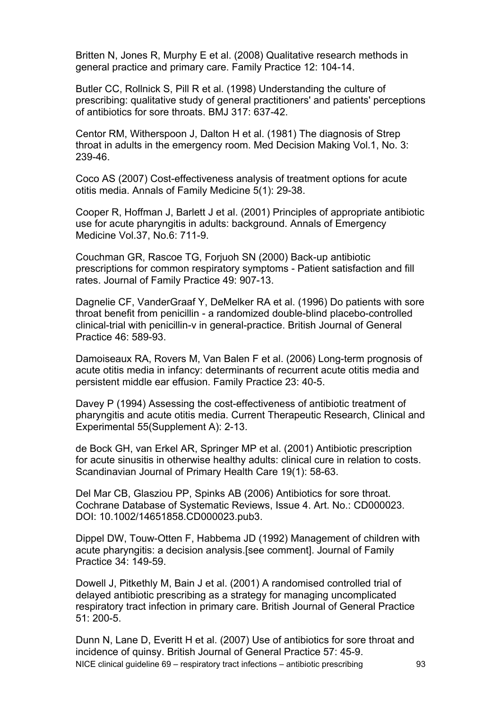Britten N, Jones R, Murphy E et al. (2008) Qualitative research methods in general practice and primary care. Family Practice 12: 104-14.

Butler CC, Rollnick S, Pill R et al. (1998) Understanding the culture of prescribing: qualitative study of general practitioners' and patients' perceptions of antibiotics for sore throats. BMJ 317: 637-42.

Centor RM, Witherspoon J, Dalton H et al. (1981) The diagnosis of Strep throat in adults in the emergency room. Med Decision Making Vol.1, No. 3: 239-46.

Coco AS (2007) Cost-effectiveness analysis of treatment options for acute otitis media. Annals of Family Medicine 5(1): 29-38.

Cooper R, Hoffman J, Barlett J et al. (2001) Principles of appropriate antibiotic use for acute pharyngitis in adults: background. Annals of Emergency Medicine Vol.37, No.6: 711-9.

Couchman GR, Rascoe TG, Forjuoh SN (2000) Back-up antibiotic prescriptions for common respiratory symptoms - Patient satisfaction and fill rates. Journal of Family Practice 49: 907-13.

Dagnelie CF, VanderGraaf Y, DeMelker RA et al. (1996) Do patients with sore throat benefit from penicillin - a randomized double-blind placebo-controlled clinical-trial with penicillin-v in general-practice. British Journal of General Practice 46: 589-93.

Damoiseaux RA, Rovers M, Van Balen F et al. (2006) Long-term prognosis of acute otitis media in infancy: determinants of recurrent acute otitis media and persistent middle ear effusion. Family Practice 23: 40-5.

Davey P (1994) Assessing the cost-effectiveness of antibiotic treatment of pharyngitis and acute otitis media. Current Therapeutic Research, Clinical and Experimental 55(Supplement A): 2-13.

de Bock GH, van Erkel AR, Springer MP et al. (2001) Antibiotic prescription for acute sinusitis in otherwise healthy adults: clinical cure in relation to costs. Scandinavian Journal of Primary Health Care 19(1): 58-63.

Del Mar CB, Glasziou PP, Spinks AB (2006) Antibiotics for sore throat. Cochrane Database of Systematic Reviews, Issue 4. Art. No.: CD000023. DOI: 10.1002/14651858.CD000023.pub3.

Dippel DW, Touw-Otten F, Habbema JD (1992) Management of children with acute pharyngitis: a decision analysis.[see comment]. Journal of Family Practice 34: 149-59.

Dowell J, Pitkethly M, Bain J et al. (2001) A randomised controlled trial of delayed antibiotic prescribing as a strategy for managing uncomplicated respiratory tract infection in primary care. British Journal of General Practice 51: 200-5.

NICE clinical guideline 69 – respiratory tract infections – antibiotic prescribing 93 Dunn N, Lane D, Everitt H et al. (2007) Use of antibiotics for sore throat and incidence of quinsy. British Journal of General Practice 57: 45-9.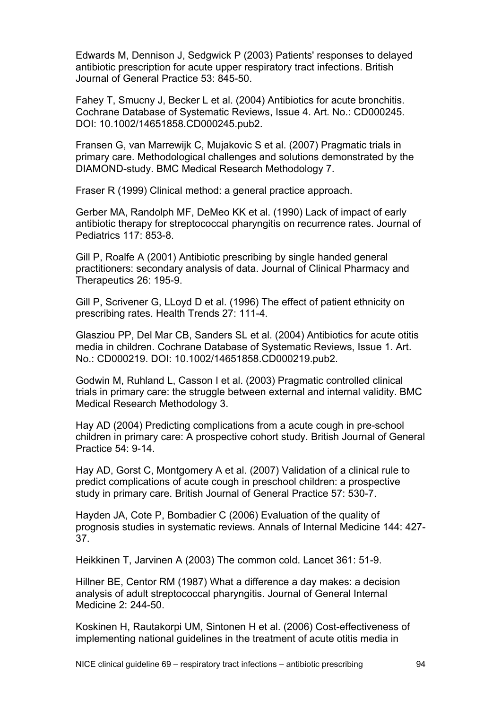Edwards M, Dennison J, Sedgwick P (2003) Patients' responses to delayed antibiotic prescription for acute upper respiratory tract infections. British Journal of General Practice 53: 845-50.

Fahey T, Smucny J, Becker L et al. (2004) Antibiotics for acute bronchitis. Cochrane Database of Systematic Reviews, Issue 4. Art. No.: CD000245. DOI: 10.1002/14651858.CD000245.pub2.

Fransen G, van Marrewijk C, Mujakovic S et al. (2007) Pragmatic trials in primary care. Methodological challenges and solutions demonstrated by the DIAMOND-study. BMC Medical Research Methodology 7.

Fraser R (1999) Clinical method: a general practice approach.

Gerber MA, Randolph MF, DeMeo KK et al. (1990) Lack of impact of early antibiotic therapy for streptococcal pharyngitis on recurrence rates. Journal of Pediatrics 117: 853-8.

Gill P, Roalfe A (2001) Antibiotic prescribing by single handed general practitioners: secondary analysis of data. Journal of Clinical Pharmacy and Therapeutics 26: 195-9.

Gill P, Scrivener G, LLoyd D et al. (1996) The effect of patient ethnicity on prescribing rates. Health Trends 27: 111-4.

Glasziou PP, Del Mar CB, Sanders SL et al. (2004) Antibiotics for acute otitis media in children. Cochrane Database of Systematic Reviews, Issue 1. Art. No.: CD000219. DOI: 10.1002/14651858.CD000219.pub2.

Godwin M, Ruhland L, Casson I et al. (2003) Pragmatic controlled clinical trials in primary care: the struggle between external and internal validity. BMC Medical Research Methodology 3.

Hay AD (2004) Predicting complications from a acute cough in pre-school children in primary care: A prospective cohort study. British Journal of General Practice 54: 9-14.

Hay AD, Gorst C, Montgomery A et al. (2007) Validation of a clinical rule to predict complications of acute cough in preschool children: a prospective study in primary care. British Journal of General Practice 57: 530-7.

Hayden JA, Cote P, Bombadier C (2006) Evaluation of the quality of prognosis studies in systematic reviews. Annals of Internal Medicine 144: 427- 37.

Heikkinen T, Jarvinen A (2003) The common cold. Lancet 361: 51-9.

Hillner BE, Centor RM (1987) What a difference a day makes: a decision analysis of adult streptococcal pharyngitis. Journal of General Internal Medicine 2: 244-50.

Koskinen H, Rautakorpi UM, Sintonen H et al. (2006) Cost-effectiveness of implementing national guidelines in the treatment of acute otitis media in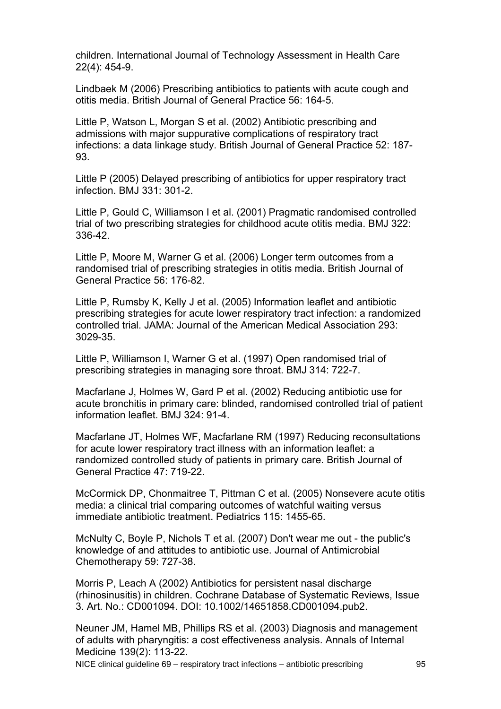children. International Journal of Technology Assessment in Health Care 22(4): 454-9.

Lindbaek M (2006) Prescribing antibiotics to patients with acute cough and otitis media. British Journal of General Practice 56: 164-5.

Little P, Watson L, Morgan S et al. (2002) Antibiotic prescribing and admissions with major suppurative complications of respiratory tract infections: a data linkage study. British Journal of General Practice 52: 187- 93.

Little P (2005) Delayed prescribing of antibiotics for upper respiratory tract infection. BMJ 331: 301-2.

Little P, Gould C, Williamson I et al. (2001) Pragmatic randomised controlled trial of two prescribing strategies for childhood acute otitis media. BMJ 322: 336-42.

Little P, Moore M, Warner G et al. (2006) Longer term outcomes from a randomised trial of prescribing strategies in otitis media. British Journal of General Practice 56: 176-82.

Little P, Rumsby K, Kelly J et al. (2005) Information leaflet and antibiotic prescribing strategies for acute lower respiratory tract infection: a randomized controlled trial. JAMA: Journal of the American Medical Association 293: 3029-35.

Little P, Williamson I, Warner G et al. (1997) Open randomised trial of prescribing strategies in managing sore throat. BMJ 314: 722-7.

Macfarlane J, Holmes W, Gard P et al. (2002) Reducing antibiotic use for acute bronchitis in primary care: blinded, randomised controlled trial of patient information leaflet. BMJ 324: 91-4.

Macfarlane JT, Holmes WF, Macfarlane RM (1997) Reducing reconsultations for acute lower respiratory tract illness with an information leaflet: a randomized controlled study of patients in primary care. British Journal of General Practice 47: 719-22.

McCormick DP, Chonmaitree T, Pittman C et al. (2005) Nonsevere acute otitis media: a clinical trial comparing outcomes of watchful waiting versus immediate antibiotic treatment. Pediatrics 115: 1455-65.

McNulty C, Boyle P, Nichols T et al. (2007) Don't wear me out - the public's knowledge of and attitudes to antibiotic use. Journal of Antimicrobial Chemotherapy 59: 727-38.

Morris P, Leach A (2002) Antibiotics for persistent nasal discharge (rhinosinusitis) in children. Cochrane Database of Systematic Reviews, Issue 3. Art. No.: CD001094. DOI: 10.1002/14651858.CD001094.pub2.

Neuner JM, Hamel MB, Phillips RS et al. (2003) Diagnosis and management of adults with pharyngitis: a cost effectiveness analysis. Annals of Internal Medicine 139(2): 113-22.

NICE clinical guideline 69 – respiratory tract infections – antibiotic prescribing 95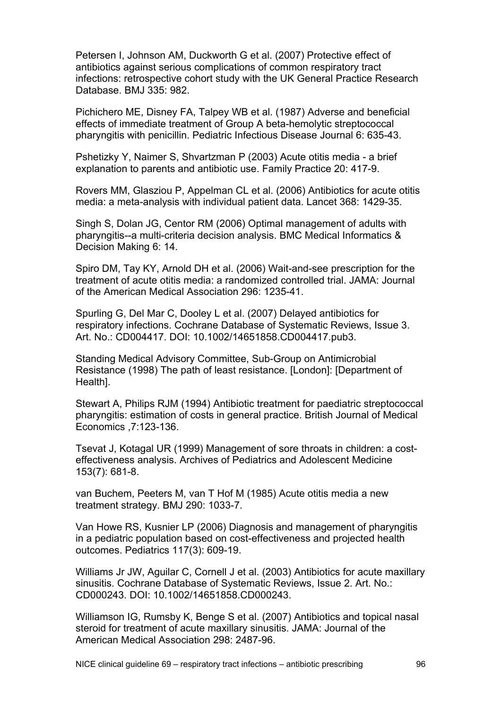Petersen I, Johnson AM, Duckworth G et al. (2007) Protective effect of antibiotics against serious complications of common respiratory tract infections: retrospective cohort study with the UK General Practice Research Database. BMJ 335: 982.

Pichichero ME, Disney FA, Talpey WB et al. (1987) Adverse and beneficial effects of immediate treatment of Group A beta-hemolytic streptococcal pharyngitis with penicillin. Pediatric Infectious Disease Journal 6: 635-43.

Pshetizky Y, Naimer S, Shvartzman P (2003) Acute otitis media - a brief explanation to parents and antibiotic use. Family Practice 20: 417-9.

Rovers MM, Glasziou P, Appelman CL et al. (2006) Antibiotics for acute otitis media: a meta-analysis with individual patient data. Lancet 368: 1429-35.

Singh S, Dolan JG, Centor RM (2006) Optimal management of adults with pharyngitis--a multi-criteria decision analysis. BMC Medical Informatics & Decision Making 6: 14.

Spiro DM, Tay KY, Arnold DH et al. (2006) Wait-and-see prescription for the treatment of acute otitis media: a randomized controlled trial. JAMA: Journal of the American Medical Association 296: 1235-41.

Spurling G, Del Mar C, Dooley L et al. (2007) Delayed antibiotics for respiratory infections. Cochrane Database of Systematic Reviews, Issue 3. Art. No.: CD004417. DOI: 10.1002/14651858.CD004417.pub3.

Standing Medical Advisory Committee, Sub-Group on Antimicrobial Resistance (1998) The path of least resistance. [London]: [Department of Health].

Stewart A, Philips RJM (1994) Antibiotic treatment for paediatric streptococcal pharyngitis: estimation of costs in general practice. British Journal of Medical Economics ,7:123-136.

Tsevat J, Kotagal UR (1999) Management of sore throats in children: a costeffectiveness analysis. Archives of Pediatrics and Adolescent Medicine 153(7): 681-8.

van Buchem, Peeters M, van T Hof M (1985) Acute otitis media a new treatment strategy. BMJ 290: 1033-7.

Van Howe RS, Kusnier LP (2006) Diagnosis and management of pharyngitis in a pediatric population based on cost-effectiveness and projected health outcomes. Pediatrics 117(3): 609-19.

Williams Jr JW, Aguilar C, Cornell J et al. (2003) Antibiotics for acute maxillary sinusitis. Cochrane Database of Systematic Reviews, Issue 2. Art. No.: CD000243. DOI: 10.1002/14651858.CD000243.

Williamson IG, Rumsby K, Benge S et al. (2007) Antibiotics and topical nasal steroid for treatment of acute maxillary sinusitis. JAMA: Journal of the American Medical Association 298: 2487-96.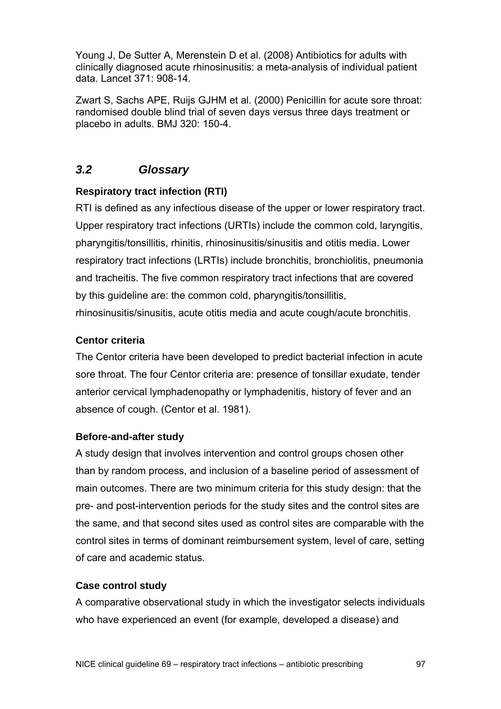Young J, De Sutter A, Merenstein D et al. (2008) Antibiotics for adults with clinically diagnosed acute rhinosinusitis: a meta-analysis of individual patient data. Lancet 371: 908-14.

Zwart S, Sachs APE, Ruijs GJHM et al. (2000) Penicillin for acute sore throat: randomised double blind trial of seven days versus three days treatment or placebo in adults. BMJ 320: 150-4.

## *3.2 Glossary*

## **Respiratory tract infection (RTI)**

RTI is defined as any infectious disease of the upper or lower respiratory tract. Upper respiratory tract infections (URTIs) include the common cold, laryngitis, pharyngitis/tonsillitis, rhinitis, rhinosinusitis/sinusitis and otitis media. Lower respiratory tract infections (LRTIs) include bronchitis, bronchiolitis, pneumonia and tracheitis. The five common respiratory tract infections that are covered by this guideline are: the common cold, pharyngitis/tonsillitis, rhinosinusitis/sinusitis, acute otitis media and acute cough/acute bronchitis.

## **Centor criteria**

The Centor criteria have been developed to predict bacterial infection in acute sore throat. The four Centor criteria are: presence of tonsillar exudate, tender anterior cervical lymphadenopathy or lymphadenitis, history of fever and an absence of cough. (Centor et al. 1981).

#### **Before-and-after study**

A study design that involves intervention and control groups chosen other than by random process, and inclusion of a baseline period of assessment of main outcomes. There are two minimum criteria for this study design: that the pre- and post-intervention periods for the study sites and the control sites are the same, and that second sites used as control sites are comparable with the control sites in terms of dominant reimbursement system, level of care, setting of care and academic status.

## **Case control study**

A comparative observational study in which the investigator selects individuals who have experienced an event (for example, developed a disease) and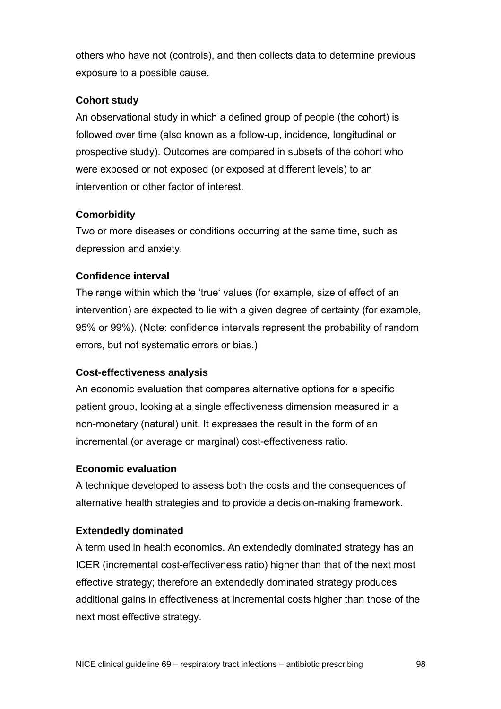others who have not (controls), and then collects data to determine previous exposure to a possible cause.

## **Cohort study**

An observational study in which a defined group of people (the cohort) is followed over time (also known as a follow-up, incidence, longitudinal or prospective study). Outcomes are compared in subsets of the cohort who were exposed or not exposed (or exposed at different levels) to an intervention or other factor of interest.

## **Comorbidity**

Two or more diseases or conditions occurring at the same time, such as depression and anxiety.

## **Confidence interval**

The range within which the 'true' values (for example, size of effect of an intervention) are expected to lie with a given degree of certainty (for example, 95% or 99%). (Note: confidence intervals represent the probability of random errors, but not systematic errors or bias.)

## **Cost-effectiveness analysis**

An economic evaluation that compares alternative options for a specific patient group, looking at a single effectiveness dimension measured in a non-monetary (natural) unit. It expresses the result in the form of an incremental (or average or marginal) cost-effectiveness ratio.

## **Economic evaluation**

A technique developed to assess both the costs and the consequences of alternative health strategies and to provide a decision-making framework.

## **Extendedly dominated**

A term used in health economics. An extendedly dominated strategy has an ICER (incremental cost-effectiveness ratio) higher than that of the next most effective strategy; therefore an extendedly dominated strategy produces additional gains in effectiveness at incremental costs higher than those of the next most effective strategy.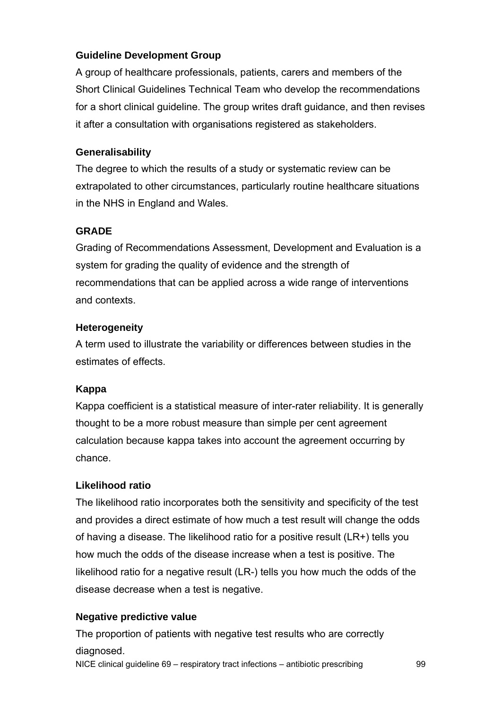## **Guideline Development Group**

A group of healthcare professionals, patients, carers and members of the Short Clinical Guidelines Technical Team who develop the recommendations for a short clinical guideline. The group writes draft guidance, and then revises it after a consultation with organisations registered as stakeholders.

## **Generalisability**

The degree to which the results of a study or systematic review can be extrapolated to other circumstances, particularly routine healthcare situations in the NHS in England and Wales.

## **GRADE**

Grading of Recommendations Assessment, Development and Evaluation is a system for grading the quality of evidence and the strength of recommendations that can be applied across a wide range of interventions and contexts.

## **Heterogeneity**

A term used to illustrate the variability or differences between studies in the estimates of effects.

## **Kappa**

Kappa coefficient is a statistical measure of inter-rater reliability. It is generally thought to be a more robust measure than simple per cent agreement calculation because kappa takes into account the agreement occurring by chance.

## **Likelihood ratio**

The likelihood ratio incorporates both the sensitivity and specificity of the test and provides a direct estimate of how much a test result will change the odds of having a disease. The likelihood ratio for a positive result (LR+) tells you how much the odds of the disease increase when a test is positive. The likelihood ratio for a negative result (LR-) tells you how much the odds of the disease decrease when a test is negative.

## **Negative predictive value**

NICE clinical guideline 69 – respiratory tract infections – antibiotic prescribing 99 The proportion of patients with negative test results who are correctly diagnosed.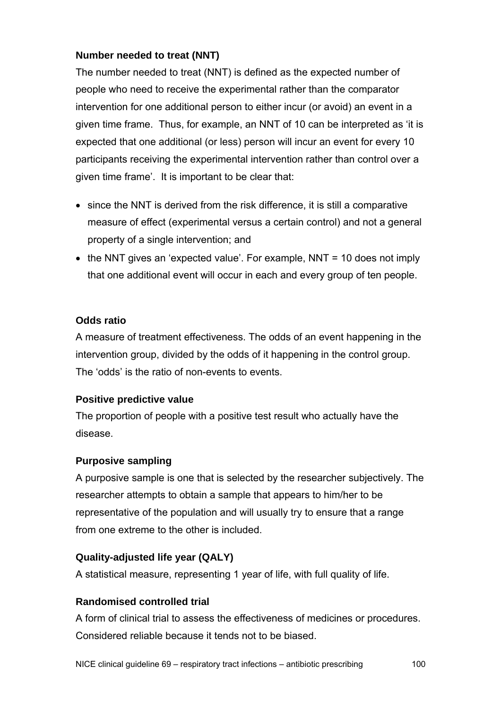## **Number needed to treat (NNT)**

The number needed to treat (NNT) is defined as the expected number of people who need to receive the experimental rather than the comparator intervention for one additional person to either incur (or avoid) an event in a given time frame. Thus, for example, an NNT of 10 can be interpreted as 'it is expected that one additional (or less) person will incur an event for every 10 participants receiving the experimental intervention rather than control over a given time frame'. It is important to be clear that:

- since the NNT is derived from the risk difference, it is still a comparative measure of effect (experimental versus a certain control) and not a general property of a single intervention; and
- the NNT gives an 'expected value'. For example, NNT = 10 does not imply that one additional event will occur in each and every group of ten people.

## **Odds ratio**

A measure of treatment effectiveness. The odds of an event happening in the intervention group, divided by the odds of it happening in the control group. The 'odds' is the ratio of non-events to events.

## **Positive predictive value**

The proportion of people with a positive test result who actually have the disease.

## **Purposive sampling**

A purposive sample is one that is selected by the researcher subjectively. The researcher attempts to obtain a sample that appears to him/her to be representative of the population and will usually try to ensure that a range from one extreme to the other is included.

## **Quality-adjusted life year (QALY)**

A statistical measure, representing 1 year of life, with full quality of life.

## **Randomised controlled trial**

A form of clinical trial to assess the effectiveness of medicines or procedures. Considered reliable because it tends not to be biased.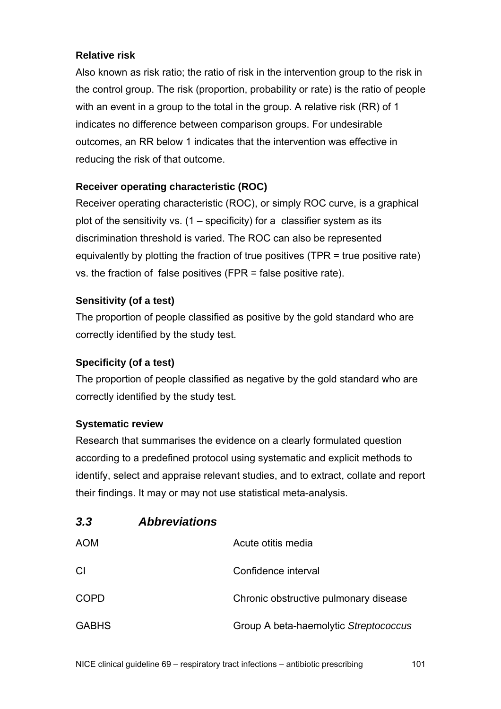## **Relative risk**

Also known as risk ratio; the ratio of risk in the intervention group to the risk in the control group. The risk (proportion, probability or rate) is the ratio of people with an event in a group to the total in the group. A relative risk (RR) of 1 indicates no difference between comparison groups. For undesirable outcomes, an RR below 1 indicates that the intervention was effective in reducing the risk of that outcome.

## **Receiver operating characteristic (ROC)**

Receiver operating characteristic (ROC), or simply ROC curve, is a graphical plot of the sensitivity vs.  $(1 -$  specificity) for a classifier system as its discrimination threshold is varied. The ROC can also be represented equivalently by plotting the fraction of true positives (TPR = true positive rate) vs. the fraction of false positives (FPR = false positive rate).

## **Sensitivity (of a test)**

The proportion of people classified as positive by the gold standard who are correctly identified by the study test.

## **Specificity (of a test)**

The proportion of people classified as negative by the gold standard who are correctly identified by the study test.

## **Systematic review**

Research that summarises the evidence on a clearly formulated question according to a predefined protocol using systematic and explicit methods to identify, select and appraise relevant studies, and to extract, collate and report their findings. It may or may not use statistical meta-analysis.

| <b>AOM</b>   | Acute otitis media                    |
|--------------|---------------------------------------|
| <b>CI</b>    | Confidence interval                   |
| COPD         | Chronic obstructive pulmonary disease |
| <b>GABHS</b> | Group A beta-haemolytic Streptococcus |

## *3.3 Abbreviations*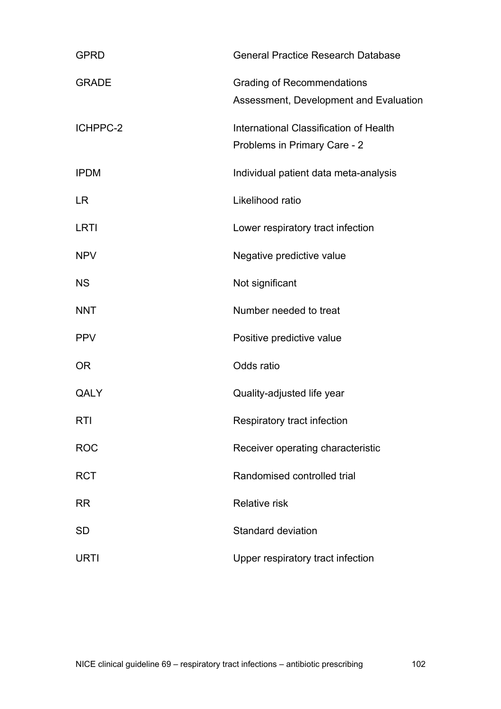| <b>GPRD</b>  | <b>General Practice Research Database</b>                                   |
|--------------|-----------------------------------------------------------------------------|
| <b>GRADE</b> | <b>Grading of Recommendations</b><br>Assessment, Development and Evaluation |
| ICHPPC-2     | International Classification of Health<br>Problems in Primary Care - 2      |
| <b>IPDM</b>  | Individual patient data meta-analysis                                       |
| <b>LR</b>    | Likelihood ratio                                                            |
| LRTI         | Lower respiratory tract infection                                           |
| <b>NPV</b>   | Negative predictive value                                                   |
| <b>NS</b>    | Not significant                                                             |
| <b>NNT</b>   | Number needed to treat                                                      |
| <b>PPV</b>   | Positive predictive value                                                   |
| <b>OR</b>    | Odds ratio                                                                  |
| QALY         | Quality-adjusted life year                                                  |
| <b>RTI</b>   | Respiratory tract infection                                                 |
| <b>ROC</b>   | Receiver operating characteristic                                           |
| <b>RCT</b>   | Randomised controlled trial                                                 |
| <b>RR</b>    | <b>Relative risk</b>                                                        |
| <b>SD</b>    | Standard deviation                                                          |
| <b>URTI</b>  | Upper respiratory tract infection                                           |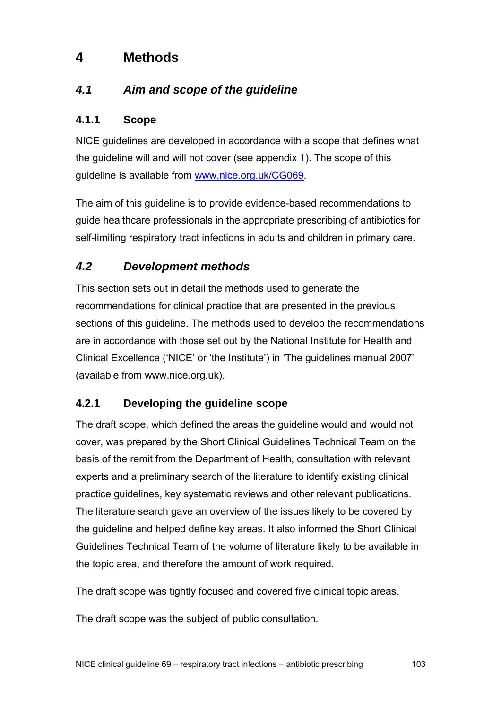# **4 Methods**

# *4.1 Aim and scope of the guideline*

## **4.1.1 Scope**

NICE guidelines are developed in accordance with a scope that defines what the guideline will and will not cover (see appendix 1). The scope of this guideline is available from [www.nice.org.uk/CG069.](http://www.nice.org.uk/CG069)

The aim of this guideline is to provide evidence-based recommendations to guide healthcare professionals in the appropriate prescribing of antibiotics for self-limiting respiratory tract infections in adults and children in primary care.

# *4.2 Development methods*

This section sets out in detail the methods used to generate the recommendations for clinical practice that are presented in the previous sections of this guideline. The methods used to develop the recommendations are in accordance with those set out by the National Institute for Health and Clinical Excellence ('NICE' or 'the Institute') in 'The guidelines manual 2007' (available from www.nice.org.uk).

## **4.2.1 Developing the guideline scope**

The draft scope, which defined the areas the guideline would and would not cover, was prepared by the Short Clinical Guidelines Technical Team on the basis of the remit from the Department of Health, consultation with relevant experts and a preliminary search of the literature to identify existing clinical practice guidelines, key systematic reviews and other relevant publications. The literature search gave an overview of the issues likely to be covered by the guideline and helped define key areas. It also informed the Short Clinical Guidelines Technical Team of the volume of literature likely to be available in the topic area, and therefore the amount of work required.

The draft scope was tightly focused and covered five clinical topic areas.

The draft scope was the subject of public consultation.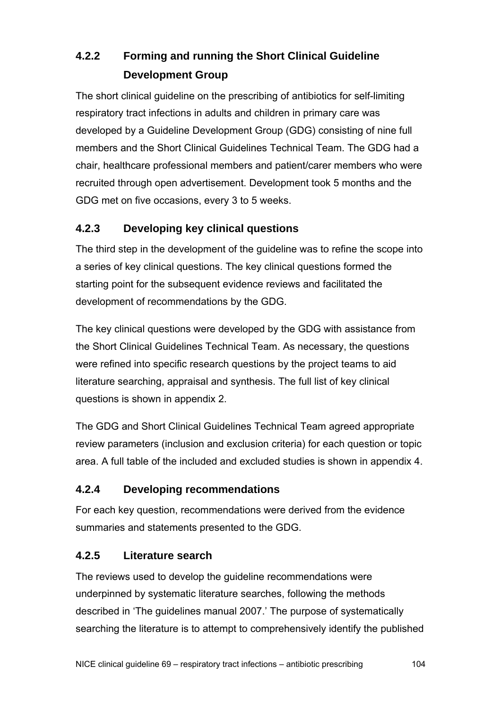# **4.2.2 Forming and running the Short Clinical Guideline Development Group**

The short clinical guideline on the prescribing of antibiotics for self-limiting respiratory tract infections in adults and children in primary care was developed by a Guideline Development Group (GDG) consisting of nine full members and the Short Clinical Guidelines Technical Team. The GDG had a chair, healthcare professional members and patient/carer members who were recruited through open advertisement. Development took 5 months and the GDG met on five occasions, every 3 to 5 weeks.

# **4.2.3 Developing key clinical questions**

The third step in the development of the guideline was to refine the scope into a series of key clinical questions. The key clinical questions formed the starting point for the subsequent evidence reviews and facilitated the development of recommendations by the GDG.

The key clinical questions were developed by the GDG with assistance from the Short Clinical Guidelines Technical Team. As necessary, the questions were refined into specific research questions by the project teams to aid literature searching, appraisal and synthesis. The full list of key clinical questions is shown in appendix 2.

The GDG and Short Clinical Guidelines Technical Team agreed appropriate review parameters (inclusion and exclusion criteria) for each question or topic area. A full table of the included and excluded studies is shown in appendix 4.

## **4.2.4 Developing recommendations**

For each key question, recommendations were derived from the evidence summaries and statements presented to the GDG.

## **4.2.5 Literature search**

The reviews used to develop the guideline recommendations were underpinned by systematic literature searches, following the methods described in 'The guidelines manual 2007.' The purpose of systematically searching the literature is to attempt to comprehensively identify the published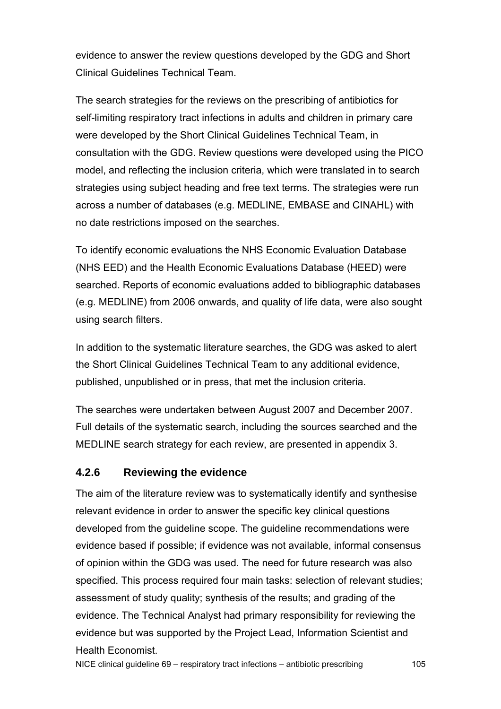evidence to answer the review questions developed by the GDG and Short Clinical Guidelines Technical Team.

The search strategies for the reviews on the prescribing of antibiotics for self-limiting respiratory tract infections in adults and children in primary care were developed by the Short Clinical Guidelines Technical Team, in consultation with the GDG. Review questions were developed using the PICO model, and reflecting the inclusion criteria, which were translated in to search strategies using subject heading and free text terms. The strategies were run across a number of databases (e.g. MEDLINE, EMBASE and CINAHL) with no date restrictions imposed on the searches.

To identify economic evaluations the NHS Economic Evaluation Database (NHS EED) and the Health Economic Evaluations Database (HEED) were searched. Reports of economic evaluations added to bibliographic databases (e.g. MEDLINE) from 2006 onwards, and quality of life data, were also sought using search filters.

In addition to the systematic literature searches, the GDG was asked to alert the Short Clinical Guidelines Technical Team to any additional evidence, published, unpublished or in press, that met the inclusion criteria.

The searches were undertaken between August 2007 and December 2007. Full details of the systematic search, including the sources searched and the MEDLINE search strategy for each review, are presented in appendix 3.

#### **4.2.6 Reviewing the evidence**

The aim of the literature review was to systematically identify and synthesise relevant evidence in order to answer the specific key clinical questions developed from the guideline scope. The guideline recommendations were evidence based if possible; if evidence was not available, informal consensus of opinion within the GDG was used. The need for future research was also specified. This process required four main tasks: selection of relevant studies; assessment of study quality; synthesis of the results; and grading of the evidence. The Technical Analyst had primary responsibility for reviewing the evidence but was supported by the Project Lead, Information Scientist and Health Economist.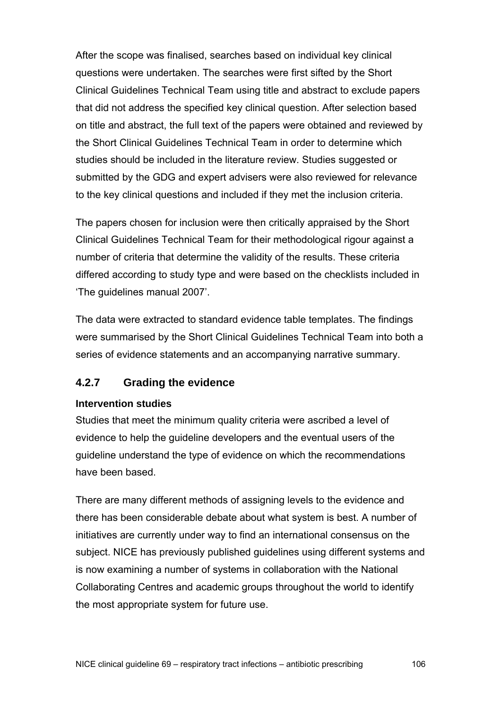After the scope was finalised, searches based on individual key clinical questions were undertaken. The searches were first sifted by the Short Clinical Guidelines Technical Team using title and abstract to exclude papers that did not address the specified key clinical question. After selection based on title and abstract, the full text of the papers were obtained and reviewed by the Short Clinical Guidelines Technical Team in order to determine which studies should be included in the literature review. Studies suggested or submitted by the GDG and expert advisers were also reviewed for relevance to the key clinical questions and included if they met the inclusion criteria.

The papers chosen for inclusion were then critically appraised by the Short Clinical Guidelines Technical Team for their methodological rigour against a number of criteria that determine the validity of the results. These criteria differed according to study type and were based on the checklists included in 'The guidelines manual 2007'.

The data were extracted to standard evidence table templates. The findings were summarised by the Short Clinical Guidelines Technical Team into both a series of evidence statements and an accompanying narrative summary.

## **4.2.7 Grading the evidence**

#### **Intervention studies**

Studies that meet the minimum quality criteria were ascribed a level of evidence to help the guideline developers and the eventual users of the guideline understand the type of evidence on which the recommendations have been based.

There are many different methods of assigning levels to the evidence and there has been considerable debate about what system is best. A number of initiatives are currently under way to find an international consensus on the subject. NICE has previously published guidelines using different systems and is now examining a number of systems in collaboration with the National Collaborating Centres and academic groups throughout the world to identify the most appropriate system for future use.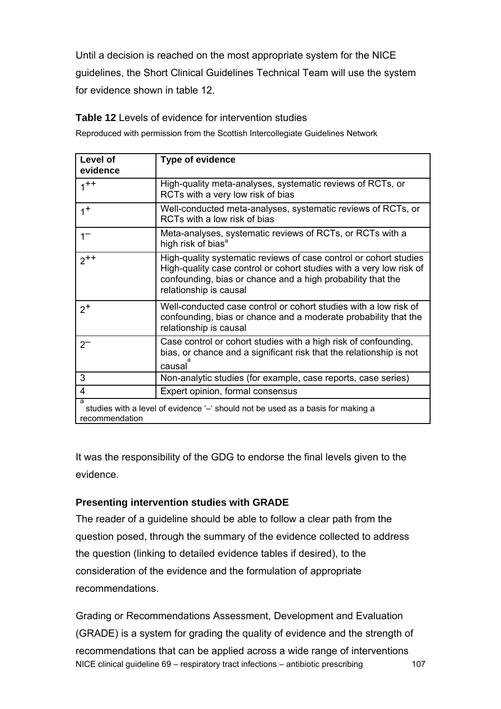Until a decision is reached on the most appropriate system for the NICE guidelines, the Short Clinical Guidelines Technical Team will use the system for evidence shown in table 12.

## **Table 12** Levels of evidence for intervention studies

Reproduced with permission from the Scottish Intercollegiate Guidelines Network

| Level of<br>evidence    | <b>Type of evidence</b>                                                                                                                                                                                                           |
|-------------------------|-----------------------------------------------------------------------------------------------------------------------------------------------------------------------------------------------------------------------------------|
| $1^{++}$                | High-quality meta-analyses, systematic reviews of RCTs, or<br>RCTs with a very low risk of bias                                                                                                                                   |
| $1^+$                   | Well-conducted meta-analyses, systematic reviews of RCTs, or<br>RCTs with a low risk of bias                                                                                                                                      |
| $1-$                    | Meta-analyses, systematic reviews of RCTs, or RCTs with a<br>high risk of bias <sup>a</sup>                                                                                                                                       |
| $2^{++}$                | High-quality systematic reviews of case control or cohort studies<br>High-quality case control or cohort studies with a very low risk of<br>confounding, bias or chance and a high probability that the<br>relationship is causal |
| $2^+$                   | Well-conducted case control or cohort studies with a low risk of<br>confounding, bias or chance and a moderate probability that the<br>relationship is causal                                                                     |
| $2^{-}$                 | Case control or cohort studies with a high risk of confounding,<br>bias, or chance and a significant risk that the relationship is not<br>causal                                                                                  |
| 3                       | Non-analytic studies (for example, case reports, case series)                                                                                                                                                                     |
| $\overline{\mathbf{4}}$ | Expert opinion, formal consensus                                                                                                                                                                                                  |
| a<br>recommendation     | studies with a level of evidence '-' should not be used as a basis for making a                                                                                                                                                   |

It was the responsibility of the GDG to endorse the final levels given to the evidence.

## **Presenting intervention studies with GRADE**

The reader of a guideline should be able to follow a clear path from the question posed, through the summary of the evidence collected to address the question (linking to detailed evidence tables if desired), to the consideration of the evidence and the formulation of appropriate recommendations.

NICE clinical guideline 69 – respiratory tract infections – antibiotic prescribing 107 Grading or Recommendations Assessment, Development and Evaluation (GRADE) is a system for grading the quality of evidence and the strength of recommendations that can be applied across a wide range of interventions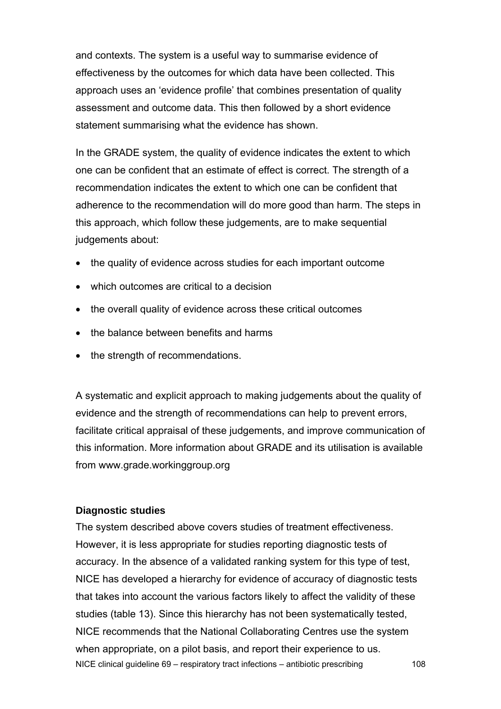and contexts. The system is a useful way to summarise evidence of effectiveness by the outcomes for which data have been collected. This approach uses an 'evidence profile' that combines presentation of quality assessment and outcome data. This then followed by a short evidence statement summarising what the evidence has shown.

In the GRADE system, the quality of evidence indicates the extent to which one can be confident that an estimate of effect is correct. The strength of a recommendation indicates the extent to which one can be confident that adherence to the recommendation will do more good than harm. The steps in this approach, which follow these judgements, are to make sequential judgements about:

- the quality of evidence across studies for each important outcome
- which outcomes are critical to a decision
- the overall quality of evidence across these critical outcomes
- the balance between benefits and harms
- the strength of recommendations.

A systematic and explicit approach to making judgements about the quality of evidence and the strength of recommendations can help to prevent errors, facilitate critical appraisal of these judgements, and improve communication of this information. More information about GRADE and its utilisation is available from www.grade.workinggroup.org

#### **Diagnostic studies**

NICE clinical guideline 69 – respiratory tract infections – antibiotic prescribing 108 The system described above covers studies of treatment effectiveness. However, it is less appropriate for studies reporting diagnostic tests of accuracy. In the absence of a validated ranking system for this type of test, NICE has developed a hierarchy for evidence of accuracy of diagnostic tests that takes into account the various factors likely to affect the validity of these studies (table 13). Since this hierarchy has not been systematically tested, NICE recommends that the National Collaborating Centres use the system when appropriate, on a pilot basis, and report their experience to us.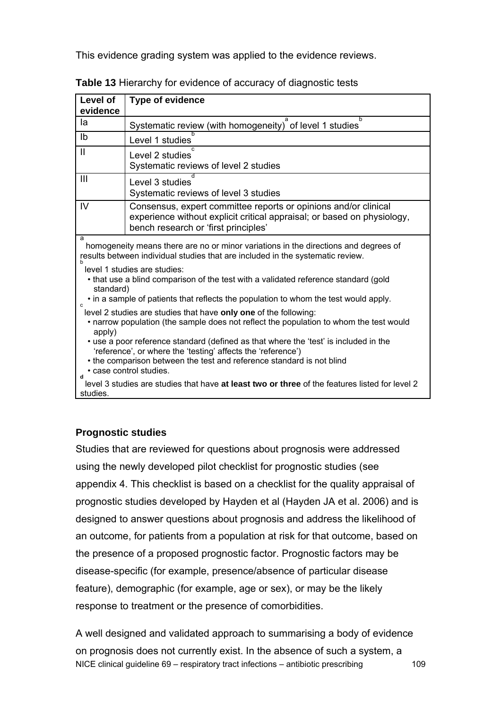This evidence grading system was applied to the evidence reviews.

| Level of<br>evidence                                                                                                                                                                                                                                                                                                                                                                                                                             | <b>Type of evidence</b>                                                                                                                                                            |
|--------------------------------------------------------------------------------------------------------------------------------------------------------------------------------------------------------------------------------------------------------------------------------------------------------------------------------------------------------------------------------------------------------------------------------------------------|------------------------------------------------------------------------------------------------------------------------------------------------------------------------------------|
| la                                                                                                                                                                                                                                                                                                                                                                                                                                               | b<br>Systematic review (with homogeneity) of level 1 studies                                                                                                                       |
| I <sub>b</sub>                                                                                                                                                                                                                                                                                                                                                                                                                                   | Level 1 studies                                                                                                                                                                    |
| $\mathbf{I}$                                                                                                                                                                                                                                                                                                                                                                                                                                     | Level 2 studies<br>Systematic reviews of level 2 studies                                                                                                                           |
| III                                                                                                                                                                                                                                                                                                                                                                                                                                              | Level 3 studies<br>Systematic reviews of level 3 studies                                                                                                                           |
| IV                                                                                                                                                                                                                                                                                                                                                                                                                                               | Consensus, expert committee reports or opinions and/or clinical<br>experience without explicit critical appraisal; or based on physiology,<br>bench research or 'first principles' |
| a<br>homogeneity means there are no or minor variations in the directions and degrees of<br>results between individual studies that are included in the systematic review.<br>level 1 studies are studies:<br>• that use a blind comparison of the test with a validated reference standard (gold<br>standard)<br>• in a sample of patients that reflects the population to whom the test would apply.                                           |                                                                                                                                                                                    |
| $\mathbf{c}$<br>level 2 studies are studies that have only one of the following:<br>• narrow population (the sample does not reflect the population to whom the test would<br>apply)<br>• use a poor reference standard (defined as that where the 'test' is included in the<br>'reference', or where the 'testing' affects the 'reference')<br>• the comparison between the test and reference standard is not blind<br>• case control studies. |                                                                                                                                                                                    |
| $\mathbf{d}$<br>level 3 studies are studies that have at least two or three of the features listed for level 2<br>studies.                                                                                                                                                                                                                                                                                                                       |                                                                                                                                                                                    |

**Table 13** Hierarchy for evidence of accuracy of diagnostic tests

#### **Prognostic studies**

Studies that are reviewed for questions about prognosis were addressed using the newly developed pilot checklist for prognostic studies (see appendix 4. This checklist is based on a checklist for the quality appraisal of prognostic studies developed by Hayden et al (Hayden JA et al. 2006) and is designed to answer questions about prognosis and address the likelihood of an outcome, for patients from a population at risk for that outcome, based on the presence of a proposed prognostic factor. Prognostic factors may be disease-specific (for example, presence/absence of particular disease feature), demographic (for example, age or sex), or may be the likely response to treatment or the presence of comorbidities.

NICE clinical guideline 69 – respiratory tract infections – antibiotic prescribing 109 A well designed and validated approach to summarising a body of evidence on prognosis does not currently exist. In the absence of such a system, a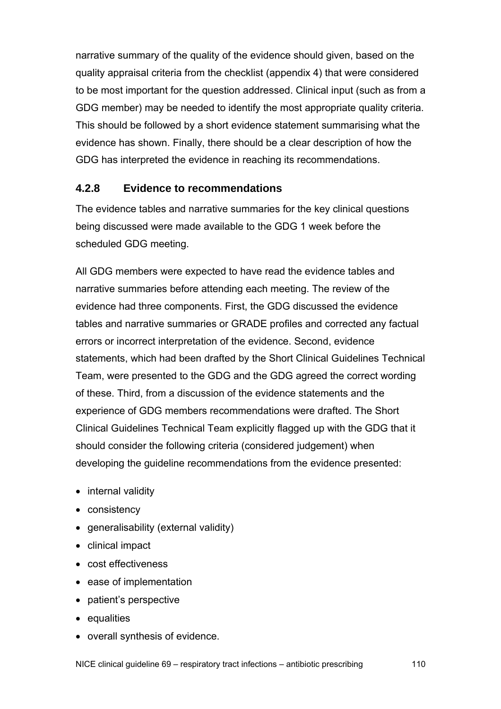narrative summary of the quality of the evidence should given, based on the quality appraisal criteria from the checklist (appendix 4) that were considered to be most important for the question addressed. Clinical input (such as from a GDG member) may be needed to identify the most appropriate quality criteria. This should be followed by a short evidence statement summarising what the evidence has shown. Finally, there should be a clear description of how the GDG has interpreted the evidence in reaching its recommendations.

#### **4.2.8 Evidence to recommendations**

The evidence tables and narrative summaries for the key clinical questions being discussed were made available to the GDG 1 week before the scheduled GDG meeting.

All GDG members were expected to have read the evidence tables and narrative summaries before attending each meeting. The review of the evidence had three components. First, the GDG discussed the evidence tables and narrative summaries or GRADE profiles and corrected any factual errors or incorrect interpretation of the evidence. Second, evidence statements, which had been drafted by the Short Clinical Guidelines Technical Team, were presented to the GDG and the GDG agreed the correct wording of these. Third, from a discussion of the evidence statements and the experience of GDG members recommendations were drafted. The Short Clinical Guidelines Technical Team explicitly flagged up with the GDG that it should consider the following criteria (considered judgement) when developing the guideline recommendations from the evidence presented:

- internal validity
- consistency
- generalisability (external validity)
- clinical impact
- cost effectiveness
- ease of implementation
- patient's perspective
- equalities
- overall synthesis of evidence.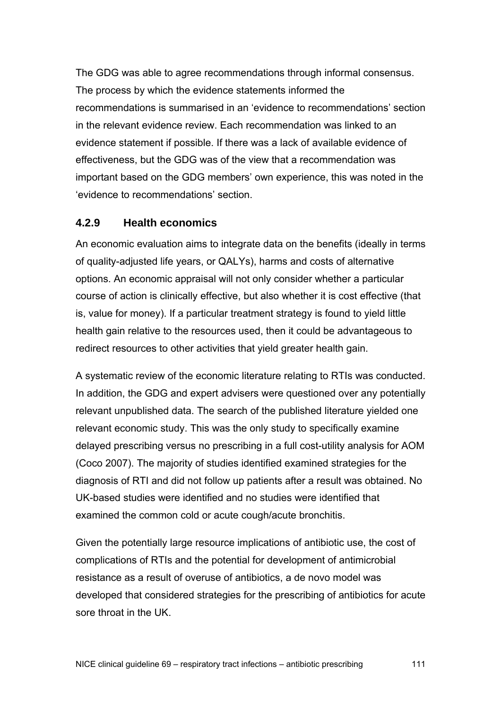The GDG was able to agree recommendations through informal consensus. The process by which the evidence statements informed the recommendations is summarised in an 'evidence to recommendations' section in the relevant evidence review. Each recommendation was linked to an evidence statement if possible. If there was a lack of available evidence of effectiveness, but the GDG was of the view that a recommendation was important based on the GDG members' own experience, this was noted in the 'evidence to recommendations' section.

#### **4.2.9 Health economics**

An economic evaluation aims to integrate data on the benefits (ideally in terms of quality-adjusted life years, or QALYs), harms and costs of alternative options. An economic appraisal will not only consider whether a particular course of action is clinically effective, but also whether it is cost effective (that is, value for money). If a particular treatment strategy is found to yield little health gain relative to the resources used, then it could be advantageous to redirect resources to other activities that yield greater health gain.

A systematic review of the economic literature relating to RTIs was conducted. In addition, the GDG and expert advisers were questioned over any potentially relevant unpublished data. The search of the published literature yielded one relevant economic study. This was the only study to specifically examine delayed prescribing versus no prescribing in a full cost-utility analysis for AOM (Coco 2007). The majority of studies identified examined strategies for the diagnosis of RTI and did not follow up patients after a result was obtained. No UK-based studies were identified and no studies were identified that examined the common cold or acute cough/acute bronchitis.

Given the potentially large resource implications of antibiotic use, the cost of complications of RTIs and the potential for development of antimicrobial resistance as a result of overuse of antibiotics, a de novo model was developed that considered strategies for the prescribing of antibiotics for acute sore throat in the UK.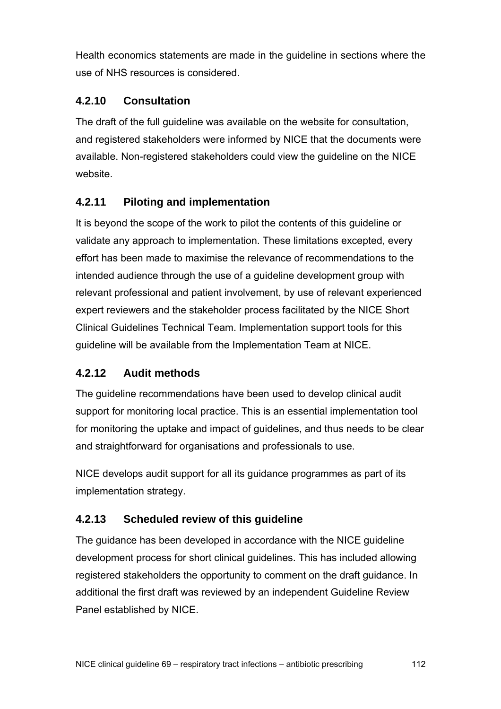Health economics statements are made in the guideline in sections where the use of NHS resources is considered.

### **4.2.10 Consultation**

The draft of the full guideline was available on the website for consultation, and registered stakeholders were informed by NICE that the documents were available. Non-registered stakeholders could view the guideline on the NICE website.

## **4.2.11 Piloting and implementation**

It is beyond the scope of the work to pilot the contents of this guideline or validate any approach to implementation. These limitations excepted, every effort has been made to maximise the relevance of recommendations to the intended audience through the use of a guideline development group with relevant professional and patient involvement, by use of relevant experienced expert reviewers and the stakeholder process facilitated by the NICE Short Clinical Guidelines Technical Team. Implementation support tools for this guideline will be available from the Implementation Team at NICE.

### **4.2.12 Audit methods**

The guideline recommendations have been used to develop clinical audit support for monitoring local practice. This is an essential implementation tool for monitoring the uptake and impact of guidelines, and thus needs to be clear and straightforward for organisations and professionals to use.

NICE develops audit support for all its guidance programmes as part of its implementation strategy.

## **4.2.13 Scheduled review of this guideline**

The guidance has been developed in accordance with the NICE guideline development process for short clinical guidelines. This has included allowing registered stakeholders the opportunity to comment on the draft guidance. In additional the first draft was reviewed by an independent Guideline Review Panel established by NICE.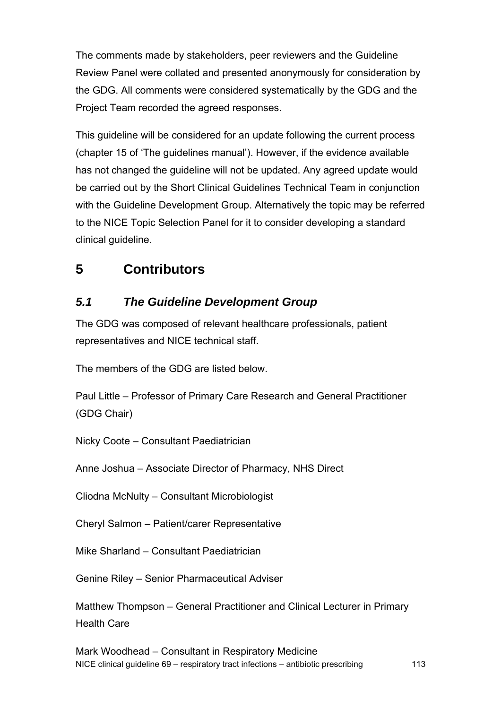The comments made by stakeholders, peer reviewers and the Guideline Review Panel were collated and presented anonymously for consideration by the GDG. All comments were considered systematically by the GDG and the Project Team recorded the agreed responses.

This guideline will be considered for an update following the current process (chapter 15 of 'The guidelines manual'). However, if the evidence available has not changed the guideline will not be updated. Any agreed update would be carried out by the Short Clinical Guidelines Technical Team in conjunction with the Guideline Development Group. Alternatively the topic may be referred to the NICE Topic Selection Panel for it to consider developing a standard clinical guideline.

# **5 Contributors**

# *5.1 The Guideline Development Group*

The GDG was composed of relevant healthcare professionals, patient representatives and NICE technical staff.

The members of the GDG are listed below.

Paul Little – Professor of Primary Care Research and General Practitioner (GDG Chair)

Nicky Coote – Consultant Paediatrician

Anne Joshua – Associate Director of Pharmacy, NHS Direct

Cliodna McNulty – Consultant Microbiologist

Cheryl Salmon – Patient/carer Representative

Mike Sharland – Consultant Paediatrician

Genine Riley – Senior Pharmaceutical Adviser

Matthew Thompson – General Practitioner and Clinical Lecturer in Primary Health Care

NICE clinical guideline 69 – respiratory tract infections – antibiotic prescribing 113 Mark Woodhead – Consultant in Respiratory Medicine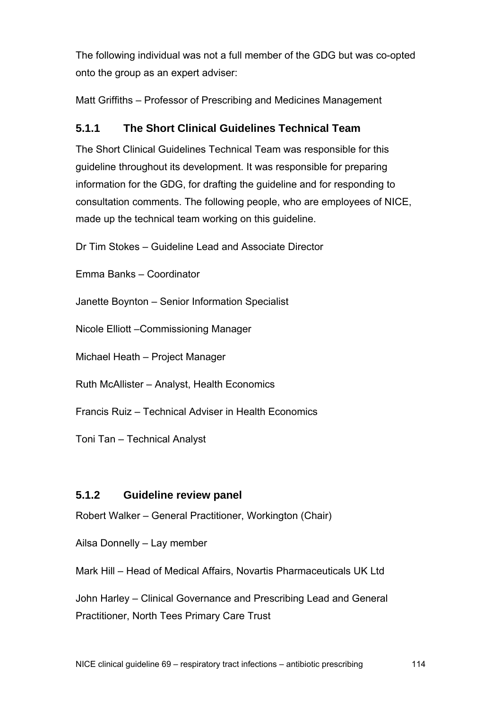The following individual was not a full member of the GDG but was co-opted onto the group as an expert adviser:

Matt Griffiths – Professor of Prescribing and Medicines Management

### **5.1.1 The Short Clinical Guidelines Technical Team**

The Short Clinical Guidelines Technical Team was responsible for this guideline throughout its development. It was responsible for preparing information for the GDG, for drafting the guideline and for responding to consultation comments. The following people, who are employees of NICE, made up the technical team working on this guideline.

Dr Tim Stokes – Guideline Lead and Associate Director

Emma Banks – Coordinator

Janette Boynton – Senior Information Specialist

Nicole Elliott –Commissioning Manager

Michael Heath – Project Manager

Ruth McAllister – Analyst, Health Economics

Francis Ruiz – Technical Adviser in Health Economics

Toni Tan – Technical Analyst

### **5.1.2 Guideline review panel**

Robert Walker – General Practitioner, Workington (Chair)

Ailsa Donnelly – Lay member

Mark Hill – Head of Medical Affairs, Novartis Pharmaceuticals UK Ltd

John Harley – Clinical Governance and Prescribing Lead and General Practitioner, North Tees Primary Care Trust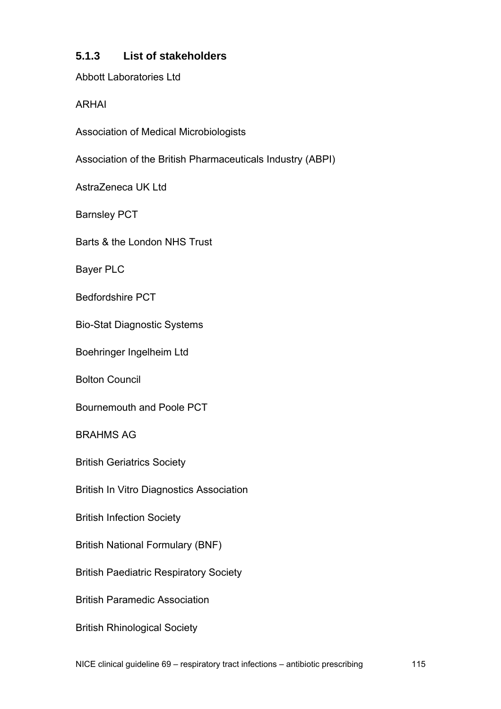### **5.1.3 List of stakeholders**

Abbott Laboratories Ltd

ARHAI

Association of Medical Microbiologists

Association of the British Pharmaceuticals Industry (ABPI)

AstraZeneca UK Ltd

Barnsley PCT

Barts & the London NHS Trust

Bayer PLC

Bedfordshire PCT

Bio-Stat Diagnostic Systems

Boehringer Ingelheim Ltd

Bolton Council

Bournemouth and Poole PCT

BRAHMS AG

British Geriatrics Society

British In Vitro Diagnostics Association

British Infection Society

British National Formulary (BNF)

British Paediatric Respiratory Society

British Paramedic Association

British Rhinological Society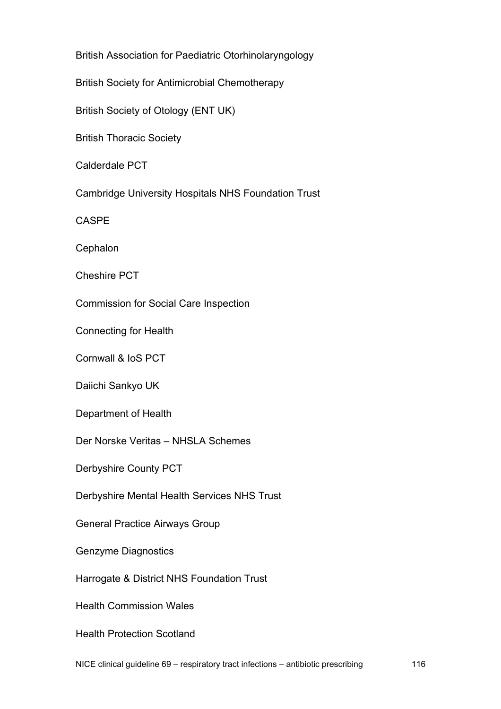British Association for Paediatric Otorhinolaryngology

British Society for Antimicrobial Chemotherapy

British Society of Otology (ENT UK)

British Thoracic Society

Calderdale PCT

Cambridge University Hospitals NHS Foundation Trust

CASPE

**Cephalon** 

Cheshire PCT

Commission for Social Care Inspection

Connecting for Health

Cornwall & IoS PCT

Daiichi Sankyo UK

Department of Health

Der Norske Veritas – NHSLA Schemes

Derbyshire County PCT

Derbyshire Mental Health Services NHS Trust

General Practice Airways Group

Genzyme Diagnostics

Harrogate & District NHS Foundation Trust

Health Commission Wales

Health Protection Scotland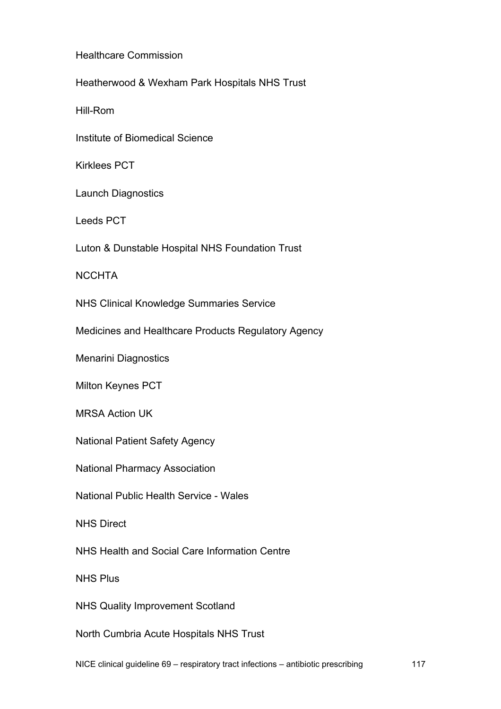Healthcare Commission

Heatherwood & Wexham Park Hospitals NHS Trust

Hill-Rom

Institute of Biomedical Science

Kirklees PCT

Launch Diagnostics

Leeds PCT

Luton & Dunstable Hospital NHS Foundation Trust

**NCCHTA** 

NHS Clinical Knowledge Summaries Service

Medicines and Healthcare Products Regulatory Agency

Menarini Diagnostics

Milton Keynes PCT

MRSA Action UK

National Patient Safety Agency

National Pharmacy Association

National Public Health Service - Wales

NHS Direct

NHS Health and Social Care Information Centre

NHS Plus

NHS Quality Improvement Scotland

North Cumbria Acute Hospitals NHS Trust

NICE clinical guideline 69 – respiratory tract infections – antibiotic prescribing 117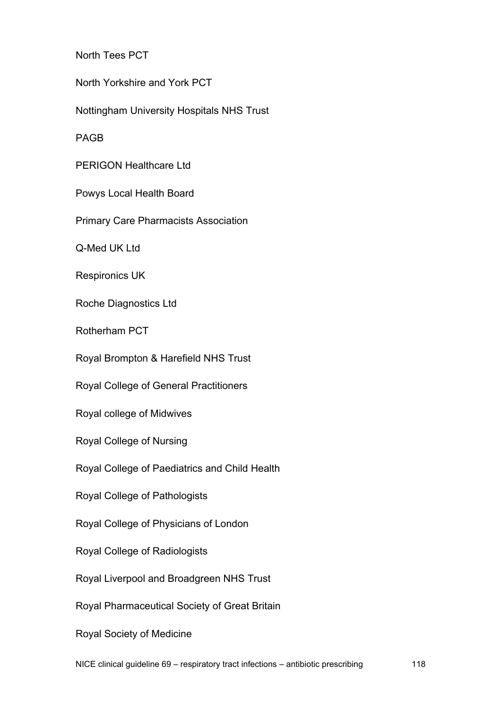North Tees PCT

North Yorkshire and York PCT

Nottingham University Hospitals NHS Trust

PAGB

PERIGON Healthcare Ltd

Powys Local Health Board

Primary Care Pharmacists Association

Q-Med UK Ltd

Respironics UK

Roche Diagnostics Ltd

Rotherham PCT

Royal Brompton & Harefield NHS Trust

Royal College of General Practitioners

Royal college of Midwives

Royal College of Nursing

Royal College of Paediatrics and Child Health

Royal College of Pathologists

Royal College of Physicians of London

Royal College of Radiologists

Royal Liverpool and Broadgreen NHS Trust

Royal Pharmaceutical Society of Great Britain

Royal Society of Medicine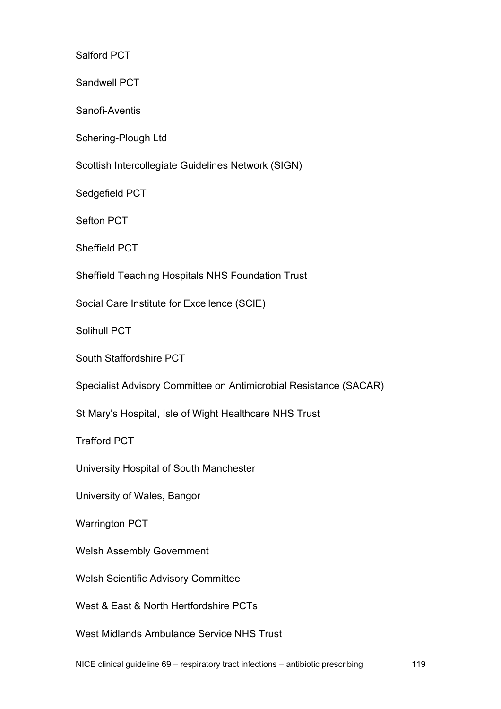Salford PCT

Sandwell PCT

Sanofi-Aventis

Schering-Plough Ltd

Scottish Intercollegiate Guidelines Network (SIGN)

Sedgefield PCT

Sefton PCT

Sheffield PCT

Sheffield Teaching Hospitals NHS Foundation Trust

Social Care Institute for Excellence (SCIE)

Solihull PCT

South Staffordshire PCT

Specialist Advisory Committee on Antimicrobial Resistance (SACAR)

St Mary's Hospital, Isle of Wight Healthcare NHS Trust

Trafford PCT

University Hospital of South Manchester

University of Wales, Bangor

Warrington PCT

Welsh Assembly Government

Welsh Scientific Advisory Committee

West & East & North Hertfordshire PCTs

West Midlands Ambulance Service NHS Trust

NICE clinical guideline 69 – respiratory tract infections – antibiotic prescribing 119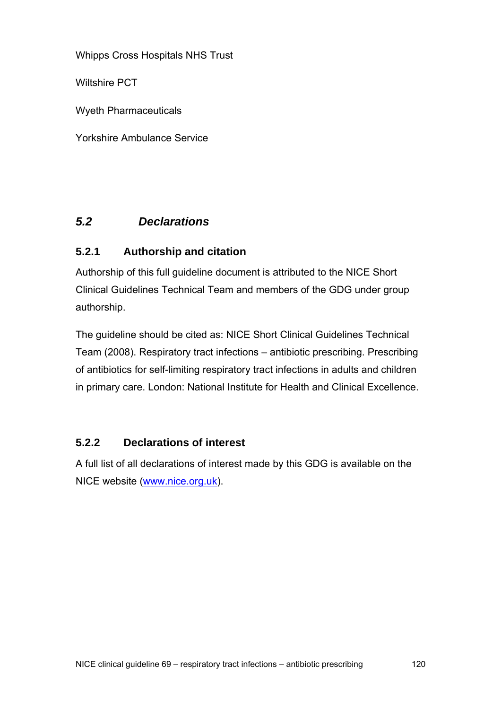Whipps Cross Hospitals NHS Trust

Wiltshire PCT

Wyeth Pharmaceuticals

Yorkshire Ambulance Service

### *5.2 Declarations*

### **5.2.1 Authorship and citation**

Authorship of this full guideline document is attributed to the NICE Short Clinical Guidelines Technical Team and members of the GDG under group authorship.

The guideline should be cited as: NICE Short Clinical Guidelines Technical Team (2008). Respiratory tract infections – antibiotic prescribing. Prescribing of antibiotics for self-limiting respiratory tract infections in adults and children in primary care. London: National Institute for Health and Clinical Excellence.

### **5.2.2 Declarations of interest**

A full list of all declarations of interest made by this GDG is available on the NICE website ([www.nice.org.uk\)](http://www.nice.org.uk/).